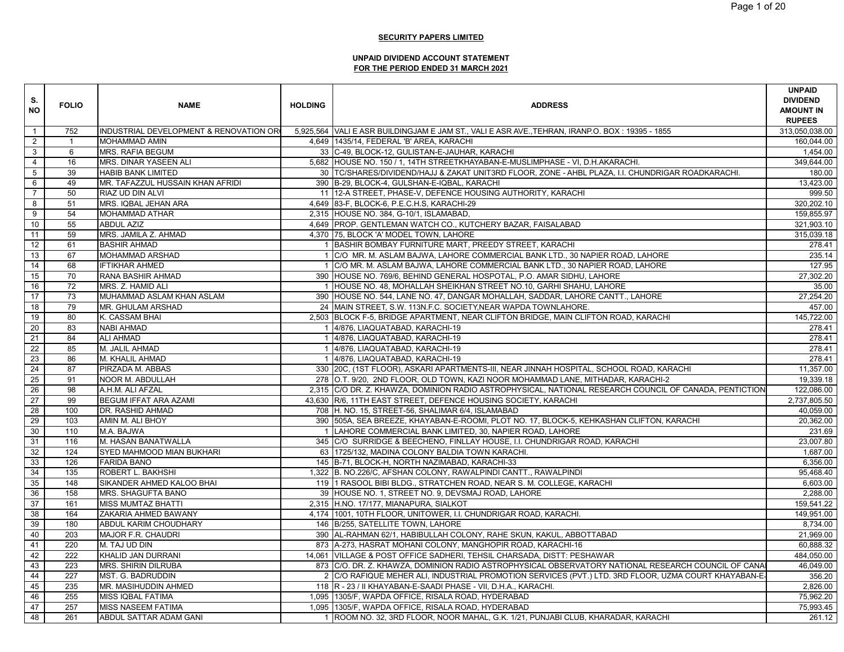| S.<br><b>NO</b> | <b>FOLIO</b> | <b>NAME</b>                            | <b>HOLDING</b> | <b>ADDRESS</b>                                                                                         | <b>UNPAID</b><br><b>DIVIDEND</b><br><b>AMOUNT IN</b><br><b>RUPEES</b> |
|-----------------|--------------|----------------------------------------|----------------|--------------------------------------------------------------------------------------------------------|-----------------------------------------------------------------------|
| $\mathbf{1}$    | 752          | INDUSTRIAL DEVELOPMENT & RENOVATION OR |                | 5,925,564   VALI E ASR BUILDINGJAM E JAM ST., VALI E ASR AVE., TEHRAN, IRANP.O. BOX : 19395 - 1855     | 313,050,038.00                                                        |
| $\overline{2}$  |              | <b>MOHAMMAD AMIN</b>                   |                | 4,649 1435/14, FEDERAL 'B' AREA, KARACHI                                                               | 160,044.00                                                            |
| $\mathbf{3}$    | 6            | <b>MRS. RAFIA BEGUM</b>                |                | 33 C-49, BLOCK-12, GULISTAN-E-JAUHAR, KARACHI                                                          | 1,454.00                                                              |
| $\overline{4}$  | 16           | MRS. DINAR YASEEN ALI                  |                | 5,682 HOUSE NO. 150 / 1, 14TH STREETKHAYABAN-E-MUSLIMPHASE - VI, D.H.AKARACHI.                         | 349,644.00                                                            |
| $5\phantom{.0}$ | 39           | <b>HABIB BANK LIMITED</b>              |                | 30 TC/SHARES/DIVIDEND/HAJJ & ZAKAT UNIT3RD FLOOR, ZONE - AHBL PLAZA, I.I. CHUNDRIGAR ROADKARACHI       | 180.00                                                                |
| 6               | 49           | MR. TAFAZZUL HUSSAIN KHAN AFRIDI       |                | 390 B-29, BLOCK-4, GULSHAN-E-IQBAL, KARACHI                                                            | 13,423.00                                                             |
| $\overline{7}$  | 50           | RIAZ UD DIN ALVI                       |                | 11 12-A STREET, PHASE-V, DEFENCE HOUSING AUTHORITY, KARACHI                                            | 999.50                                                                |
| 8               | 51           | MRS. IQBAL JEHAN ARA                   |                | 4,649 83-F, BLOCK-6, P.E.C.H.S, KARACHI-29                                                             | 320,202.10                                                            |
| 9               | 54           | <b>MOHAMMAD ATHAR</b>                  |                | 2,315 HOUSE NO. 384, G-10/1, ISLAMABAD,                                                                | 159,855.97                                                            |
| 10              | 55           | <b>ABDUL AZIZ</b>                      |                | 4,649 PROP. GENTLEMAN WATCH CO., KUTCHERY BAZAR, FAISALABAD                                            | 321.903.10                                                            |
| 11              | 59           | MRS. JAMILA Z. AHMAD                   |                | 4,370 75, BLOCK 'A' MODEL TOWN, LAHORE                                                                 | 315,039.18                                                            |
| 12              | 61           | <b>BASHIR AHMAD</b>                    |                | 1 BASHIR BOMBAY FURNITURE MART, PREEDY STREET, KARACHI                                                 | 278.41                                                                |
| 13              | 67           | <b>MOHAMMAD ARSHAD</b>                 |                | 1 C/O MR. M. ASLAM BAJWA, LAHORE COMMERCIAL BANK LTD., 30 NAPIER ROAD, LAHORE                          | 235.14                                                                |
| 14              | 68           | <b>IFTIKHAR AHMED</b>                  |                | 1 C/O MR. M. ASLAM BAJWA, LAHORE COMMERCIAL BANK LTD., 30 NAPIER ROAD, LAHORE                          | 127.95                                                                |
| 15              | 70           | RANA BASHIR AHMAD                      |                | 390 HOUSE NO. 769/6, BEHIND GENERAL HOSPOTAL, P.O. AMAR SIDHU, LAHORE                                  | 27,302.20                                                             |
| 16              | 72           | MRS. Z. HAMID ALI                      |                | 1 HOUSE NO. 48, MOHALLAH SHEIKHAN STREET NO.10, GARHI SHAHU, LAHORE                                    | 35.00                                                                 |
| 17              | 73           | MUHAMMAD ASLAM KHAN ASLAM              |                | 390 HOUSE NO. 544, LANE NO. 47, DANGAR MOHALLAH, SADDAR, LAHORE CANTT., LAHORE                         | 27,254.20                                                             |
| 18              | 79           | MR. GHULAM ARSHAD                      |                | 24 MAIN STREET, S.W. 113N.F.C. SOCIETY, NEAR WAPDA TOWNLAHORE.                                         | 457.00                                                                |
| 19              | 80           | K. CASSAM BHAI                         |                | 2,503 BLOCK F-5, BRIDGE APARTMENT, NEAR CLIFTON BRIDGE, MAIN CLIFTON ROAD, KARACHI                     | 145.722.00                                                            |
| 20              | 83           | <b>NABI AHMAD</b>                      |                | 4/876, LIAQUATABAD, KARACHI-19                                                                         | 278.41                                                                |
| 21              | 84           | <b>ALI AHMAD</b>                       |                | 1 4/876, LIAQUATABAD, KARACHI-19                                                                       | 278.41                                                                |
| 22              | 85           | M. JALIL AHMAD                         |                | 1 4/876, LIAQUATABAD, KARACHI-19                                                                       | 278.41                                                                |
| 23              | 86           | M. KHALIL AHMAD                        |                | 1 4/876, LIAQUATABAD, KARACHI-19                                                                       | 278.41                                                                |
| 24              | 87           | PIRZADA M. ABBAS                       |                | 330 20C, (1ST FLOOR), ASKARI APARTMENTS-III, NEAR JINNAH HOSPITAL, SCHOOL ROAD, KARACHI                | 11,357.00                                                             |
| 25              | 91           | NOOR M. ABDULLAH                       |                | 278 O.T. 9/20, 2ND FLOOR, OLD TOWN, KAZI NOOR MOHAMMAD LANE, MITHADAR, KARACHI-2                       | 19,339.18                                                             |
| 26              | 98           | A.H.M. ALI AFZAL                       |                | 2,315 C/O DR. Z. KHAWZA, DOMINION RADIO ASTROPHYSICAL, NATIONAL RESEARCH COUNCIL OF CANADA, PENTICTION | 122,086.00                                                            |
| 27              | 99           | <b>BEGUM IFFAT ARA AZAMI</b>           |                | 43,630 R/6, 11TH EAST STREET, DEFENCE HOUSING SOCIETY, KARACHI                                         | 2,737,805.50                                                          |
| 28              | 100          | DR. RASHID AHMAD                       |                | 708 H. NO. 15, STREET-56, SHALIMAR 6/4, ISLAMABAD                                                      | $\overline{40}$ ,059.00                                               |
| 29              | 103          | AMIN M. ALI BHOY                       |                | 390 505A, SEA BREEZE, KHAYABAN-E-ROOMI, PLOT NO. 17, BLOCK-5, KEHKASHAN CLIFTON, KARACHI               | 20,362.00                                                             |
| 30              | 110          | M.A. BAJWA                             |                | 1 LAHORE COMMERCIAL BANK LIMITED, 30, NAPIER ROAD, LAHORE                                              | 231.69                                                                |
| 31              | 116          | M. HASAN BANATWALLA                    |                | 345 C/O SURRIDGE & BEECHENO, FINLLAY HOUSE, I.I. CHUNDRIGAR ROAD, KARACHI                              | 23,007.80                                                             |
| 32              | 124          | SYED MAHMOOD MIAN BUKHARI              |                | 63 1725/132, MADINA COLONY BALDIA TOWN KARACHI.                                                        | 1,687.00                                                              |
| 33              | 126          | <b>FARIDA BANO</b>                     |                | 145 B-71, BLOCK-H, NORTH NAZIMABAD, KARACHI-33                                                         | 6,356.00                                                              |
| 34              | 135          | ROBERT L. BAKHSHI                      |                | 1,322 B. NO.226/C, AFSHAN COLONY, RAWALPINDI CANTT., RAWALPINDI                                        | 95,468.40                                                             |
| 35              | 148          | SIKANDER AHMED KALOO BHAI              |                | 119 1 RASOOL BIBI BLDG., STRATCHEN ROAD, NEAR S. M. COLLEGE, KARACHI                                   | 6,603.00                                                              |
| 36              | 158          | <b>MRS. SHAGUFTA BANO</b>              |                | 39 HOUSE NO. 1, STREET NO. 9, DEVSMAJ ROAD, LAHORE                                                     | 2.288.00                                                              |
| 37              | 161          | <b>MISS MUMTAZ BHATTI</b>              |                | 2,315 H.NO. 17/177, MIANAPURA, SIALKOT                                                                 | 159,541.22                                                            |
| 38              | 164          | ZAKARIA AHMED BAWANY                   |                | 4,174 1001, 10TH FLOOR, UNITOWER, I.I. CHUNDRIGAR ROAD, KARACHI.                                       | 149,951.00                                                            |
| 39              | 180          | ABDUL KARIM CHOUDHARY                  |                | 146 B/255, SATELLITE TOWN, LAHORE                                                                      | 8,734.00                                                              |
| 40              | 203          | MAJOR F.R. CHAUDRI                     |                | 390 AL-RAHMAN 62/1, HABIBULLAH COLONY, RAHE SKUN, KAKUL, ABBOTTABAD                                    | 21,969.00                                                             |
| 41              | 220          | M. TAJ UD DIN                          |                | 873 A-273, HASRAT MOHANI COLONY, MANGHOPIR ROAD, KARACHI-16                                            | 60,888.32                                                             |
| 42              | 222          | KHALID JAN DURRANI                     |                | 14,061 VILLAGE & POST OFFICE SADHERI, TEHSIL CHARSADA, DISTT: PESHAWAR                                 | 484,050.00                                                            |
| 43              | 223          | <b>MRS. SHIRIN DILRUBA</b>             |                | 873 C/O. DR. Z. KHAWZA, DOMINION RADIO ASTROPHYSICAL OBSERVATORY NATIONAL RESEARCH COUNCIL OF CANA     | 46,049.00                                                             |
| 44              | 227          | <b>MST. G. BADRUDDIN</b>               |                | 2 C/O RAFIQUE MEHER ALI, INDUSTRIAL PROMOTION SERVICES (PVT.) LTD. 3RD FLOOR, UZMA COURT KHAYABAN-E    | 356.20                                                                |
| 45              | 235          | MR. MASIHUDDIN AHMED                   |                | 118 R - 23 / II KHAYABAN-E-SAADI PHASE - VII, D.H.A., KARACHI.                                         | 2.826.00                                                              |
| 46              | 255          | MISS IQBAL FATIMA                      |                | 1,095 1305/F, WAPDA OFFICE, RISALA ROAD, HYDERABAD                                                     | 75,962.20                                                             |
| 47              | 257          | <b>MISS NASEEM FATIMA</b>              |                | 1,095 1305/F, WAPDA OFFICE, RISALA ROAD, HYDERABAD                                                     | 75,993.45                                                             |
| 48              | 261          | ABDUL SATTAR ADAM GANI                 |                | 1 ROOM NO. 32, 3RD FLOOR, NOOR MAHAL, G.K. 1/21, PUNJABI CLUB, KHARADAR, KARACHI                       | 261.12                                                                |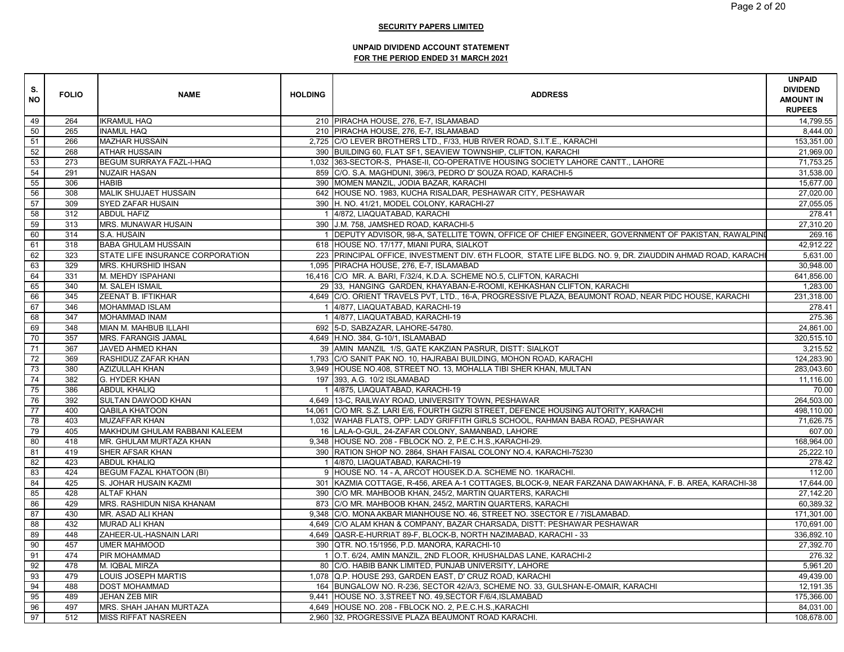| S.<br><b>NO</b> | <b>FOLIO</b> | <b>NAME</b>                      | <b>HOLDING</b> | <b>ADDRESS</b>                                                                                           | <b>UNPAID</b><br><b>DIVIDEND</b><br><b>AMOUNT IN</b><br><b>RUPEES</b> |
|-----------------|--------------|----------------------------------|----------------|----------------------------------------------------------------------------------------------------------|-----------------------------------------------------------------------|
| 49              | 264          | <b>IKRAMUL HAQ</b>               |                | 210 PIRACHA HOUSE, 276, E-7, ISLAMABAD                                                                   | 14,799.55                                                             |
| 50              | 265          | <b>INAMUL HAQ</b>                |                | 210 PIRACHA HOUSE, 276, E-7, ISLAMABAD                                                                   | 8.444.00                                                              |
| 51              | 266          | <b>MAZHAR HUSSAIN</b>            |                | 2,725 C/O LEVER BROTHERS LTD., F/33, HUB RIVER ROAD, S.I.T.E., KARACHI                                   | 153,351.00                                                            |
| 52              | 268          | <b>ATHAR HUSSAIN</b>             |                | 390 BUILDING 60, FLAT SF1, SEAVIEW TOWNSHIP, CLIFTON, KARACHI                                            | 21,969.00                                                             |
| 53              | 273          | BEGUM SURRAYA FAZL-I-HAQ         |                | 1,032 363-SECTOR-S, PHASE-II, CO-OPERATIVE HOUSING SOCIETY LAHORE CANTT., LAHORE                         | 71,753.25                                                             |
| 54              | 291          | <b>NUZAIR HASAN</b>              |                | 859 C/O. S.A. MAGHDUNI, 396/3, PEDRO D' SOUZA ROAD, KARACHI-5                                            | 31,538.00                                                             |
| 55              | 306          | <b>HABIB</b>                     |                | 390 MOMEN MANZIL, JODIA BAZAR, KARACHI                                                                   | 15,677.00                                                             |
| 56              | 308          | MALIK SHUJAET HUSSAIN            |                | 642 HOUSE NO. 1983, KUCHA RISALDAR, PESHAWAR CITY, PESHAWAR                                              | 27,020.00                                                             |
| 57              | 309          | SYED ZAFAR HUSAIN                |                | 390 H. NO. 41/21, MODEL COLONY, KARACHI-27                                                               | 27,055.05                                                             |
| 58              | 312          | <b>ABDUL HAFIZ</b>               |                | 1 4/872, LIAQUATABAD, KARACHI                                                                            | 278.41                                                                |
| 59              | 313          | MRS. MUNAWAR HUSAIN              |                | 390 J.M. 758, JAMSHED ROAD, KARACHI-5                                                                    | 27,310.20                                                             |
| 60              | 314          | S.A. HUSAIN                      |                | DEPUTY ADVISOR, 98-A, SATELLITE TOWN, OFFICE OF CHIEF ENGINEER, GOVERNMENT OF PAKISTAN, RAWALPINI        | 269.16                                                                |
| 61              | 318          | <b>BABA GHULAM HUSSAIN</b>       |                | 618 HOUSE NO. 17/177, MIANI PURA, SIALKOT                                                                | 42,912.22                                                             |
| 62              | 323          | STATE LIFE INSURANCE CORPORATION |                | 223 PRINCIPAL OFFICE, INVESTMENT DIV. 6TH FLOOR, STATE LIFE BLDG. NO. 9, DR. ZIAUDDIN AHMAD ROAD, KARACH | 5.631.00                                                              |
| 63              | 329          | MRS. KHURSHID IHSAN              |                | 1,095 PIRACHA HOUSE, 276, E-7, ISLAMABAD                                                                 | 30,948.00                                                             |
| 64              | 331          | M. MEHDY ISPAHANI                |                | 16,416 C/O MR. A. BARI, F/32/4, K.D.A. SCHEME NO.5, CLIFTON, KARACHI                                     | 641,856.00                                                            |
| 65              | 340          | M. SALEH ISMAIL                  |                | 29 33, HANGING GARDEN, KHAYABAN-E-ROOMI, KEHKASHAN CLIFTON, KARACHI                                      | 1,283.00                                                              |
| 66              | 345          | ZEENAT B. IFTIKHAR               |                | 4,649 C/O. ORIENT TRAVELS PVT, LTD., 16-A, PROGRESSIVE PLAZA, BEAUMONT ROAD, NEAR PIDC HOUSE, KARACHI    | 231,318.00                                                            |
| 67              | 346          | <b>MOHAMMAD ISLAM</b>            |                | 1 4/877, LIAQUATABAD, KARACHI-19                                                                         | 278.41                                                                |
| 68              | 347          | MOHAMMAD INAM                    |                | 1 4/877, LIAQUATABAD, KARACHI-19                                                                         | 275.36                                                                |
| 69              | 348          | MIAN M. MAHBUB ILLAHI            |                | 692 5-D, SABZAZAR, LAHORE-54780.                                                                         | 24,861.00                                                             |
| 70              | 357          | <b>MRS. FARANGIS JAMAL</b>       |                | 4,649 H.NO. 384, G-10/1, ISLAMABAD                                                                       | 320,515.10                                                            |
| 71              | 367          | JAVED AHMED KHAN                 |                | 39 AMIN MANZIL 1/S, GATE KAKZIAN PASRUR, DISTT: SIALKOT                                                  | 3,215.52                                                              |
| 72              | 369          | RASHIDUZ ZAFAR KHAN              |                | 1,793 C/O SANIT PAK NO. 10, HAJRABAI BUILDING, MOHON ROAD, KARACHI                                       | 124,283.90                                                            |
| 73              | 380          | <b>AZIZULLAH KHAN</b>            |                | 3,949 HOUSE NO.408, STREET NO. 13, MOHALLA TIBI SHER KHAN, MULTAN                                        | 283,043.60                                                            |
| 74              | 382          | G. HYDER KHAN                    |                | 197 393, A.G. 10/2 ISLAMABAD                                                                             | 11,116.00                                                             |
| 75              | 386          | <b>ABDUL KHALIQ</b>              |                | 1 4/875, LIAQUATABAD, KARACHI-19                                                                         | 70.00                                                                 |
| 76              | 392          | SULTAN DAWOOD KHAN               |                | 4,649 13-C, RAILWAY ROAD, UNIVERSITY TOWN, PESHAWAR                                                      | 264,503.00                                                            |
| 77              | 400          | <b>QABILA KHATOON</b>            |                | 14,061 C/O MR. S.Z. LARI E/6, FOURTH GIZRI STREET, DEFENCE HOUSING AUTORITY, KARACHI                     | 498,110.00                                                            |
| $\overline{78}$ | 403          | <b>MUZAFFAR KHAN</b>             |                | 1,032 WAHAB FLATS, OPP: LADY GRIFFITH GIRLS SCHOOL, RAHMAN BABA ROAD, PESHAWAR                           | 71,626.75                                                             |
| 79              | 405          | MAKHDUM GHULAM RABBANI KALEEM    |                | 16 LALA-O-GUL, 24-ZAFAR COLONY, SAMANBAD, LAHORE                                                         | 607.00                                                                |
| 80              | 418          | MR. GHULAM MURTAZA KHAN          |                | 9,348 HOUSE NO. 208 - FBLOCK NO. 2, P.E.C.H.S., KARACHI-29.                                              | 168,964.00                                                            |
| 81              | 419          | SHER AFSAR KHAN                  |                | 390 RATION SHOP NO. 2864, SHAH FAISAL COLONY NO.4, KARACHI-75230                                         | 25,222.10                                                             |
| 82              | 423          | <b>ABDUL KHALIQ</b>              |                | 4/870, LIAQUATABAD, KARACHI-19                                                                           | 278.42                                                                |
| 83              | 424          | <b>BEGUM FAZAL KHATOON (BI)</b>  |                | 9 HOUSE NO. 14 - A, ARCOT HOUSEK.D.A. SCHEME NO. 1KARACHI.                                               | 112.00                                                                |
| 84              | 425          | S. JOHAR HUSAIN KAZMI            |                | 301 KAZMIA COTTAGE, R-456, AREA A-1 COTTAGES, BLOCK-9, NEAR FARZANA DAWAKHANA, F. B. AREA, KARACHI-38    | 17,644.00                                                             |
| 85              | 428          | <b>ALTAF KHAN</b>                |                | 390 C/O MR. MAHBOOB KHAN, 245/2, MARTIN QUARTERS, KARACHI                                                | 27,142.20                                                             |
| 86              | 429          | MRS. RASHIDUN NISA KHANAM        |                | 873 C/O MR. MAHBOOB KHAN, 245/2, MARTIN QUARTERS, KARACHI                                                | 60.389.32                                                             |
| 87              | 430          | MR. ASAD ALI KHAN                |                | 9,348 C/O. MONA AKBAR MIANHOUSE NO. 46, STREET NO. 3SECTOR E / 7ISLAMABAD.                               | 171,301.00                                                            |
| 88              | 432          | <b>MURAD ALI KHAN</b>            |                | 4,649 C/O ALAM KHAN & COMPANY, BAZAR CHARSADA, DISTT: PESHAWAR PESHAWAR                                  | 170,691.00                                                            |
| 89              | 448          | ZAHEER-UL-HASNAIN LARI           |                | 4,649 QASR-E-HURRIAT 89-F, BLOCK-B, NORTH NAZIMABAD, KARACHI - 33                                        | 336,892.10                                                            |
| 90              | 457          | <b>UMER MAHMOOD</b>              |                | 390 QTR. NO.15/1956, P.D. MANORA, KARACHI-10                                                             | 27,392.70                                                             |
| 91              | 474          | PIR MOHAMMAD                     |                | 1 O.T. 6/24, AMIN MANZIL, 2ND FLOOR, KHUSHALDAS LANE, KARACHI-2                                          | 276.32                                                                |
| 92              | 478          | M. IQBAL MIRZA                   |                | 80 C/O. HABIB BANK LIMITED, PUNJAB UNIVERSITY, LAHORE                                                    | 5,961.20                                                              |
| 93              | 479          | LOUIS JOSEPH MARTIS              |                | 1,078 Q.P. HOUSE 293, GARDEN EAST, D' CRUZ ROAD, KARACHI                                                 | 49,439.00                                                             |
| 94              | 488          | <b>DOST MOHAMMAD</b>             |                | 164 BUNGALOW NO. R-236, SECTOR 42/A/3, SCHEME NO. 33, GULSHAN-E-OMAIR, KARACHI                           | 12,191.35                                                             |
| 95              | 489          | <b>JEHAN ZEB MIR</b>             |                | 9,441 HOUSE NO. 3, STREET NO. 49, SECTOR F/6/4, ISLAMABAD                                                | 175,366.00                                                            |
| 96              | 497          | MRS. SHAH JAHAN MURTAZA          |                | 4,649 HOUSE NO. 208 - FBLOCK NO. 2, P.E.C.H.S., KARACHI                                                  | 84,031.00                                                             |
| 97              | 512          | <b>MISS RIFFAT NASREEN</b>       |                | 2,960 32, PROGRESSIVE PLAZA BEAUMONT ROAD KARACHI.                                                       | 108,678.00                                                            |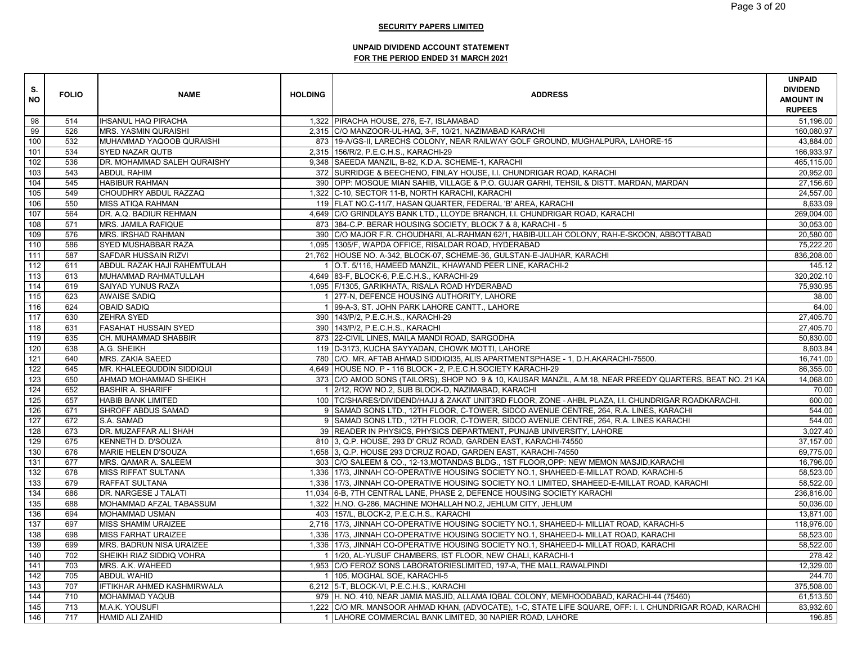| S.<br>NO | <b>FOLIO</b> | <b>NAME</b>                 | <b>HOLDING</b> | <b>ADDRESS</b>                                                                                                                                    | <b>UNPAID</b><br><b>DIVIDEND</b><br><b>AMOUNT IN</b><br><b>RUPEES</b> |
|----------|--------------|-----------------------------|----------------|---------------------------------------------------------------------------------------------------------------------------------------------------|-----------------------------------------------------------------------|
| 98       | 514          | <b>IHSANUL HAQ PIRACHA</b>  |                | 1,322 PIRACHA HOUSE, 276, E-7, ISLAMABAD                                                                                                          | 51.196.00                                                             |
| 99       | 526          | <b>MRS. YASMIN QURAISHI</b> |                | 2,315 C/O MANZOOR-UL-HAQ, 3-F, 10/21, NAZIMABAD KARACHI                                                                                           | 160,080.97                                                            |
| 100      | 532          | MUHAMMAD YAQOOB QURAISHI    |                | 873   19-A/GS-II, LARECHS COLONY, NEAR RAILWAY GOLF GROUND, MUGHALPURA, LAHORE-15                                                                 | 43,884.00                                                             |
| 101      | 534          | <b>SYED NAZAR QUTB</b>      |                | 2,315 156/R/2, P.E.C.H.S., KARACHI-29                                                                                                             | 166,933.97                                                            |
| 102      | 536          | DR. MOHAMMAD SALEH QURAISHY |                | 9,348 SAEEDA MANZIL, B-82, K.D.A. SCHEME-1, KARACHI                                                                                               | 465,115.00                                                            |
| 103      | 543          | <b>ABDUL RAHIM</b>          |                | 372 SURRIDGE & BEECHENO, FINLAY HOUSE, I.I. CHUNDRIGAR ROAD, KARACHI                                                                              | 20,952.00                                                             |
| 104      | 545          | <b>HABIBUR RAHMAN</b>       |                | 390 OPP: MOSQUE MIAN SAHIB, VILLAGE & P.O. GUJAR GARHI, TEHSIL & DISTT. MARDAN, MARDAN                                                            | 27,156.60                                                             |
| 105      | 549          | CHOUDHRY ABDUL RAZZAQ       |                | 1,322 C-10, SECTOR 11-B, NORTH KARACHI, KARACHI                                                                                                   | 24,557.00                                                             |
| 106      | 550          | <b>MISS ATIQA RAHMAN</b>    |                | 119 FLAT NO.C-11/7, HASAN QUARTER, FEDERAL 'B' AREA, KARACHI                                                                                      | 8,633.09                                                              |
| 107      | 564          | DR. A.Q. BADIUR REHMAN      |                | 4,649 C/O GRINDLAYS BANK LTD., LLOYDE BRANCH, I.I. CHUNDRIGAR ROAD, KARACHI                                                                       | 269,004.00                                                            |
| 108      | 571          | MRS. JAMILA RAFIQUE         |                | 873 384-C.P. BERAR HOUSING SOCIETY, BLOCK 7 & 8, KARACHI - 5                                                                                      | 30,053.00                                                             |
| 109      | 576          | MRS. IRSHAD RAHMAN          |                |                                                                                                                                                   | 20,580.00                                                             |
| 110      | 586          | SYED MUSHABBAR RAZA         |                | 390 C/O MAJOR F.R. CHOUDHARI, AL-RAHMAN 62/1, HABIB-ULLAH COLONY, RAH-E-SKOON, ABBOTTABAD<br>1,095 1305/F, WAPDA OFFICE, RISALDAR ROAD, HYDERABAD | 75,222.20                                                             |
| 111      | 587          | SAFDAR HUSSAIN RIZVI        |                | 21,762 HOUSE NO. A-342, BLOCK-07, SCHEME-36, GULSTAN-E-JAUHAR, KARACHI                                                                            | 836,208.00                                                            |
|          |              |                             |                |                                                                                                                                                   |                                                                       |
| 112      | 611          | ABDUL RAZAK HAJI RAHEMTULAH |                | O.T. 5/116, HAMEED MANZIL, KHAWAND PEER LINE, KARACHI-2                                                                                           | 145.12<br>320,202.10                                                  |
| 113      | 613          | MUHAMMAD RAHMATULLAH        |                | 4,649 83-F, BLOCK-6, P.E.C.H.S., KARACHI-29                                                                                                       |                                                                       |
| 114      | 619          | SAIYAD YUNUS RAZA           |                | 1,095 F/1305, GARIKHATA, RISALA ROAD HYDERABAD                                                                                                    | 75,930.95                                                             |
| 115      | 623          | <b>AWAISE SADIQ</b>         |                | 277-N, DEFENCE HOUSING AUTHORITY, LAHORE                                                                                                          | 38.00                                                                 |
| 116      | 624          | <b>OBAID SADIQ</b>          |                | 99-A-3, ST. JOHN PARK LAHORE CANTT., LAHORE                                                                                                       | 64.00                                                                 |
| 117      | 630          | <b>ZEHRA SYED</b>           |                | 390   143/P/2, P.E.C.H.S., KARACHI-29                                                                                                             | 27,405.70                                                             |
| 118      | 631          | <b>FASAHAT HUSSAIN SYED</b> |                | 390 143/P/2, P.E.C.H.S., KARACHI                                                                                                                  | 27,405.70                                                             |
| 119      | 635          | CH. MUHAMMAD SHABBIR        |                | 873 22-CIVIL LINES, MAILA MANDI ROAD, SARGODHA                                                                                                    | 50,830.00                                                             |
| 120      | 638          | A.G. SHEIKH                 |                | 119   D-3173, KUCHA SAYYADAN, CHOWK MOTTI, LAHORE                                                                                                 | 8,603.84                                                              |
| 121      | 640          | MRS. ZAKIA SAEED            |                | 780 C/O. MR. AFTAB AHMAD SIDDIQI35, ALIS APARTMENTSPHASE - 1, D.H.AKARACHI-75500.                                                                 | 16,741.00                                                             |
| 122      | 645          | MR. KHALEEQUDDIN SIDDIQUI   |                | 4,649 HOUSE NO. P - 116 BLOCK - 2, P.E.C.H.SOCIETY KARACHI-29                                                                                     | 86,355.00                                                             |
| 123      | 650          | AHMAD MOHAMMAD SHEIKH       |                | 373 C/O AMOD SONS (TAILORS), SHOP NO. 9 & 10, KAUSAR MANZIL, A.M.18, NEAR PREEDY QUARTERS, BEAT NO. 21 KA                                         | 14,068.00                                                             |
| 124      | 652          | <b>BASHIR A. SHARIFF</b>    |                | 1 2/12, ROW NO.2, SUB BLOCK-D, NAZIMABAD, KARACHI                                                                                                 | 70.00                                                                 |
| 125      | 657          | <b>HABIB BANK LIMITED</b>   |                | 100 TC/SHARES/DIVIDEND/HAJJ & ZAKAT UNIT3RD FLOOR, ZONE - AHBL PLAZA, I.I. CHUNDRIGAR ROADKARACHI.                                                | 600.00                                                                |
| 126      | 671          | SHROFF ABDUS SAMAD          |                | 9 SAMAD SONS LTD., 12TH FLOOR, C-TOWER, SIDCO AVENUE CENTRE, 264, R.A. LINES, KARACHI                                                             | 544.00                                                                |
| 127      | 672          | S.A. SAMAD                  |                | 9 SAMAD SONS LTD., 12TH FLOOR, C-TOWER, SIDCO AVENUE CENTRE, 264, R.A. LINES KARACHI                                                              | 544.00                                                                |
| 128      | 673          | DR. MUZAFFAR ALI SHAH       |                | 39 READER IN PHYSICS, PHYSICS DEPARTMENT, PUNJAB UNIVERSITY, LAHORE                                                                               | 3,027.40                                                              |
| 129      | 675          | KENNETH D. D'SOUZA          |                | 810 3, Q.P. HOUSE, 293 D' CRUZ ROAD, GARDEN EAST, KARACHI-74550                                                                                   | 37,157.00                                                             |
| 130      | 676          | MARIE HELEN D'SOUZA         |                | 1,658 3, Q.P. HOUSE 293 D'CRUZ ROAD, GARDEN EAST, KARACHI-74550                                                                                   | 69,775.00                                                             |
| 131      | 677          | MRS. QAMAR A. SALEEM        |                | 303 C/O SALEEM & CO., 12-13, MOTANDAS BLDG., 1ST FLOOR, OPP: NEW MEMON MASJID, KARACHI                                                            | 16,796.00                                                             |
| 132      | 678          | <b>MISS RIFFAT SULTANA</b>  |                | 1,336 17/3, JINNAH CO-OPERATIVE HOUSING SOCIETY NO.1, SHAHEED-E-MILLAT ROAD, KARACHI-5                                                            | 58,523.00                                                             |
| 133      | 679          | RAFFAT SULTANA              |                | 1,336 17/3, JINNAH CO-OPERATIVE HOUSING SOCIETY NO.1 LIMITED, SHAHEED-E-MILLAT ROAD, KARACHI                                                      | 58.522.00                                                             |
| 134      | 686          | DR. NARGESE J TALATI        |                | 11,034 6-B, 7TH CENTRAL LANE, PHASE 2, DEFENCE HOUSING SOCIETY KARACHI                                                                            | 236,816.00                                                            |
| 135      | 688          | MOHAMMAD AFZAL TABASSUM     |                | 1,322 H.NO. G-286, MACHINE MOHALLAH NO.2, JEHLUM CITY, JEHLUM                                                                                     | 50,036.00                                                             |
| 136      | 694          | <b>MOHAMMAD USMAN</b>       |                | 403 157/L, BLOCK-2, P.E.C.H.S., KARACHI                                                                                                           | 13,871.00                                                             |
| 137      | 697          | MISS SHAMIM URAIZEE         |                | 2,716   17/3, JINNAH CO-OPERATIVE HOUSING SOCIETY NO.1, SHAHEED-I- MILLIAT ROAD, KARACHI-5                                                        | 118,976.00                                                            |
| 138      | 698          | <b>MISS FARHAT URAIZEE</b>  |                | 1,336   17/3, JINNAH CO-OPERATIVE HOUSING SOCIETY NO.1, SHAHEED-I- MILLAT ROAD, KARACHI                                                           | 58,523.00                                                             |
| 139      | 699          | MRS. BADRUN NISA URAIZEE    |                | 1,336   17/3, JINNAH CO-OPERATIVE HOUSING SOCIETY NO.1, SHAHEED-I- MILLAT ROAD, KARACHI                                                           | 58,522.00                                                             |
| 140      | 702          | SHEIKH RIAZ SIDDIQ VOHRA    |                | 1/20, AL-YUSUF CHAMBERS, IST FLOOR, NEW CHALI, KARACHI-1                                                                                          | 278.42                                                                |
| 141      | 703          | MRS. A.K. WAHEED            |                | 1,953 C/O FEROZ SONS LABORATORIESLIMITED, 197-A, THE MALL, RAWALPINDI                                                                             | 12,329.00                                                             |
| 142      | 705          | <b>ABDUL WAHID</b>          |                | 1 105, MOGHAL SOE, KARACHI-5                                                                                                                      | 244.70                                                                |
| 143      | 707          | IFTIKHAR AHMED KASHMIRWALA  |                | 6,212 5-T, BLOCK-VI, P.E.C.H.S., KARACHI                                                                                                          | 375,508.00                                                            |
| 144      | 710          | <b>MOHAMMAD YAQUB</b>       |                | 979 H. NO. 410, NEAR JAMIA MASJID, ALLAMA IQBAL COLONY, MEMHOODABAD, KARACHI-44 (75460)                                                           | 61.513.50                                                             |
| 145      | 713          | M.A.K. YOUSUFI              |                | 1,222 C/O MR. MANSOOR AHMAD KHAN, (ADVOCATE), 1-C, STATE LIFE SQUARE, OFF: I. I. CHUNDRIGAR ROAD, KARACHI                                         | 83,932.60                                                             |
| 146      | 717          | <b>HAMID ALI ZAHID</b>      |                | 1 LAHORE COMMERCIAL BANK LIMITED, 30 NAPIER ROAD, LAHORE                                                                                          | 196.85                                                                |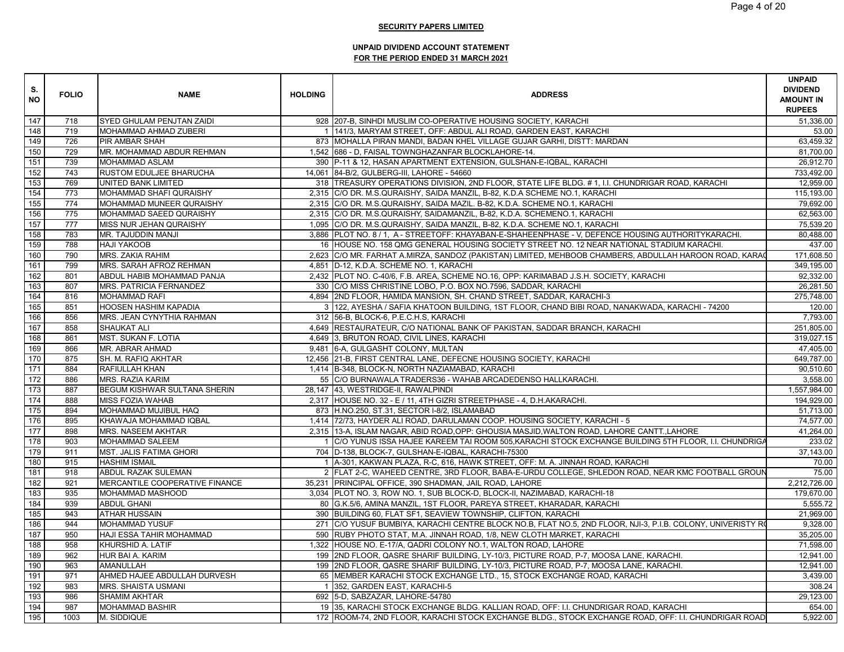| 147<br>SYED GHULAM PENJTAN ZAIDI<br>928 207-B, SINHDI MUSLIM CO-OPERATIVE HOUSING SOCIETY, KARACHI<br>718<br>148<br>719<br>MOHAMMAD AHMAD ZUBERI<br>141/3, MARYAM STREET, OFF: ABDUL ALI ROAD, GARDEN EAST, KARACHI<br>149<br>726<br>PIR AMBAR SHAH<br>873 MOHALLA PIRAN MANDI, BADAN KHEL VILLAGE GUJAR GARHI, DISTT: MARDAN<br>150<br>MR. MOHAMMAD ABDUR REHMAN<br>729<br>1,542 686 - D. FAISAL TOWNGHAZANFAR BLOCKLAHORE-14.<br>151<br>390 P-11 & 12, HASAN APARTMENT EXTENSION, GULSHAN-E-IQBAL, KARACHI<br>739<br>MOHAMMAD ASLAM<br>152<br>743<br>RUSTOM EDULJEE BHARUCHA<br>14,061 84-B/2, GULBERG-III, LAHORE - 54660<br>153<br>769<br>318 TREASURY OPERATIONS DIVISION, 2ND FLOOR, STATE LIFE BLDG. #1, I.I. CHUNDRIGAR ROAD, KARACHI<br>UNITED BANK LIMITED<br>154<br>773<br>MOHAMMAD SHAFI QURAISHY<br>2,315 C/O DR. M.S.QURAISHY, SAIDA MANZIL, B-82, K.D.A SCHEME NO.1, KARACHI<br>155<br>774<br>MOHAMMAD MUNEER QURAISHY<br>2,315 C/O DR. M.S.QURAISHY, SAIDA MAZIL. B-82, K.D.A. SCHEME NO.1, KARACHI<br>156<br>775<br>MOHAMMAD SAEED QURAISHY<br>2,315 C/O DR. M.S.QURAISHY, SAIDAMANZIL, B-82, K.D.A. SCHEMENO.1, KARACHI<br>157<br>777<br>1,095 C/O DR. M.S.QURAISHY, SAIDA MANZIL, B-82, K.D.A. SCHEME NO.1, KARACHI<br>MISS NUR JEHAN QURAISHY<br>158<br>783<br>MR. TAJUDDIN MANJI<br>3,886 PLOT NO. 8 / 1, A - STREETOFF: KHAYABAN-E-SHAHEENPHASE - V, DEFENCE HOUSING AUTHORITYKARACHI.<br>159<br>788<br>16 HOUSE NO. 158 QMG GENERAL HOUSING SOCIETY STREET NO. 12 NEAR NATIONAL STADIUM KARACHI.<br><b>HAJI YAKOOB</b><br>160<br>790<br>MRS. ZAKIA RAHIM<br>2,623 C/O MR. FARHAT A.MIRZA, SANDOZ (PAKISTAN) LIMITED, MEHBOOB CHAMBERS, ABDULLAH HAROON ROAD, KARAO<br>161<br>799<br>MRS. SARAH AFROZ REHMAN<br>4,851 D-12, K.D.A. SCHEME NO. 1, KARACHI<br>162<br>2,432 PLOT NO. C-40/6, F.B. AREA, SCHEME NO.16, OPP: KARIMABAD J.S.H. SOCIETY, KARACHI<br>801<br>ABDUL HABIB MOHAMMAD PANJA<br>92,332.00<br>163<br>807<br>MRS. PATRICIA FERNANDEZ<br>330 C/O MISS CHRISTINE LOBO, P.O. BOX NO.7596, SADDAR, KARACHI<br>26,281.50<br>164<br>816<br><b>MOHAMMAD RAFI</b><br>4,894   2ND FLOOR, HAMIDA MANSION, SH. CHAND STREET, SADDAR, KARACHI-3<br>275,748.00<br>165<br>851<br><b>HOOSEN HASHIM KAPADIA</b><br>3 122, AYESHA / SAFIA KHATOON BUILDING, 1ST FLOOR, CHAND BIBI ROAD, NANAKWADA, KARACHI - 74200<br>166<br>7,793.00<br>856<br>MRS. JEAN CYNYTHIA RAHMAN<br>312 56-B, BLOCK-6, P.E.C.H.S, KARACHI<br>167<br>4,649 RESTAURATEUR, C/O NATIONAL BANK OF PAKISTAN, SADDAR BRANCH, KARACHI<br>251,805.00<br>858<br><b>SHAUKAT ALI</b><br>168<br>MST. SUKAN F. LOTIA<br>4,649 3, BRUTON ROAD, CIVIL LINES, KARACHI<br>319,027.15<br>861<br>169<br>866<br>MR. ABRAR AHMAD<br>9,481 6-A, GULGASHT COLONY, MULTAN<br>47,405.00<br>170<br>12,456 21-B, FIRST CENTRAL LANE, DEFECNE HOUSING SOCIETY, KARACHI<br>649,787.00<br>875<br>SH. M. RAFIQ AKHTAR<br>171<br>884<br><b>RAFIULLAH KHAN</b><br>1,414 B-348, BLOCK-N, NORTH NAZIAMABAD, KARACHI<br>90,510.60<br>172<br>55 C/O BURNAWALA TRADERS36 - WAHAB ARCADEDENSO HALLKARACHI.<br>886<br><b>MRS. RAZIA KARIM</b><br>3,558.00<br>173<br>887<br>BEGUM KISHWAR SULTANA SHERIN<br>28,147 43, WESTRIDGE-II, RAWALPINDI<br>1,557,984.00<br>174<br>2,317 HOUSE NO. 32 - E / 11, 4TH GIZRI STREETPHASE - 4, D.H.AKARACHI.<br>888<br><b>MISS FOZIA WAHAB</b><br>194,929.00<br>$\frac{175}{2}$<br>894<br>MOHAMMAD MUJIBUL HAQ<br>873 H.NO.250, ST.31, SECTOR I-8/2, ISLAMABAD<br>51,713.00<br>176<br>KHAWAJA MOHAMMAD IQBAL<br>1,414 72/73, HAYDER ALI ROAD, DARULAMAN COOP. HOUSING SOCIETY, KARACHI - 5<br>895<br>74,577.00<br>177<br><b>MRS. NASEEM AKHTAR</b><br>2,315   13-A, ISLAM NAGAR, ABID ROAD, OPP: GHOUSIA MASJID, WALTON ROAD, LAHORE CANTT., LAHORE<br>41,264.00<br>898<br>178<br>903<br>MOHAMMAD SALEEM<br>C/O YUNUS ISSA HAJEE KAREEM TAI ROOM 505, KARACHI STOCK EXCHANGE BUILDING 5TH FLOOR, I.I. CHUNDRIGA<br>233.02<br>179<br>MST. JALIS FATIMA GHORI<br>37,143.00<br>911<br>704   D-138, BLOCK-7, GULSHAN-E-IQBAL, KARACHI-75300<br>180<br>A-301, KAKWAN PLAZA, R-C, 616, HAWK STREET, OFF: M. A. JINNAH ROAD, KARACHI<br>70.00<br>915<br><b>HASHIM ISMAIL</b><br>181<br>918<br>2 FLAT 2-C, WAHEED CENTRE, 3RD FLOOR, BABA-E-URDU COLLEGE, SHLEDON ROAD, NEAR KMC FOOTBALL GROUN<br>75.00<br>ABDUL RAZAK SULEMAN<br>182<br>921<br>MERCANTILE COOPERATIVE FINANCE<br>35,231 PRINCIPAL OFFICE, 390 SHADMAN, JAIL ROAD, LAHORE<br>2,212,726.00<br>183<br>MOHAMMAD MASHOOD<br>3,034 PLOT NO. 3, ROW NO. 1, SUB BLOCK-D, BLOCK-II, NAZIMABAD, KARACHI-18<br>179,670.00<br>935<br>184<br>939<br><b>ABDUL GHANI</b><br>80 G.K.5/6, AMINA MANZIL, 1ST FLOOR, PAREYA STREET, KHARADAR, KARACHI<br>5,555.72<br>185<br>21,969.00<br>943<br><b>ATHAR HUSSAIN</b><br>390 BUILDING 60, FLAT SF1, SEAVIEW TOWNSHIP, CLIFTON, KARACHI<br>186<br>944<br><b>MOHAMMAD YUSUF</b><br>271 C/O YUSUF BUMBIYA, KARACHI CENTRE BLOCK NO.B, FLAT NO.5, 2ND FLOOR, NJI-3, P.I.B. COLONY, UNIVERISTY RO<br>9,328.00<br>187<br>35,205.00<br>950<br>HAJI ESSA TAHIR MOHAMMAD<br>590 RUBY PHOTO STAT, M.A. JINNAH ROAD, 1/8, NEW CLOTH MARKET, KARACHI<br>188<br>71,598.00<br>958<br>KHURSHID A. LATIF<br>1,322 HOUSE NO. E-17/A, QADRI COLONY NO.1, WALTON ROAD, LAHORE<br>189<br>962<br>HUR BAI A. KARIM<br>199   2ND FLOOR, QASRE SHARIF BUILDING, LY-10/3, PICTURE ROAD, P-7, MOOSA LANE, KARACHI.<br>12,941.00<br>190<br>199   2ND FLOOR, QASRE SHARIF BUILDING, LY-10/3, PICTURE ROAD, P-7, MOOSA LANE, KARACHI.<br>12,941.00<br>963<br><b>AMANULLAH</b><br>191<br>AHMED HAJEE ABDULLAH DURVESH<br>971<br>65 MEMBER KARACHI STOCK EXCHANGE LTD., 15, STOCK EXCHANGE ROAD, KARACHI<br>3,439.00<br>192<br>983<br><b>MRS. SHAISTA USMANI</b><br>1 352, GARDEN EAST, KARACHI-5<br>308.24<br>193<br>986<br><b>SHAMIM AKHTAR</b><br>692 5-D, SABZAZAR, LAHORE-54780<br>29,123.00<br>194<br>MOHAMMAD BASHIR<br>19 35, KARACHI STOCK EXCHANGE BLDG. KALLIAN ROAD, OFF: I.I. CHUNDRIGAR ROAD, KARACHI<br>987<br>654.00<br>195<br>172 ROOM-74, 2ND FLOOR, KARACHI STOCK EXCHANGE BLDG., STOCK EXCHANGE ROAD, OFF: I.I. CHUNDRIGAR ROAD<br>1003<br>M. SIDDIQUE<br>5,922.00 | S.<br><b>NO</b> | <b>FOLIO</b> | <b>NAME</b> | <b>HOLDING</b> | <b>ADDRESS</b> | <b>UNPAID</b><br><b>DIVIDEND</b><br><b>AMOUNT IN</b><br><b>RUPEES</b> |
|--------------------------------------------------------------------------------------------------------------------------------------------------------------------------------------------------------------------------------------------------------------------------------------------------------------------------------------------------------------------------------------------------------------------------------------------------------------------------------------------------------------------------------------------------------------------------------------------------------------------------------------------------------------------------------------------------------------------------------------------------------------------------------------------------------------------------------------------------------------------------------------------------------------------------------------------------------------------------------------------------------------------------------------------------------------------------------------------------------------------------------------------------------------------------------------------------------------------------------------------------------------------------------------------------------------------------------------------------------------------------------------------------------------------------------------------------------------------------------------------------------------------------------------------------------------------------------------------------------------------------------------------------------------------------------------------------------------------------------------------------------------------------------------------------------------------------------------------------------------------------------------------------------------------------------------------------------------------------------------------------------------------------------------------------------------------------------------------------------------------------------------------------------------------------------------------------------------------------------------------------------------------------------------------------------------------------------------------------------------------------------------------------------------------------------------------------------------------------------------------------------------------------------------------------------------------------------------------------------------------------------------------------------------------------------------------------------------------------------------------------------------------------------------------------------------------------------------------------------------------------------------------------------------------------------------------------------------------------------------------------------------------------------------------------------------------------------------------------------------------------------------------------------------------------------------------------------------------------------------------------------------------------------------------------------------------------------------------------------------------------------------------------------------------------------------------------------------------------------------------------------------------------------------------------------------------------------------------------------------------------------------------------------------------------------------------------------------------------------------------------------------------------------------------------------------------------------------------------------------------------------------------------------------------------------------------------------------------------------------------------------------------------------------------------------------------------------------------------------------------------------------------------------------------------------------------------------------------------------------------------------------------------------------------------------------------------------------------------------------------------------------------------------------------------------------------------------------------------------------------------------------------------------------------------------------------------------------------------------------------------------------------------------------------------------------------------------------------------------------------------------------------------------------------------------------------------------------------------------------------------------------------------------------------------------------------------------------------------------------------------------------------------------------------------------------------------------------------------------------------------------------------------------------------------------------------------------------------------------------------------------------------------------------------------------------------------------------------------------------------------------------------------------------------------------------------------------------------------------------------------------------------------------------------------------------------------------------------------------------------------------------------------------------------------------------------------------------------------------------------------------------------------------------------------------------------------------------------------------------------------------------------------------------------------------------------------------------------------------------------------------------------------------------------------------------------------------------------------------------------------------------|-----------------|--------------|-------------|----------------|----------------|-----------------------------------------------------------------------|
|                                                                                                                                                                                                                                                                                                                                                                                                                                                                                                                                                                                                                                                                                                                                                                                                                                                                                                                                                                                                                                                                                                                                                                                                                                                                                                                                                                                                                                                                                                                                                                                                                                                                                                                                                                                                                                                                                                                                                                                                                                                                                                                                                                                                                                                                                                                                                                                                                                                                                                                                                                                                                                                                                                                                                                                                                                                                                                                                                                                                                                                                                                                                                                                                                                                                                                                                                                                                                                                                                                                                                                                                                                                                                                                                                                                                                                                                                                                                                                                                                                                                                                                                                                                                                                                                                                                                                                                                                                                                                                                                                                                                                                                                                                                                                                                                                                                                                                                                                                                                                                                                                                                                                                                                                                                                                                                                                                                                                                                                                                                                                                                                                                                                                                                                                                                                                                                                                                                                                                                                                                                                                                                                      |                 |              |             |                |                | 51,336.00                                                             |
|                                                                                                                                                                                                                                                                                                                                                                                                                                                                                                                                                                                                                                                                                                                                                                                                                                                                                                                                                                                                                                                                                                                                                                                                                                                                                                                                                                                                                                                                                                                                                                                                                                                                                                                                                                                                                                                                                                                                                                                                                                                                                                                                                                                                                                                                                                                                                                                                                                                                                                                                                                                                                                                                                                                                                                                                                                                                                                                                                                                                                                                                                                                                                                                                                                                                                                                                                                                                                                                                                                                                                                                                                                                                                                                                                                                                                                                                                                                                                                                                                                                                                                                                                                                                                                                                                                                                                                                                                                                                                                                                                                                                                                                                                                                                                                                                                                                                                                                                                                                                                                                                                                                                                                                                                                                                                                                                                                                                                                                                                                                                                                                                                                                                                                                                                                                                                                                                                                                                                                                                                                                                                                                                      |                 |              |             |                |                | 53.00                                                                 |
|                                                                                                                                                                                                                                                                                                                                                                                                                                                                                                                                                                                                                                                                                                                                                                                                                                                                                                                                                                                                                                                                                                                                                                                                                                                                                                                                                                                                                                                                                                                                                                                                                                                                                                                                                                                                                                                                                                                                                                                                                                                                                                                                                                                                                                                                                                                                                                                                                                                                                                                                                                                                                                                                                                                                                                                                                                                                                                                                                                                                                                                                                                                                                                                                                                                                                                                                                                                                                                                                                                                                                                                                                                                                                                                                                                                                                                                                                                                                                                                                                                                                                                                                                                                                                                                                                                                                                                                                                                                                                                                                                                                                                                                                                                                                                                                                                                                                                                                                                                                                                                                                                                                                                                                                                                                                                                                                                                                                                                                                                                                                                                                                                                                                                                                                                                                                                                                                                                                                                                                                                                                                                                                                      |                 |              |             |                |                | 63,459.32                                                             |
|                                                                                                                                                                                                                                                                                                                                                                                                                                                                                                                                                                                                                                                                                                                                                                                                                                                                                                                                                                                                                                                                                                                                                                                                                                                                                                                                                                                                                                                                                                                                                                                                                                                                                                                                                                                                                                                                                                                                                                                                                                                                                                                                                                                                                                                                                                                                                                                                                                                                                                                                                                                                                                                                                                                                                                                                                                                                                                                                                                                                                                                                                                                                                                                                                                                                                                                                                                                                                                                                                                                                                                                                                                                                                                                                                                                                                                                                                                                                                                                                                                                                                                                                                                                                                                                                                                                                                                                                                                                                                                                                                                                                                                                                                                                                                                                                                                                                                                                                                                                                                                                                                                                                                                                                                                                                                                                                                                                                                                                                                                                                                                                                                                                                                                                                                                                                                                                                                                                                                                                                                                                                                                                                      |                 |              |             |                |                | 81,700.00                                                             |
|                                                                                                                                                                                                                                                                                                                                                                                                                                                                                                                                                                                                                                                                                                                                                                                                                                                                                                                                                                                                                                                                                                                                                                                                                                                                                                                                                                                                                                                                                                                                                                                                                                                                                                                                                                                                                                                                                                                                                                                                                                                                                                                                                                                                                                                                                                                                                                                                                                                                                                                                                                                                                                                                                                                                                                                                                                                                                                                                                                                                                                                                                                                                                                                                                                                                                                                                                                                                                                                                                                                                                                                                                                                                                                                                                                                                                                                                                                                                                                                                                                                                                                                                                                                                                                                                                                                                                                                                                                                                                                                                                                                                                                                                                                                                                                                                                                                                                                                                                                                                                                                                                                                                                                                                                                                                                                                                                                                                                                                                                                                                                                                                                                                                                                                                                                                                                                                                                                                                                                                                                                                                                                                                      |                 |              |             |                |                | 26,912.70                                                             |
|                                                                                                                                                                                                                                                                                                                                                                                                                                                                                                                                                                                                                                                                                                                                                                                                                                                                                                                                                                                                                                                                                                                                                                                                                                                                                                                                                                                                                                                                                                                                                                                                                                                                                                                                                                                                                                                                                                                                                                                                                                                                                                                                                                                                                                                                                                                                                                                                                                                                                                                                                                                                                                                                                                                                                                                                                                                                                                                                                                                                                                                                                                                                                                                                                                                                                                                                                                                                                                                                                                                                                                                                                                                                                                                                                                                                                                                                                                                                                                                                                                                                                                                                                                                                                                                                                                                                                                                                                                                                                                                                                                                                                                                                                                                                                                                                                                                                                                                                                                                                                                                                                                                                                                                                                                                                                                                                                                                                                                                                                                                                                                                                                                                                                                                                                                                                                                                                                                                                                                                                                                                                                                                                      |                 |              |             |                |                | 733,492.00                                                            |
|                                                                                                                                                                                                                                                                                                                                                                                                                                                                                                                                                                                                                                                                                                                                                                                                                                                                                                                                                                                                                                                                                                                                                                                                                                                                                                                                                                                                                                                                                                                                                                                                                                                                                                                                                                                                                                                                                                                                                                                                                                                                                                                                                                                                                                                                                                                                                                                                                                                                                                                                                                                                                                                                                                                                                                                                                                                                                                                                                                                                                                                                                                                                                                                                                                                                                                                                                                                                                                                                                                                                                                                                                                                                                                                                                                                                                                                                                                                                                                                                                                                                                                                                                                                                                                                                                                                                                                                                                                                                                                                                                                                                                                                                                                                                                                                                                                                                                                                                                                                                                                                                                                                                                                                                                                                                                                                                                                                                                                                                                                                                                                                                                                                                                                                                                                                                                                                                                                                                                                                                                                                                                                                                      |                 |              |             |                |                | 12,959.00                                                             |
|                                                                                                                                                                                                                                                                                                                                                                                                                                                                                                                                                                                                                                                                                                                                                                                                                                                                                                                                                                                                                                                                                                                                                                                                                                                                                                                                                                                                                                                                                                                                                                                                                                                                                                                                                                                                                                                                                                                                                                                                                                                                                                                                                                                                                                                                                                                                                                                                                                                                                                                                                                                                                                                                                                                                                                                                                                                                                                                                                                                                                                                                                                                                                                                                                                                                                                                                                                                                                                                                                                                                                                                                                                                                                                                                                                                                                                                                                                                                                                                                                                                                                                                                                                                                                                                                                                                                                                                                                                                                                                                                                                                                                                                                                                                                                                                                                                                                                                                                                                                                                                                                                                                                                                                                                                                                                                                                                                                                                                                                                                                                                                                                                                                                                                                                                                                                                                                                                                                                                                                                                                                                                                                                      |                 |              |             |                |                | 115,193.00                                                            |
|                                                                                                                                                                                                                                                                                                                                                                                                                                                                                                                                                                                                                                                                                                                                                                                                                                                                                                                                                                                                                                                                                                                                                                                                                                                                                                                                                                                                                                                                                                                                                                                                                                                                                                                                                                                                                                                                                                                                                                                                                                                                                                                                                                                                                                                                                                                                                                                                                                                                                                                                                                                                                                                                                                                                                                                                                                                                                                                                                                                                                                                                                                                                                                                                                                                                                                                                                                                                                                                                                                                                                                                                                                                                                                                                                                                                                                                                                                                                                                                                                                                                                                                                                                                                                                                                                                                                                                                                                                                                                                                                                                                                                                                                                                                                                                                                                                                                                                                                                                                                                                                                                                                                                                                                                                                                                                                                                                                                                                                                                                                                                                                                                                                                                                                                                                                                                                                                                                                                                                                                                                                                                                                                      |                 |              |             |                |                | 79,692.00                                                             |
|                                                                                                                                                                                                                                                                                                                                                                                                                                                                                                                                                                                                                                                                                                                                                                                                                                                                                                                                                                                                                                                                                                                                                                                                                                                                                                                                                                                                                                                                                                                                                                                                                                                                                                                                                                                                                                                                                                                                                                                                                                                                                                                                                                                                                                                                                                                                                                                                                                                                                                                                                                                                                                                                                                                                                                                                                                                                                                                                                                                                                                                                                                                                                                                                                                                                                                                                                                                                                                                                                                                                                                                                                                                                                                                                                                                                                                                                                                                                                                                                                                                                                                                                                                                                                                                                                                                                                                                                                                                                                                                                                                                                                                                                                                                                                                                                                                                                                                                                                                                                                                                                                                                                                                                                                                                                                                                                                                                                                                                                                                                                                                                                                                                                                                                                                                                                                                                                                                                                                                                                                                                                                                                                      |                 |              |             |                |                | 62,563.00                                                             |
|                                                                                                                                                                                                                                                                                                                                                                                                                                                                                                                                                                                                                                                                                                                                                                                                                                                                                                                                                                                                                                                                                                                                                                                                                                                                                                                                                                                                                                                                                                                                                                                                                                                                                                                                                                                                                                                                                                                                                                                                                                                                                                                                                                                                                                                                                                                                                                                                                                                                                                                                                                                                                                                                                                                                                                                                                                                                                                                                                                                                                                                                                                                                                                                                                                                                                                                                                                                                                                                                                                                                                                                                                                                                                                                                                                                                                                                                                                                                                                                                                                                                                                                                                                                                                                                                                                                                                                                                                                                                                                                                                                                                                                                                                                                                                                                                                                                                                                                                                                                                                                                                                                                                                                                                                                                                                                                                                                                                                                                                                                                                                                                                                                                                                                                                                                                                                                                                                                                                                                                                                                                                                                                                      |                 |              |             |                |                | 75,539.20                                                             |
|                                                                                                                                                                                                                                                                                                                                                                                                                                                                                                                                                                                                                                                                                                                                                                                                                                                                                                                                                                                                                                                                                                                                                                                                                                                                                                                                                                                                                                                                                                                                                                                                                                                                                                                                                                                                                                                                                                                                                                                                                                                                                                                                                                                                                                                                                                                                                                                                                                                                                                                                                                                                                                                                                                                                                                                                                                                                                                                                                                                                                                                                                                                                                                                                                                                                                                                                                                                                                                                                                                                                                                                                                                                                                                                                                                                                                                                                                                                                                                                                                                                                                                                                                                                                                                                                                                                                                                                                                                                                                                                                                                                                                                                                                                                                                                                                                                                                                                                                                                                                                                                                                                                                                                                                                                                                                                                                                                                                                                                                                                                                                                                                                                                                                                                                                                                                                                                                                                                                                                                                                                                                                                                                      |                 |              |             |                |                | 80,488.00                                                             |
|                                                                                                                                                                                                                                                                                                                                                                                                                                                                                                                                                                                                                                                                                                                                                                                                                                                                                                                                                                                                                                                                                                                                                                                                                                                                                                                                                                                                                                                                                                                                                                                                                                                                                                                                                                                                                                                                                                                                                                                                                                                                                                                                                                                                                                                                                                                                                                                                                                                                                                                                                                                                                                                                                                                                                                                                                                                                                                                                                                                                                                                                                                                                                                                                                                                                                                                                                                                                                                                                                                                                                                                                                                                                                                                                                                                                                                                                                                                                                                                                                                                                                                                                                                                                                                                                                                                                                                                                                                                                                                                                                                                                                                                                                                                                                                                                                                                                                                                                                                                                                                                                                                                                                                                                                                                                                                                                                                                                                                                                                                                                                                                                                                                                                                                                                                                                                                                                                                                                                                                                                                                                                                                                      |                 |              |             |                |                | 437.00                                                                |
|                                                                                                                                                                                                                                                                                                                                                                                                                                                                                                                                                                                                                                                                                                                                                                                                                                                                                                                                                                                                                                                                                                                                                                                                                                                                                                                                                                                                                                                                                                                                                                                                                                                                                                                                                                                                                                                                                                                                                                                                                                                                                                                                                                                                                                                                                                                                                                                                                                                                                                                                                                                                                                                                                                                                                                                                                                                                                                                                                                                                                                                                                                                                                                                                                                                                                                                                                                                                                                                                                                                                                                                                                                                                                                                                                                                                                                                                                                                                                                                                                                                                                                                                                                                                                                                                                                                                                                                                                                                                                                                                                                                                                                                                                                                                                                                                                                                                                                                                                                                                                                                                                                                                                                                                                                                                                                                                                                                                                                                                                                                                                                                                                                                                                                                                                                                                                                                                                                                                                                                                                                                                                                                                      |                 |              |             |                |                | 171,608.50                                                            |
|                                                                                                                                                                                                                                                                                                                                                                                                                                                                                                                                                                                                                                                                                                                                                                                                                                                                                                                                                                                                                                                                                                                                                                                                                                                                                                                                                                                                                                                                                                                                                                                                                                                                                                                                                                                                                                                                                                                                                                                                                                                                                                                                                                                                                                                                                                                                                                                                                                                                                                                                                                                                                                                                                                                                                                                                                                                                                                                                                                                                                                                                                                                                                                                                                                                                                                                                                                                                                                                                                                                                                                                                                                                                                                                                                                                                                                                                                                                                                                                                                                                                                                                                                                                                                                                                                                                                                                                                                                                                                                                                                                                                                                                                                                                                                                                                                                                                                                                                                                                                                                                                                                                                                                                                                                                                                                                                                                                                                                                                                                                                                                                                                                                                                                                                                                                                                                                                                                                                                                                                                                                                                                                                      |                 |              |             |                |                | 349,195.00                                                            |
|                                                                                                                                                                                                                                                                                                                                                                                                                                                                                                                                                                                                                                                                                                                                                                                                                                                                                                                                                                                                                                                                                                                                                                                                                                                                                                                                                                                                                                                                                                                                                                                                                                                                                                                                                                                                                                                                                                                                                                                                                                                                                                                                                                                                                                                                                                                                                                                                                                                                                                                                                                                                                                                                                                                                                                                                                                                                                                                                                                                                                                                                                                                                                                                                                                                                                                                                                                                                                                                                                                                                                                                                                                                                                                                                                                                                                                                                                                                                                                                                                                                                                                                                                                                                                                                                                                                                                                                                                                                                                                                                                                                                                                                                                                                                                                                                                                                                                                                                                                                                                                                                                                                                                                                                                                                                                                                                                                                                                                                                                                                                                                                                                                                                                                                                                                                                                                                                                                                                                                                                                                                                                                                                      |                 |              |             |                |                |                                                                       |
|                                                                                                                                                                                                                                                                                                                                                                                                                                                                                                                                                                                                                                                                                                                                                                                                                                                                                                                                                                                                                                                                                                                                                                                                                                                                                                                                                                                                                                                                                                                                                                                                                                                                                                                                                                                                                                                                                                                                                                                                                                                                                                                                                                                                                                                                                                                                                                                                                                                                                                                                                                                                                                                                                                                                                                                                                                                                                                                                                                                                                                                                                                                                                                                                                                                                                                                                                                                                                                                                                                                                                                                                                                                                                                                                                                                                                                                                                                                                                                                                                                                                                                                                                                                                                                                                                                                                                                                                                                                                                                                                                                                                                                                                                                                                                                                                                                                                                                                                                                                                                                                                                                                                                                                                                                                                                                                                                                                                                                                                                                                                                                                                                                                                                                                                                                                                                                                                                                                                                                                                                                                                                                                                      |                 |              |             |                |                |                                                                       |
|                                                                                                                                                                                                                                                                                                                                                                                                                                                                                                                                                                                                                                                                                                                                                                                                                                                                                                                                                                                                                                                                                                                                                                                                                                                                                                                                                                                                                                                                                                                                                                                                                                                                                                                                                                                                                                                                                                                                                                                                                                                                                                                                                                                                                                                                                                                                                                                                                                                                                                                                                                                                                                                                                                                                                                                                                                                                                                                                                                                                                                                                                                                                                                                                                                                                                                                                                                                                                                                                                                                                                                                                                                                                                                                                                                                                                                                                                                                                                                                                                                                                                                                                                                                                                                                                                                                                                                                                                                                                                                                                                                                                                                                                                                                                                                                                                                                                                                                                                                                                                                                                                                                                                                                                                                                                                                                                                                                                                                                                                                                                                                                                                                                                                                                                                                                                                                                                                                                                                                                                                                                                                                                                      |                 |              |             |                |                |                                                                       |
|                                                                                                                                                                                                                                                                                                                                                                                                                                                                                                                                                                                                                                                                                                                                                                                                                                                                                                                                                                                                                                                                                                                                                                                                                                                                                                                                                                                                                                                                                                                                                                                                                                                                                                                                                                                                                                                                                                                                                                                                                                                                                                                                                                                                                                                                                                                                                                                                                                                                                                                                                                                                                                                                                                                                                                                                                                                                                                                                                                                                                                                                                                                                                                                                                                                                                                                                                                                                                                                                                                                                                                                                                                                                                                                                                                                                                                                                                                                                                                                                                                                                                                                                                                                                                                                                                                                                                                                                                                                                                                                                                                                                                                                                                                                                                                                                                                                                                                                                                                                                                                                                                                                                                                                                                                                                                                                                                                                                                                                                                                                                                                                                                                                                                                                                                                                                                                                                                                                                                                                                                                                                                                                                      |                 |              |             |                |                | 120.00                                                                |
|                                                                                                                                                                                                                                                                                                                                                                                                                                                                                                                                                                                                                                                                                                                                                                                                                                                                                                                                                                                                                                                                                                                                                                                                                                                                                                                                                                                                                                                                                                                                                                                                                                                                                                                                                                                                                                                                                                                                                                                                                                                                                                                                                                                                                                                                                                                                                                                                                                                                                                                                                                                                                                                                                                                                                                                                                                                                                                                                                                                                                                                                                                                                                                                                                                                                                                                                                                                                                                                                                                                                                                                                                                                                                                                                                                                                                                                                                                                                                                                                                                                                                                                                                                                                                                                                                                                                                                                                                                                                                                                                                                                                                                                                                                                                                                                                                                                                                                                                                                                                                                                                                                                                                                                                                                                                                                                                                                                                                                                                                                                                                                                                                                                                                                                                                                                                                                                                                                                                                                                                                                                                                                                                      |                 |              |             |                |                |                                                                       |
|                                                                                                                                                                                                                                                                                                                                                                                                                                                                                                                                                                                                                                                                                                                                                                                                                                                                                                                                                                                                                                                                                                                                                                                                                                                                                                                                                                                                                                                                                                                                                                                                                                                                                                                                                                                                                                                                                                                                                                                                                                                                                                                                                                                                                                                                                                                                                                                                                                                                                                                                                                                                                                                                                                                                                                                                                                                                                                                                                                                                                                                                                                                                                                                                                                                                                                                                                                                                                                                                                                                                                                                                                                                                                                                                                                                                                                                                                                                                                                                                                                                                                                                                                                                                                                                                                                                                                                                                                                                                                                                                                                                                                                                                                                                                                                                                                                                                                                                                                                                                                                                                                                                                                                                                                                                                                                                                                                                                                                                                                                                                                                                                                                                                                                                                                                                                                                                                                                                                                                                                                                                                                                                                      |                 |              |             |                |                |                                                                       |
|                                                                                                                                                                                                                                                                                                                                                                                                                                                                                                                                                                                                                                                                                                                                                                                                                                                                                                                                                                                                                                                                                                                                                                                                                                                                                                                                                                                                                                                                                                                                                                                                                                                                                                                                                                                                                                                                                                                                                                                                                                                                                                                                                                                                                                                                                                                                                                                                                                                                                                                                                                                                                                                                                                                                                                                                                                                                                                                                                                                                                                                                                                                                                                                                                                                                                                                                                                                                                                                                                                                                                                                                                                                                                                                                                                                                                                                                                                                                                                                                                                                                                                                                                                                                                                                                                                                                                                                                                                                                                                                                                                                                                                                                                                                                                                                                                                                                                                                                                                                                                                                                                                                                                                                                                                                                                                                                                                                                                                                                                                                                                                                                                                                                                                                                                                                                                                                                                                                                                                                                                                                                                                                                      |                 |              |             |                |                |                                                                       |
|                                                                                                                                                                                                                                                                                                                                                                                                                                                                                                                                                                                                                                                                                                                                                                                                                                                                                                                                                                                                                                                                                                                                                                                                                                                                                                                                                                                                                                                                                                                                                                                                                                                                                                                                                                                                                                                                                                                                                                                                                                                                                                                                                                                                                                                                                                                                                                                                                                                                                                                                                                                                                                                                                                                                                                                                                                                                                                                                                                                                                                                                                                                                                                                                                                                                                                                                                                                                                                                                                                                                                                                                                                                                                                                                                                                                                                                                                                                                                                                                                                                                                                                                                                                                                                                                                                                                                                                                                                                                                                                                                                                                                                                                                                                                                                                                                                                                                                                                                                                                                                                                                                                                                                                                                                                                                                                                                                                                                                                                                                                                                                                                                                                                                                                                                                                                                                                                                                                                                                                                                                                                                                                                      |                 |              |             |                |                |                                                                       |
|                                                                                                                                                                                                                                                                                                                                                                                                                                                                                                                                                                                                                                                                                                                                                                                                                                                                                                                                                                                                                                                                                                                                                                                                                                                                                                                                                                                                                                                                                                                                                                                                                                                                                                                                                                                                                                                                                                                                                                                                                                                                                                                                                                                                                                                                                                                                                                                                                                                                                                                                                                                                                                                                                                                                                                                                                                                                                                                                                                                                                                                                                                                                                                                                                                                                                                                                                                                                                                                                                                                                                                                                                                                                                                                                                                                                                                                                                                                                                                                                                                                                                                                                                                                                                                                                                                                                                                                                                                                                                                                                                                                                                                                                                                                                                                                                                                                                                                                                                                                                                                                                                                                                                                                                                                                                                                                                                                                                                                                                                                                                                                                                                                                                                                                                                                                                                                                                                                                                                                                                                                                                                                                                      |                 |              |             |                |                |                                                                       |
|                                                                                                                                                                                                                                                                                                                                                                                                                                                                                                                                                                                                                                                                                                                                                                                                                                                                                                                                                                                                                                                                                                                                                                                                                                                                                                                                                                                                                                                                                                                                                                                                                                                                                                                                                                                                                                                                                                                                                                                                                                                                                                                                                                                                                                                                                                                                                                                                                                                                                                                                                                                                                                                                                                                                                                                                                                                                                                                                                                                                                                                                                                                                                                                                                                                                                                                                                                                                                                                                                                                                                                                                                                                                                                                                                                                                                                                                                                                                                                                                                                                                                                                                                                                                                                                                                                                                                                                                                                                                                                                                                                                                                                                                                                                                                                                                                                                                                                                                                                                                                                                                                                                                                                                                                                                                                                                                                                                                                                                                                                                                                                                                                                                                                                                                                                                                                                                                                                                                                                                                                                                                                                                                      |                 |              |             |                |                |                                                                       |
|                                                                                                                                                                                                                                                                                                                                                                                                                                                                                                                                                                                                                                                                                                                                                                                                                                                                                                                                                                                                                                                                                                                                                                                                                                                                                                                                                                                                                                                                                                                                                                                                                                                                                                                                                                                                                                                                                                                                                                                                                                                                                                                                                                                                                                                                                                                                                                                                                                                                                                                                                                                                                                                                                                                                                                                                                                                                                                                                                                                                                                                                                                                                                                                                                                                                                                                                                                                                                                                                                                                                                                                                                                                                                                                                                                                                                                                                                                                                                                                                                                                                                                                                                                                                                                                                                                                                                                                                                                                                                                                                                                                                                                                                                                                                                                                                                                                                                                                                                                                                                                                                                                                                                                                                                                                                                                                                                                                                                                                                                                                                                                                                                                                                                                                                                                                                                                                                                                                                                                                                                                                                                                                                      |                 |              |             |                |                |                                                                       |
|                                                                                                                                                                                                                                                                                                                                                                                                                                                                                                                                                                                                                                                                                                                                                                                                                                                                                                                                                                                                                                                                                                                                                                                                                                                                                                                                                                                                                                                                                                                                                                                                                                                                                                                                                                                                                                                                                                                                                                                                                                                                                                                                                                                                                                                                                                                                                                                                                                                                                                                                                                                                                                                                                                                                                                                                                                                                                                                                                                                                                                                                                                                                                                                                                                                                                                                                                                                                                                                                                                                                                                                                                                                                                                                                                                                                                                                                                                                                                                                                                                                                                                                                                                                                                                                                                                                                                                                                                                                                                                                                                                                                                                                                                                                                                                                                                                                                                                                                                                                                                                                                                                                                                                                                                                                                                                                                                                                                                                                                                                                                                                                                                                                                                                                                                                                                                                                                                                                                                                                                                                                                                                                                      |                 |              |             |                |                |                                                                       |
|                                                                                                                                                                                                                                                                                                                                                                                                                                                                                                                                                                                                                                                                                                                                                                                                                                                                                                                                                                                                                                                                                                                                                                                                                                                                                                                                                                                                                                                                                                                                                                                                                                                                                                                                                                                                                                                                                                                                                                                                                                                                                                                                                                                                                                                                                                                                                                                                                                                                                                                                                                                                                                                                                                                                                                                                                                                                                                                                                                                                                                                                                                                                                                                                                                                                                                                                                                                                                                                                                                                                                                                                                                                                                                                                                                                                                                                                                                                                                                                                                                                                                                                                                                                                                                                                                                                                                                                                                                                                                                                                                                                                                                                                                                                                                                                                                                                                                                                                                                                                                                                                                                                                                                                                                                                                                                                                                                                                                                                                                                                                                                                                                                                                                                                                                                                                                                                                                                                                                                                                                                                                                                                                      |                 |              |             |                |                |                                                                       |
|                                                                                                                                                                                                                                                                                                                                                                                                                                                                                                                                                                                                                                                                                                                                                                                                                                                                                                                                                                                                                                                                                                                                                                                                                                                                                                                                                                                                                                                                                                                                                                                                                                                                                                                                                                                                                                                                                                                                                                                                                                                                                                                                                                                                                                                                                                                                                                                                                                                                                                                                                                                                                                                                                                                                                                                                                                                                                                                                                                                                                                                                                                                                                                                                                                                                                                                                                                                                                                                                                                                                                                                                                                                                                                                                                                                                                                                                                                                                                                                                                                                                                                                                                                                                                                                                                                                                                                                                                                                                                                                                                                                                                                                                                                                                                                                                                                                                                                                                                                                                                                                                                                                                                                                                                                                                                                                                                                                                                                                                                                                                                                                                                                                                                                                                                                                                                                                                                                                                                                                                                                                                                                                                      |                 |              |             |                |                |                                                                       |
|                                                                                                                                                                                                                                                                                                                                                                                                                                                                                                                                                                                                                                                                                                                                                                                                                                                                                                                                                                                                                                                                                                                                                                                                                                                                                                                                                                                                                                                                                                                                                                                                                                                                                                                                                                                                                                                                                                                                                                                                                                                                                                                                                                                                                                                                                                                                                                                                                                                                                                                                                                                                                                                                                                                                                                                                                                                                                                                                                                                                                                                                                                                                                                                                                                                                                                                                                                                                                                                                                                                                                                                                                                                                                                                                                                                                                                                                                                                                                                                                                                                                                                                                                                                                                                                                                                                                                                                                                                                                                                                                                                                                                                                                                                                                                                                                                                                                                                                                                                                                                                                                                                                                                                                                                                                                                                                                                                                                                                                                                                                                                                                                                                                                                                                                                                                                                                                                                                                                                                                                                                                                                                                                      |                 |              |             |                |                |                                                                       |
|                                                                                                                                                                                                                                                                                                                                                                                                                                                                                                                                                                                                                                                                                                                                                                                                                                                                                                                                                                                                                                                                                                                                                                                                                                                                                                                                                                                                                                                                                                                                                                                                                                                                                                                                                                                                                                                                                                                                                                                                                                                                                                                                                                                                                                                                                                                                                                                                                                                                                                                                                                                                                                                                                                                                                                                                                                                                                                                                                                                                                                                                                                                                                                                                                                                                                                                                                                                                                                                                                                                                                                                                                                                                                                                                                                                                                                                                                                                                                                                                                                                                                                                                                                                                                                                                                                                                                                                                                                                                                                                                                                                                                                                                                                                                                                                                                                                                                                                                                                                                                                                                                                                                                                                                                                                                                                                                                                                                                                                                                                                                                                                                                                                                                                                                                                                                                                                                                                                                                                                                                                                                                                                                      |                 |              |             |                |                |                                                                       |
|                                                                                                                                                                                                                                                                                                                                                                                                                                                                                                                                                                                                                                                                                                                                                                                                                                                                                                                                                                                                                                                                                                                                                                                                                                                                                                                                                                                                                                                                                                                                                                                                                                                                                                                                                                                                                                                                                                                                                                                                                                                                                                                                                                                                                                                                                                                                                                                                                                                                                                                                                                                                                                                                                                                                                                                                                                                                                                                                                                                                                                                                                                                                                                                                                                                                                                                                                                                                                                                                                                                                                                                                                                                                                                                                                                                                                                                                                                                                                                                                                                                                                                                                                                                                                                                                                                                                                                                                                                                                                                                                                                                                                                                                                                                                                                                                                                                                                                                                                                                                                                                                                                                                                                                                                                                                                                                                                                                                                                                                                                                                                                                                                                                                                                                                                                                                                                                                                                                                                                                                                                                                                                                                      |                 |              |             |                |                |                                                                       |
|                                                                                                                                                                                                                                                                                                                                                                                                                                                                                                                                                                                                                                                                                                                                                                                                                                                                                                                                                                                                                                                                                                                                                                                                                                                                                                                                                                                                                                                                                                                                                                                                                                                                                                                                                                                                                                                                                                                                                                                                                                                                                                                                                                                                                                                                                                                                                                                                                                                                                                                                                                                                                                                                                                                                                                                                                                                                                                                                                                                                                                                                                                                                                                                                                                                                                                                                                                                                                                                                                                                                                                                                                                                                                                                                                                                                                                                                                                                                                                                                                                                                                                                                                                                                                                                                                                                                                                                                                                                                                                                                                                                                                                                                                                                                                                                                                                                                                                                                                                                                                                                                                                                                                                                                                                                                                                                                                                                                                                                                                                                                                                                                                                                                                                                                                                                                                                                                                                                                                                                                                                                                                                                                      |                 |              |             |                |                |                                                                       |
|                                                                                                                                                                                                                                                                                                                                                                                                                                                                                                                                                                                                                                                                                                                                                                                                                                                                                                                                                                                                                                                                                                                                                                                                                                                                                                                                                                                                                                                                                                                                                                                                                                                                                                                                                                                                                                                                                                                                                                                                                                                                                                                                                                                                                                                                                                                                                                                                                                                                                                                                                                                                                                                                                                                                                                                                                                                                                                                                                                                                                                                                                                                                                                                                                                                                                                                                                                                                                                                                                                                                                                                                                                                                                                                                                                                                                                                                                                                                                                                                                                                                                                                                                                                                                                                                                                                                                                                                                                                                                                                                                                                                                                                                                                                                                                                                                                                                                                                                                                                                                                                                                                                                                                                                                                                                                                                                                                                                                                                                                                                                                                                                                                                                                                                                                                                                                                                                                                                                                                                                                                                                                                                                      |                 |              |             |                |                |                                                                       |
|                                                                                                                                                                                                                                                                                                                                                                                                                                                                                                                                                                                                                                                                                                                                                                                                                                                                                                                                                                                                                                                                                                                                                                                                                                                                                                                                                                                                                                                                                                                                                                                                                                                                                                                                                                                                                                                                                                                                                                                                                                                                                                                                                                                                                                                                                                                                                                                                                                                                                                                                                                                                                                                                                                                                                                                                                                                                                                                                                                                                                                                                                                                                                                                                                                                                                                                                                                                                                                                                                                                                                                                                                                                                                                                                                                                                                                                                                                                                                                                                                                                                                                                                                                                                                                                                                                                                                                                                                                                                                                                                                                                                                                                                                                                                                                                                                                                                                                                                                                                                                                                                                                                                                                                                                                                                                                                                                                                                                                                                                                                                                                                                                                                                                                                                                                                                                                                                                                                                                                                                                                                                                                                                      |                 |              |             |                |                |                                                                       |
|                                                                                                                                                                                                                                                                                                                                                                                                                                                                                                                                                                                                                                                                                                                                                                                                                                                                                                                                                                                                                                                                                                                                                                                                                                                                                                                                                                                                                                                                                                                                                                                                                                                                                                                                                                                                                                                                                                                                                                                                                                                                                                                                                                                                                                                                                                                                                                                                                                                                                                                                                                                                                                                                                                                                                                                                                                                                                                                                                                                                                                                                                                                                                                                                                                                                                                                                                                                                                                                                                                                                                                                                                                                                                                                                                                                                                                                                                                                                                                                                                                                                                                                                                                                                                                                                                                                                                                                                                                                                                                                                                                                                                                                                                                                                                                                                                                                                                                                                                                                                                                                                                                                                                                                                                                                                                                                                                                                                                                                                                                                                                                                                                                                                                                                                                                                                                                                                                                                                                                                                                                                                                                                                      |                 |              |             |                |                |                                                                       |
|                                                                                                                                                                                                                                                                                                                                                                                                                                                                                                                                                                                                                                                                                                                                                                                                                                                                                                                                                                                                                                                                                                                                                                                                                                                                                                                                                                                                                                                                                                                                                                                                                                                                                                                                                                                                                                                                                                                                                                                                                                                                                                                                                                                                                                                                                                                                                                                                                                                                                                                                                                                                                                                                                                                                                                                                                                                                                                                                                                                                                                                                                                                                                                                                                                                                                                                                                                                                                                                                                                                                                                                                                                                                                                                                                                                                                                                                                                                                                                                                                                                                                                                                                                                                                                                                                                                                                                                                                                                                                                                                                                                                                                                                                                                                                                                                                                                                                                                                                                                                                                                                                                                                                                                                                                                                                                                                                                                                                                                                                                                                                                                                                                                                                                                                                                                                                                                                                                                                                                                                                                                                                                                                      |                 |              |             |                |                |                                                                       |
|                                                                                                                                                                                                                                                                                                                                                                                                                                                                                                                                                                                                                                                                                                                                                                                                                                                                                                                                                                                                                                                                                                                                                                                                                                                                                                                                                                                                                                                                                                                                                                                                                                                                                                                                                                                                                                                                                                                                                                                                                                                                                                                                                                                                                                                                                                                                                                                                                                                                                                                                                                                                                                                                                                                                                                                                                                                                                                                                                                                                                                                                                                                                                                                                                                                                                                                                                                                                                                                                                                                                                                                                                                                                                                                                                                                                                                                                                                                                                                                                                                                                                                                                                                                                                                                                                                                                                                                                                                                                                                                                                                                                                                                                                                                                                                                                                                                                                                                                                                                                                                                                                                                                                                                                                                                                                                                                                                                                                                                                                                                                                                                                                                                                                                                                                                                                                                                                                                                                                                                                                                                                                                                                      |                 |              |             |                |                |                                                                       |
|                                                                                                                                                                                                                                                                                                                                                                                                                                                                                                                                                                                                                                                                                                                                                                                                                                                                                                                                                                                                                                                                                                                                                                                                                                                                                                                                                                                                                                                                                                                                                                                                                                                                                                                                                                                                                                                                                                                                                                                                                                                                                                                                                                                                                                                                                                                                                                                                                                                                                                                                                                                                                                                                                                                                                                                                                                                                                                                                                                                                                                                                                                                                                                                                                                                                                                                                                                                                                                                                                                                                                                                                                                                                                                                                                                                                                                                                                                                                                                                                                                                                                                                                                                                                                                                                                                                                                                                                                                                                                                                                                                                                                                                                                                                                                                                                                                                                                                                                                                                                                                                                                                                                                                                                                                                                                                                                                                                                                                                                                                                                                                                                                                                                                                                                                                                                                                                                                                                                                                                                                                                                                                                                      |                 |              |             |                |                |                                                                       |
|                                                                                                                                                                                                                                                                                                                                                                                                                                                                                                                                                                                                                                                                                                                                                                                                                                                                                                                                                                                                                                                                                                                                                                                                                                                                                                                                                                                                                                                                                                                                                                                                                                                                                                                                                                                                                                                                                                                                                                                                                                                                                                                                                                                                                                                                                                                                                                                                                                                                                                                                                                                                                                                                                                                                                                                                                                                                                                                                                                                                                                                                                                                                                                                                                                                                                                                                                                                                                                                                                                                                                                                                                                                                                                                                                                                                                                                                                                                                                                                                                                                                                                                                                                                                                                                                                                                                                                                                                                                                                                                                                                                                                                                                                                                                                                                                                                                                                                                                                                                                                                                                                                                                                                                                                                                                                                                                                                                                                                                                                                                                                                                                                                                                                                                                                                                                                                                                                                                                                                                                                                                                                                                                      |                 |              |             |                |                |                                                                       |
|                                                                                                                                                                                                                                                                                                                                                                                                                                                                                                                                                                                                                                                                                                                                                                                                                                                                                                                                                                                                                                                                                                                                                                                                                                                                                                                                                                                                                                                                                                                                                                                                                                                                                                                                                                                                                                                                                                                                                                                                                                                                                                                                                                                                                                                                                                                                                                                                                                                                                                                                                                                                                                                                                                                                                                                                                                                                                                                                                                                                                                                                                                                                                                                                                                                                                                                                                                                                                                                                                                                                                                                                                                                                                                                                                                                                                                                                                                                                                                                                                                                                                                                                                                                                                                                                                                                                                                                                                                                                                                                                                                                                                                                                                                                                                                                                                                                                                                                                                                                                                                                                                                                                                                                                                                                                                                                                                                                                                                                                                                                                                                                                                                                                                                                                                                                                                                                                                                                                                                                                                                                                                                                                      |                 |              |             |                |                |                                                                       |
|                                                                                                                                                                                                                                                                                                                                                                                                                                                                                                                                                                                                                                                                                                                                                                                                                                                                                                                                                                                                                                                                                                                                                                                                                                                                                                                                                                                                                                                                                                                                                                                                                                                                                                                                                                                                                                                                                                                                                                                                                                                                                                                                                                                                                                                                                                                                                                                                                                                                                                                                                                                                                                                                                                                                                                                                                                                                                                                                                                                                                                                                                                                                                                                                                                                                                                                                                                                                                                                                                                                                                                                                                                                                                                                                                                                                                                                                                                                                                                                                                                                                                                                                                                                                                                                                                                                                                                                                                                                                                                                                                                                                                                                                                                                                                                                                                                                                                                                                                                                                                                                                                                                                                                                                                                                                                                                                                                                                                                                                                                                                                                                                                                                                                                                                                                                                                                                                                                                                                                                                                                                                                                                                      |                 |              |             |                |                |                                                                       |
|                                                                                                                                                                                                                                                                                                                                                                                                                                                                                                                                                                                                                                                                                                                                                                                                                                                                                                                                                                                                                                                                                                                                                                                                                                                                                                                                                                                                                                                                                                                                                                                                                                                                                                                                                                                                                                                                                                                                                                                                                                                                                                                                                                                                                                                                                                                                                                                                                                                                                                                                                                                                                                                                                                                                                                                                                                                                                                                                                                                                                                                                                                                                                                                                                                                                                                                                                                                                                                                                                                                                                                                                                                                                                                                                                                                                                                                                                                                                                                                                                                                                                                                                                                                                                                                                                                                                                                                                                                                                                                                                                                                                                                                                                                                                                                                                                                                                                                                                                                                                                                                                                                                                                                                                                                                                                                                                                                                                                                                                                                                                                                                                                                                                                                                                                                                                                                                                                                                                                                                                                                                                                                                                      |                 |              |             |                |                |                                                                       |
|                                                                                                                                                                                                                                                                                                                                                                                                                                                                                                                                                                                                                                                                                                                                                                                                                                                                                                                                                                                                                                                                                                                                                                                                                                                                                                                                                                                                                                                                                                                                                                                                                                                                                                                                                                                                                                                                                                                                                                                                                                                                                                                                                                                                                                                                                                                                                                                                                                                                                                                                                                                                                                                                                                                                                                                                                                                                                                                                                                                                                                                                                                                                                                                                                                                                                                                                                                                                                                                                                                                                                                                                                                                                                                                                                                                                                                                                                                                                                                                                                                                                                                                                                                                                                                                                                                                                                                                                                                                                                                                                                                                                                                                                                                                                                                                                                                                                                                                                                                                                                                                                                                                                                                                                                                                                                                                                                                                                                                                                                                                                                                                                                                                                                                                                                                                                                                                                                                                                                                                                                                                                                                                                      |                 |              |             |                |                |                                                                       |
|                                                                                                                                                                                                                                                                                                                                                                                                                                                                                                                                                                                                                                                                                                                                                                                                                                                                                                                                                                                                                                                                                                                                                                                                                                                                                                                                                                                                                                                                                                                                                                                                                                                                                                                                                                                                                                                                                                                                                                                                                                                                                                                                                                                                                                                                                                                                                                                                                                                                                                                                                                                                                                                                                                                                                                                                                                                                                                                                                                                                                                                                                                                                                                                                                                                                                                                                                                                                                                                                                                                                                                                                                                                                                                                                                                                                                                                                                                                                                                                                                                                                                                                                                                                                                                                                                                                                                                                                                                                                                                                                                                                                                                                                                                                                                                                                                                                                                                                                                                                                                                                                                                                                                                                                                                                                                                                                                                                                                                                                                                                                                                                                                                                                                                                                                                                                                                                                                                                                                                                                                                                                                                                                      |                 |              |             |                |                |                                                                       |
|                                                                                                                                                                                                                                                                                                                                                                                                                                                                                                                                                                                                                                                                                                                                                                                                                                                                                                                                                                                                                                                                                                                                                                                                                                                                                                                                                                                                                                                                                                                                                                                                                                                                                                                                                                                                                                                                                                                                                                                                                                                                                                                                                                                                                                                                                                                                                                                                                                                                                                                                                                                                                                                                                                                                                                                                                                                                                                                                                                                                                                                                                                                                                                                                                                                                                                                                                                                                                                                                                                                                                                                                                                                                                                                                                                                                                                                                                                                                                                                                                                                                                                                                                                                                                                                                                                                                                                                                                                                                                                                                                                                                                                                                                                                                                                                                                                                                                                                                                                                                                                                                                                                                                                                                                                                                                                                                                                                                                                                                                                                                                                                                                                                                                                                                                                                                                                                                                                                                                                                                                                                                                                                                      |                 |              |             |                |                |                                                                       |
|                                                                                                                                                                                                                                                                                                                                                                                                                                                                                                                                                                                                                                                                                                                                                                                                                                                                                                                                                                                                                                                                                                                                                                                                                                                                                                                                                                                                                                                                                                                                                                                                                                                                                                                                                                                                                                                                                                                                                                                                                                                                                                                                                                                                                                                                                                                                                                                                                                                                                                                                                                                                                                                                                                                                                                                                                                                                                                                                                                                                                                                                                                                                                                                                                                                                                                                                                                                                                                                                                                                                                                                                                                                                                                                                                                                                                                                                                                                                                                                                                                                                                                                                                                                                                                                                                                                                                                                                                                                                                                                                                                                                                                                                                                                                                                                                                                                                                                                                                                                                                                                                                                                                                                                                                                                                                                                                                                                                                                                                                                                                                                                                                                                                                                                                                                                                                                                                                                                                                                                                                                                                                                                                      |                 |              |             |                |                |                                                                       |
|                                                                                                                                                                                                                                                                                                                                                                                                                                                                                                                                                                                                                                                                                                                                                                                                                                                                                                                                                                                                                                                                                                                                                                                                                                                                                                                                                                                                                                                                                                                                                                                                                                                                                                                                                                                                                                                                                                                                                                                                                                                                                                                                                                                                                                                                                                                                                                                                                                                                                                                                                                                                                                                                                                                                                                                                                                                                                                                                                                                                                                                                                                                                                                                                                                                                                                                                                                                                                                                                                                                                                                                                                                                                                                                                                                                                                                                                                                                                                                                                                                                                                                                                                                                                                                                                                                                                                                                                                                                                                                                                                                                                                                                                                                                                                                                                                                                                                                                                                                                                                                                                                                                                                                                                                                                                                                                                                                                                                                                                                                                                                                                                                                                                                                                                                                                                                                                                                                                                                                                                                                                                                                                                      |                 |              |             |                |                |                                                                       |
|                                                                                                                                                                                                                                                                                                                                                                                                                                                                                                                                                                                                                                                                                                                                                                                                                                                                                                                                                                                                                                                                                                                                                                                                                                                                                                                                                                                                                                                                                                                                                                                                                                                                                                                                                                                                                                                                                                                                                                                                                                                                                                                                                                                                                                                                                                                                                                                                                                                                                                                                                                                                                                                                                                                                                                                                                                                                                                                                                                                                                                                                                                                                                                                                                                                                                                                                                                                                                                                                                                                                                                                                                                                                                                                                                                                                                                                                                                                                                                                                                                                                                                                                                                                                                                                                                                                                                                                                                                                                                                                                                                                                                                                                                                                                                                                                                                                                                                                                                                                                                                                                                                                                                                                                                                                                                                                                                                                                                                                                                                                                                                                                                                                                                                                                                                                                                                                                                                                                                                                                                                                                                                                                      |                 |              |             |                |                |                                                                       |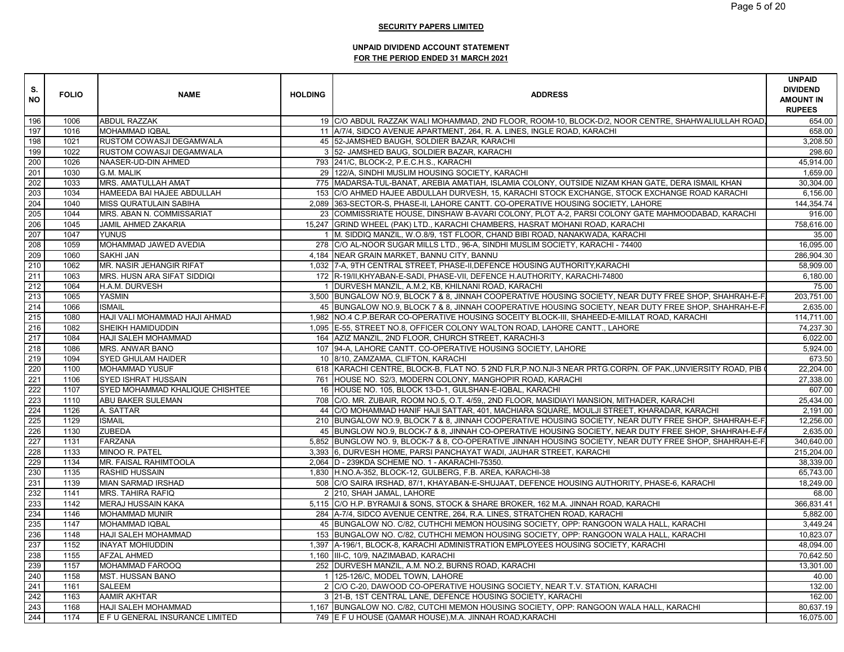| S.<br><b>NO</b> | <b>FOLIO</b> | <b>NAME</b>                     | <b>HOLDING</b> | <b>ADDRESS</b>                                                                                             | <b>UNPAID</b><br><b>DIVIDEND</b><br><b>AMOUNT IN</b><br><b>RUPEES</b> |
|-----------------|--------------|---------------------------------|----------------|------------------------------------------------------------------------------------------------------------|-----------------------------------------------------------------------|
| 196             | 1006         | ABDUL RAZZAK                    |                | 19 C/O ABDUL RAZZAK WALI MOHAMMAD, 2ND FLOOR, ROOM-10, BLOCK-D/2, NOOR CENTRE, SHAHWALIULLAH ROAD          | 654.00                                                                |
| 197             | 1016         | <b>MOHAMMAD IQBAL</b>           |                | 11 A/7/4, SIDCO AVENUE APARTMENT, 264, R. A. LINES, INGLE ROAD, KARACHI                                    | 658.00                                                                |
| 198             | 1021         | RUSTOM COWASJI DEGAMWALA        |                | 45 52-JAMSHED BAUGH, SOLDIER BAZAR, KARACHI                                                                | 3,208.50                                                              |
| 199             | 1022         | RUSTOM COWASJI DEGAMWALA        |                | 3 52- JAMSHED BAUG, SOLDIER BAZAR, KARACHI                                                                 | 298.60                                                                |
| 200             | 1026         | NAASER-UD-DIN AHMED             |                | 793 241/C, BLOCK-2, P.E.C.H.S., KARACHI                                                                    | 45,914.00                                                             |
| 201             | 1030         | <b>G.M. MALIK</b>               |                | 29 122/A, SINDHI MUSLIM HOUSING SOCIETY, KARACHI                                                           | 1.659.00                                                              |
| 202             | 1033         | MRS. AMATULLAH AMAT             |                | 775   MADARSA-TUL-BANAT, AREBIA AMATIAH, ISLAMIA COLONY, OUTSIDE NIZAM KHAN GATE, DERA ISMAIL KHAN         | 30,304.00                                                             |
| 203             | 1034         | HAMEEDA BAI HAJEE ABDULLAH      |                | 153 C/O AHMED HAJEE ABDULLAH DURVESH, 15, KARACHI STOCK EXCHANGE, STOCK EXCHANGE ROAD KARACHI              | 6,156.00                                                              |
| 204             | 1040         | <b>MISS QURATULAIN SABIHA</b>   |                | 2,089 363-SECTOR-S, PHASE-II, LAHORE CANTT. CO-OPERATIVE HOUSING SOCIETY, LAHORE                           | 144,354.74                                                            |
| 205             | 1044         | MRS. ABAN N. COMMISSARIAT       |                | 23 COMMISSRIATE HOUSE, DINSHAW B-AVARI COLONY, PLOT A-2, PARSI COLONY GATE MAHMOODABAD, KARACHI            | 916.00                                                                |
| 206             | 1045         | JAMIL AHMED ZAKARIA             |                | 15,247 GRIND WHEEL (PAK) LTD., KARACHI CHAMBERS, HASRAT MOHANI ROAD, KARACHI                               | 758,616.00                                                            |
| 207             | 1047         | <b>YUNUS</b>                    |                | 1 M. SIDDIQ MANZIL, W.O.8/9, 1ST FLOOR, CHAND BIBI ROAD, NANAKWADA, KARACHI                                | 35.00                                                                 |
| 208             | 1059         | MOHAMMAD JAWED AVEDIA           |                | 278 C/O AL-NOOR SUGAR MILLS LTD., 96-A, SINDHI MUSLIM SOCIETY, KARACHI - 74400                             | 16,095.00                                                             |
| 209             | 1060         | <b>SAKHI JAN</b>                |                | 4,184 NEAR GRAIN MARKET, BANNU CITY, BANNU                                                                 | 286,904.30                                                            |
| 210             | 1062         | MR. NASIR JEHANGIR RIFAT        |                | 1,032   7-A, 9TH CENTRAL STREET, PHASE-II, DEFENCE HOUSING AUTHORITY, KARACHI                              | 58,909.00                                                             |
| 211             | 1063         | MRS. HUSN ARA SIFAT SIDDIQI     |                | 172 R-19/II, KHYABAN-E-SADI, PHASE-VII, DEFENCE H.AUTHORITY, KARACHI-74800                                 | 6,180.00                                                              |
| 212             | 1064         | H.A.M. DURVESH                  |                | 1 DURVESH MANZIL, A.M.2, KB, KHILNANI ROAD, KARACHI                                                        | 75.00                                                                 |
| 213             | 1065         | <b>YASMIN</b>                   |                | 3,500 BUNGALOW NO.9, BLOCK 7 & 8, JINNAH COOPERATIVE HOUSING SOCIETY, NEAR DUTY FREE SHOP, SHAHRAH-E-F     | 203,751.00                                                            |
| 214             | 1066         | <b>ISMAIL</b>                   |                | 45 BUNGALOW NO.9, BLOCK 7 & 8, JINNAH COOPERATIVE HOUSING SOCIETY, NEAR DUTY FREE SHOP, SHAHRAH-E-F        | 2,635.00                                                              |
| 215             | 1080         | HAJI VALI MOHAMMAD HAJI AHMAD   |                | 1,982 NO.4 C.P.BERAR CO-OPERATIVE HOUSING SOCEITY BLOCK-III, SHAHEED-E-MILLAT ROAD, KARACHI                | 114,711.00                                                            |
| 216             | 1082         | SHEIKH HAMIDUDDIN               |                | 1,095 E-55, STREET NO.8, OFFICER COLONY WALTON ROAD, LAHORE CANTT., LAHORE                                 | 74,237.30                                                             |
| 217             | 1084         | HAJI SALEH MOHAMMAD             |                | 164 AZIZ MANZIL, 2ND FLOOR, CHURCH STREET, KARACHI-3                                                       | 6,022.00                                                              |
| 218             | 1086         | MRS. ANWAR BANO                 |                | 107 94-A, LAHORE CANTT. CO-OPERATIVE HOUSING SOCIETY, LAHORE                                               | 5,924.00                                                              |
| 219             | 1094         | SYED GHULAM HAIDER              |                | 10 8/10, ZAMZAMA, CLIFTON, KARACHI                                                                         | 673.50                                                                |
| 220             | 1100         | <b>MOHAMMAD YUSUF</b>           |                | 618 KARACHI CENTRE, BLOCK-B, FLAT NO. 5 2ND FLR, P.NO.NJI-3 NEAR PRTG.CORPN. OF PAK., UNVIERSITY ROAD, PIB | 22.204.00                                                             |
| 221             | 1106         | <b>SYED ISHRAT HUSSAIN</b>      |                | 761 HOUSE NO. S2/3, MODERN COLONY, MANGHOPIR ROAD, KARACHI                                                 | 27,338.00                                                             |
| 222             | 1107         | SYED MOHAMMAD KHALIQUE CHISHTEE |                | 16 HOUSE NO. 105, BLOCK 13-D-1, GULSHAN-E-IQBAL, KARACHI                                                   | 607.00                                                                |
| 223             | 1110         | ABU BAKER SULEMAN               |                | 708 C/O. MR. ZUBAIR, ROOM NO.5, O.T. 4/59,, 2ND FLOOR, MASIDIAYI MANSION, MITHADER, KARACHI                | 25,434.00                                                             |
| 224             | 1126         | A. SATTAR                       |                | 44 C/O MOHAMMAD HANIF HAJI SATTAR, 401, MACHIARA SQUARE, MOULJI STREET, KHARADAR, KARACHI                  | 2,191.00                                                              |
| 225             | 1129         | <b>ISMAIL</b>                   |                | 210 BUNGALOW NO.9, BLOCK 7 & 8, JINNAH COOPERATIVE HOUSING SOCIETY, NEAR DUTY FREE SHOP, SHAHRAH-E-F       | 12,256.00                                                             |
| 226             | 1130         | <b>ZUBEDA</b>                   |                | 45 BUNGLOW NO.9, BLOCK-7 & 8, JINNAH CO-OPERATIVE HOUSING SOCIETY, NEAR DUTY FREE SHOP, SHAHRAH-E-F,       | 2,635.00                                                              |
| 227             | 1131         | <b>FARZANA</b>                  |                | 5,852 BUNGLOW NO. 9, BLOCK-7 & 8, CO-OPERATIVE JINNAH HOUSING SOCIETY, NEAR DUTY FREE SHOP, SHAHRAH-E-F    | 340.640.00                                                            |
| 228             | 1133         | MINOO R. PATEL                  |                | 3,393 6, DURVESH HOME, PARSI PANCHAYAT WADI, JAUHAR STREET, KARACHI                                        | 215,204.00                                                            |
| 229             | 1134         | MR. FAISAL RAHIMTOOLA           |                | 2,064 D - 239KDA SCHEME NO. 1 - AKARACHI-75350.                                                            | 38,339.00                                                             |
| 230             | 1135         | RASHID HUSSAIN                  |                | 1,830 H.NO.A-352, BLOCK-12, GULBERG, F.B. AREA, KARACHI-38                                                 | 65.743.00                                                             |
| 231             | 1139         | MIAN SARMAD IRSHAD              |                | 508 C/O SAIRA IRSHAD, 87/1, KHAYABAN-E-SHUJAAT, DEFENCE HOUSING AUTHORITY, PHASE-6, KARACHI                | 18,249.00                                                             |
| 232             | 1141         | <b>MRS. TAHIRA RAFIQ</b>        |                | 2 210, SHAH JAMAL, LAHORE                                                                                  | 68.00                                                                 |
| 233             | 1142         | MERAJ HUSSAIN KAKA              |                | 5,115 C/O H.P. BYRAMJI & SONS, STOCK & SHARE BROKER, 162 M.A. JINNAH ROAD, KARACHI                         | 366,831.41                                                            |
| 234             | 1146         | MOHAMMAD MUNIR                  |                | 284 A-7/4, SIDCO AVENUE CENTRE, 264, R.A. LINES, STRATCHEN ROAD, KARACHI                                   | 5,882.00                                                              |
| 235             | 1147         | <b>MOHAMMAD IQBAL</b>           |                | 45 BUNGALOW NO. C/82, CUTHCHI MEMON HOUSING SOCIETY, OPP: RANGOON WALA HALL, KARACHI                       | 3,449.24                                                              |
| 236             | 1148         | HAJI SALEH MOHAMMAD             |                | 153 BUNGALOW NO. C/82, CUTHCHI MEMON HOUSING SOCIETY, OPP: RANGOON WALA HALL, KARACHI                      | 10.823.07                                                             |
| 237             | 1152         | <b>INAYAT MOHIUDDIN</b>         |                | 1,397 A-196/1, BLOCK-8, KARACHI ADMINISTRATION EMPLOYEES HOUSING SOCIETY, KARACHI                          | 48,094.00                                                             |
| 238             | 1155         | <b>AFZAL AHMED</b>              |                | 1,160 III-C, 10/9, NAZIMABAD, KARACHI                                                                      | 70,642.50                                                             |
| 239             | 1157         | MOHAMMAD FAROOQ                 |                | 252 DURVESH MANZIL, A.M. NO.2, BURNS ROAD, KARACHI                                                         | 13,301.00                                                             |
| 240             | 1158         | MST. HUSSAN BANO                |                | 1 125-126/C, MODEL TOWN, LAHORE                                                                            | 40.00                                                                 |
| 241             | 1161         | SALEEM                          |                | 2 C/O C-20, DAWOOD CO-OPERATIVE HOUSING SOCIETY, NEAR T.V. STATION, KARACHI                                | 132.00                                                                |
| 242             | 1163         | AAMIR AKHTAR                    |                | 3 21-B, 1ST CENTRAL LANE, DEFENCE HOUSING SOCIETY, KARACHI                                                 | 162.00                                                                |
| 243             | 1168         | HAJI SALEH MOHAMMAD             |                | 1,167 BUNGALOW NO. C/82, CUTCHI MEMON HOUSING SOCIETY, OPP: RANGOON WALA HALL, KARACHI                     | 80,637.19                                                             |
| 244             | 1174         | E F U GENERAL INSURANCE LIMITED |                | 749 E F U HOUSE (QAMAR HOUSE), M.A. JINNAH ROAD, KARACHI                                                   | 16,075.00                                                             |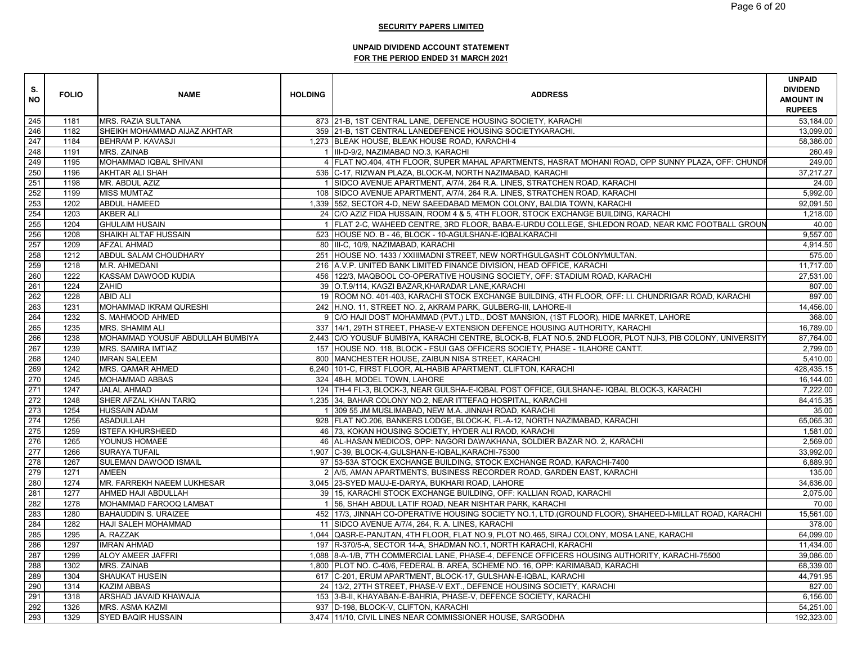| S.<br><b>NO</b> | <b>FOLIO</b> | <b>NAME</b>                      | <b>HOLDING</b> | <b>ADDRESS</b>                                                                                              | <b>UNPAID</b><br><b>DIVIDEND</b><br><b>AMOUNT IN</b><br><b>RUPEES</b> |
|-----------------|--------------|----------------------------------|----------------|-------------------------------------------------------------------------------------------------------------|-----------------------------------------------------------------------|
| 245             | 1181         | <b>MRS. RAZIA SULTANA</b>        |                | 873 21-B, 1ST CENTRAL LANE, DEFENCE HOUSING SOCIETY, KARACHI                                                | 53,184.00                                                             |
| 246             | 1182         | SHEIKH MOHAMMAD AIJAZ AKHTAR     |                | 359 21-B, 1ST CENTRAL LANEDEFENCE HOUSING SOCIETYKARACHI.                                                   | 13.099.00                                                             |
| 247             | 1184         | <b>BEHRAM P. KAVASJI</b>         |                | 1,273 BLEAK HOUSE, BLEAK HOUSE ROAD, KARACHI-4                                                              | 58,386.00                                                             |
| 248             | 1191         | MRS. ZAINAB                      |                | 1 III-D-9/2, NAZIMABAD NO.3, KARACHI                                                                        | 260.49                                                                |
| 249             | 1195         | MOHAMMAD IQBAL SHIVANI           |                | 4 FLAT NO.404, 4TH FLOOR, SUPER MAHAL APARTMENTS, HASRAT MOHANI ROAD, OPP SUNNY PLAZA, OFF: CHUNDI          | 249.00                                                                |
| 250             | 1196         | <b>AKHTAR ALI SHAH</b>           |                | 536 C-17, RIZWAN PLAZA, BLOCK-M, NORTH NAZIMABAD, KARACHI                                                   | 37,217.27                                                             |
| 251             | 1198         | MR. ABDUL AZIZ                   |                | 1 SIDCO AVENUE APARTMENT, A/7/4, 264 R.A. LINES, STRATCHEN ROAD, KARACHI                                    | 24.00                                                                 |
| 252             | 1199         | <b>MISS MUMTAZ</b>               |                | 108 SIDCO AVENUE APARTMENT, A/7/4, 264 R.A. LINES, STRATCHEN ROAD, KARACHI                                  | 5,992.00                                                              |
| 253             | 1202         | <b>ABDUL HAMEED</b>              |                | 1,339 552, SECTOR 4-D, NEW SAEEDABAD MEMON COLONY, BALDIA TOWN, KARACHI                                     | 92,091.50                                                             |
| 254             | 1203         | <b>AKBER ALI</b>                 |                | 24 C/O AZIZ FIDA HUSSAIN, ROOM 4 & 5, 4TH FLOOR, STOCK EXCHANGE BUILDING, KARACHI                           | 1,218.00                                                              |
| 255             | 1204         | <b>GHULAIM HUSAIN</b>            |                | 1 FLAT 2-C, WAHEED CENTRE, 3RD FLOOR, BABA-E-URDU COLLEGE, SHLEDON ROAD, NEAR KMC FOOTBALL GROUN            | 40.00                                                                 |
| 256             | 1208         | SHAIKH ALTAF HUSSAIN             |                | 523 HOUSE NO. B - 46, BLOCK - 10-AGULSHAN-E-IQBALKARACHI                                                    | 9,557.00                                                              |
| 257             | 1209         | <b>AFZAL AHMAD</b>               |                | 80 III-C, 10/9, NAZIMABAD, KARACHI                                                                          | 4,914.50                                                              |
| 258             | 1212         | ABDUL SALAM CHOUDHARY            |                | 251 HOUSE NO. 1433 / XXIIIMADNI STREET, NEW NORTHGULGASHT COLONYMULTAN.                                     | 575.00                                                                |
| 259             | 1218         | M.R. AHMEDANI                    |                | 216 A.V.P. UNITED BANK LIMITED FINANCE DIVISION, HEAD OFFICE, KARACHI                                       | 11,717.00                                                             |
| 260             | 1222         | KASSAM DAWOOD KUDIA              |                | 456 122/3, MAQBOOL CO-OPERATIVE HOUSING SOCIETY, OFF: STADIUM ROAD, KARACHI                                 | 27,531.00                                                             |
| 261             | 1224         | ZAHID                            |                | 39 O.T.9/114, KAGZI BAZAR, KHARADAR LANE, KARACHI                                                           | 807.00                                                                |
| 262             | 1228         | <b>ABID ALI</b>                  |                | 19 ROOM NO. 401-403, KARACHI STOCK EXCHANGE BUILDING, 4TH FLOOR, OFF: I.I. CHUNDRIGAR ROAD, KARACHI         | 897.00                                                                |
| 263             | 1231         | MOHAMMAD IKRAM QURESHI           |                | 242 H.NO. 11, STREET NO. 2, AKRAM PARK, GULBERG-III, LAHORE-II                                              | 14,456.00                                                             |
| 264             | 1232         | S. MAHMOOD AHMED                 |                | 9 C/O HAJI DOST MOHAMMAD (PVT.) LTD., DOST MANSION, (1ST FLOOR), HIDE MARKET, LAHORE                        | 368.00                                                                |
| 265             | 1235         | <b>MRS. SHAMIM ALI</b>           |                | 337   14/1, 29TH STREET, PHASE-V EXTENSION DEFENCE HOUSING AUTHORITY, KARACHI                               | 16,789.00                                                             |
| 266             | 1238         | MOHAMMAD YOUSUF ABDULLAH BUMBIYA |                | 2,443 C/O YOUSUF BUMBIYA, KARACHI CENTRE, BLOCK-B, FLAT NO.5, 2ND FLOOR, PLOT NJI-3, PIB COLONY, UNIVERSITY | 87,764.00                                                             |
| 267             | 1239         | <b>MRS. SAMIRA IMTIAZ</b>        |                | 157 HOUSE NO. 118, BLOCK - FSUI GAS OFFICERS SOCIETY, PHASE - 1LAHORE CANTT.                                | 2,799.00                                                              |
| 268             | 1240         | <b>IMRAN SALEEM</b>              |                | 800 MANCHESTER HOUSE, ZAIBUN NISA STREET, KARACHI                                                           | 5,410.00                                                              |
| 269             | 1242         | MRS. QAMAR AHMED                 |                | 6,240 101-C, FIRST FLOOR, AL-HABIB APARTMENT, CLIFTON, KARACHI                                              | 428,435.15                                                            |
| 270             | 1245         | <b>MOHAMMAD ABBAS</b>            |                | 324 48-H, MODEL TOWN, LAHORE                                                                                | 16,144.00                                                             |
| 271             | 1247         | <b>JALAL AHMAD</b>               |                | 124   TH-4 FL-3, BLOCK-3, NEAR GULSHA-E-IQBAL POST OFFICE, GULSHAN-E- IQBAL BLOCK-3, KARACHI                | 7,222.00                                                              |
| 272             | 1248         | SHER AFZAL KHAN TARIQ            |                | 1,235 34, BAHAR COLONY NO.2, NEAR ITTEFAQ HOSPITAL, KARACHI                                                 | 84,415.35                                                             |
| 273             | 1254         | <b>HUSSAIN ADAM</b>              |                | 1 309 55 JM MUSLIMABAD, NEW M.A. JINNAH ROAD, KARACHI                                                       | 35.00                                                                 |
| 274             | 1256         | <b>ASADULLAH</b>                 |                | 928 FLAT NO.206, BANKERS LODGE, BLOCK-K, FL-A-12, NORTH NAZIMABAD, KARACHI                                  | 65,065.30                                                             |
| 275             | 1259         | <b>ISTEFA KHURSHEED</b>          |                | 46 73, KOKAN HOUSING SOCIETY, HYDER ALI RAOD, KARACHI                                                       | 1,581.00                                                              |
| 276             | 1265         | YOUNUS HOMAEE                    |                | 46 AL-HASAN MEDICOS, OPP: NAGORI DAWAKHANA, SOLDIER BAZAR NO. 2, KARACHI                                    | 2,569.00                                                              |
| 277             | 1266         | <b>SURAYA TUFAIL</b>             |                | 1,907 C-39, BLOCK-4, GULSHAN-E-IQBAL, KARACHI-75300                                                         | 33,992.00                                                             |
| 278             | 1267         | SULEMAN DAWOOD ISMAIL            |                | 97 53-53A STOCK EXCHANGE BUILDING, STOCK EXCHANGE ROAD, KARACHI-7400                                        | 6,889.90                                                              |
| 279             | 1271         | <b>AMEEN</b>                     |                | 2 A/5, AMAN APARTMENTS, BUSINESS RECORDER ROAD, GARDEN EAST, KARACHI                                        | 135.00                                                                |
| 280             | 1274         | MR. FARREKH NAEEM LUKHESAR       |                | 3,045 23-SYED MAUJ-E-DARYA, BUKHARI ROAD, LAHORE                                                            | 34,636.00                                                             |
| 281             | 1277         | AHMED HAJI ABDULLAH              |                | 39 15, KARACHI STOCK EXCHANGE BUILDING, OFF: KALLIAN ROAD, KARACHI                                          | 2,075.00                                                              |
| 282             | 1278         | MOHAMMAD FAROOQ LAMBAT           |                | 1 56, SHAH ABDUL LATIF ROAD, NEAR NISHTAR PARK, KARACHI                                                     | 70.00                                                                 |
| 283             | 1280         | <b>BAHAUDDIN S. URAIZEE</b>      |                | 452 17/3, JINNAH CO-OPERATIVE HOUSING SOCIETY NO.1, LTD. (GROUND FLOOR), SHAHEED-I-MILLAT ROAD, KARACHI     | 15,561.00                                                             |
| 284             | 1282         | <b>HAJI SALEH MOHAMMAD</b>       |                | 11 SIDCO AVENUE A/7/4, 264, R. A. LINES, KARACHI                                                            | 378.00                                                                |
| 285             | 1295         | A. RAZZAK                        |                | 1,044 QASR-E-PANJTAN, 4TH FLOOR, FLAT NO.9, PLOT NO.465, SIRAJ COLONY, MOSA LANE, KARACHI                   | 64,099.00                                                             |
| 286             | 1297         | <b>IMRAN AHMAD</b>               |                | 197 R-370/5-A, SECTOR 14-A, SHADMAN NO.1, NORTH KARACHI, KARACHI                                            | 11,434.00                                                             |
| 287             | 1299         | ALOY AMEER JAFFRI                |                | 1,088 8-A-1/B, 7TH COMMERCIAL LANE, PHASE-4, DEFENCE OFFICERS HOUSING AUTHORITY, KARACHI-75500              | 39,086.00                                                             |
| 288             | 1302         | MRS. ZAINAB                      |                | 1,800 PLOT NO. C-40/6, FEDERAL B. AREA, SCHEME NO. 16, OPP: KARIMABAD, KARACHI                              | 68,339.00                                                             |
| 289             | 1304         | <b>SHAUKAT HUSEIN</b>            |                | 617 C-201, ERUM APARTMENT, BLOCK-17, GULSHAN-E-IQBAL, KARACHI                                               | 44,791.95                                                             |
| 290             | 1314         | <b>KAZIM ABBAS</b>               |                | 24   13/2, 27TH STREET, PHASE-V EXT., DEFENCE HOUSING SOCIETY, KARACHI                                      | 827.00                                                                |
| 291             | 1318         | ARSHAD JAVAID KHAWAJA            |                | 153 3-B-II, KHAYABAN-E-BAHRIA, PHASE-V, DEFENCE SOCIETY, KARACHI                                            | 6,156.00                                                              |
| 292             | 1326         | <b>MRS. ASMA KAZMI</b>           |                | 937 D-198, BLOCK-V, CLIFTON, KARACHI                                                                        | 54,251.00                                                             |
| 293             | 1329         | <b>SYED BAQIR HUSSAIN</b>        |                | 3,474 11/10, CIVIL LINES NEAR COMMISSIONER HOUSE, SARGODHA                                                  | 192,323.00                                                            |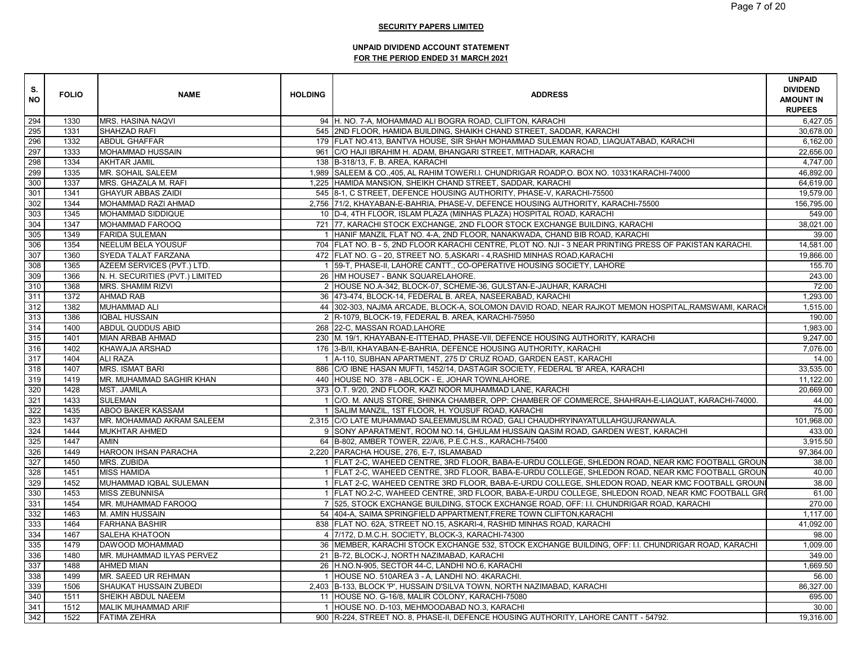| S.<br><b>NO</b> | <b>FOLIO</b> | <b>NAME</b>                     | <b>HOLDING</b> | <b>ADDRESS</b>                                                                                          | <b>UNPAID</b><br><b>DIVIDEND</b><br><b>AMOUNT IN</b><br><b>RUPEES</b> |
|-----------------|--------------|---------------------------------|----------------|---------------------------------------------------------------------------------------------------------|-----------------------------------------------------------------------|
| 294             | 1330         | <b>MRS. HASINA NAQVI</b>        |                | 94 H. NO. 7-A, MOHAMMAD ALI BOGRA ROAD, CLIFTON, KARACHI                                                | 6,427.05                                                              |
| 295             | 1331         | SHAHZAD RAFI                    |                | 545   2ND FLOOR, HAMIDA BUILDING, SHAIKH CHAND STREET, SADDAR, KARACHI                                  | 30,678.00                                                             |
| 296             | 1332         | <b>ABDUL GHAFFAR</b>            |                | 179 FLAT NO.413, BANTVA HOUSE, SIR SHAH MOHAMMAD SULEMAN ROAD, LIAQUATABAD, KARACHI                     | 6,162.00                                                              |
| 297             | 1333         | MOHAMMAD HUSSAIN                |                | 961   C/O HAJI IBRAHIM H. ADAM, BHANGARI STREET, MITHADAR, KARACHI                                      | 22,656.00                                                             |
| 298             | 1334         | <b>AKHTAR JAMIL</b>             |                | 138 B-318/13, F. B. AREA, KARACHI                                                                       | 4,747.00                                                              |
| 299             | 1335         | MR. SOHAIL SALEEM               |                | 1,989 SALEEM & CO.,405, AL RAHIM TOWERI.I. CHUNDRIGAR ROADP.O. BOX NO. 10331KARACHI-74000               | 46,892.00                                                             |
| 300             | 1337         | MRS. GHAZALA M. RAFI            |                | 1,225 HAMIDA MANSION, SHEIKH CHAND STREET, SADDAR, KARACHI                                              | 64,619.00                                                             |
| 301             | 1341         | <b>GHAYUR ABBAS ZAIDI</b>       |                | 545 8-1, C STREET, DEFENCE HOUSING AUTHORITY, PHASE-V, KARACHI-75500                                    | 19,579.00                                                             |
| 302             | 1344         | MOHAMMAD RAZI AHMAD             |                | 2,756 71/2, KHAYABAN-E-BAHRIA, PHASE-V, DEFENCE HOUSING AUTHORITY, KARACHI-75500                        | 156,795.00                                                            |
| 303             | 1345         | MOHAMMAD SIDDIQUE               |                | 10 D-4, 4TH FLOOR, ISLAM PLAZA (MINHAS PLAZA) HOSPITAL ROAD, KARACHI                                    | 549.00                                                                |
| 304             | 1347         | MOHAMMAD FAROOQ                 |                | 721 77, KARACHI STOCK EXCHANGE, 2ND FLOOR STOCK EXCHANGE BUILDING, KARACHI                              | 38,021.00                                                             |
| 305             | 1349         | <b>FARIDA SULEMAN</b>           |                | 1 HANIF MANZIL FLAT NO. 4-A, 2ND FLOOR, NANAKWADA, CHAND BIB ROAD, KARACHI                              | 39.00                                                                 |
| 306             | 1354         | NEELUM BELA YOUSUF              |                | 704 FLAT NO. B - 5, 2ND FLOOR KARACHI CENTRE, PLOT NO. NJI - 3 NEAR PRINTING PRESS OF PAKISTAN KARACHI. | 14,581.00                                                             |
| 307             | 1360         | SYEDA TALAT FARZANA             |                | 472 FLAT NO. G - 20, STREET NO. 5, ASKARI - 4, RASHID MINHAS ROAD, KARACHI                              | 19,866.00                                                             |
| 308             | 1365         | AZEEM SERVICES (PVT.) LTD.      |                | 1 59-T, PHASE-II, LAHORE CANTT., CO-OPERATIVE HOUSING SOCIETY, LAHORE                                   | 155.70                                                                |
| 309             | 1366         | N. H. SECURITIES (PVT.) LIMITED |                | 26 HM HOUSE7 - BANK SQUARELAHORE.                                                                       | 243.00                                                                |
| 310             | 1368         | <b>MRS. SHAMIM RIZVI</b>        |                | 2 HOUSE NO.A-342, BLOCK-07, SCHEME-36, GULSTAN-E-JAUHAR, KARACHI                                        | 72.00                                                                 |
| 311             | 1372         | <b>AHMAD RAB</b>                |                | 36 473-474, BLOCK-14, FEDERAL B. AREA, NASEERABAD, KARACHI                                              | 1,293.00                                                              |
| 312             | 1382         | <b>MUHAMMAD ALI</b>             |                | 44 302-303, NAJMA ARCADE, BLOCK-A, SOLOMON DAVID ROAD, NEAR RAJKOT MEMON HOSPITAL, RAMSWAMI, KARACH     | 1.515.00                                                              |
| 313             | 1386         | <b>IQBAL HUSSAIN</b>            |                | 2 R-1079, BLOCK-19, FEDERAL B. AREA, KARACHI-75950                                                      | 190.00                                                                |
| 314             | 1400         | ABDUL QUDDUS ABID               |                | 268 22-C, MASSAN ROAD, LAHORE                                                                           | 1,983.00                                                              |
| 315             | 1401         | <b>MIAN ARBAB AHMAD</b>         |                | 230 M. 19/1, KHAYABAN-E-ITTEHAD, PHASE-VII, DEFENCE HOUSING AUTHORITY, KARACHI                          | 9,247.00                                                              |
| 316             | 1402         | KHAWAJA ARSHAD                  |                | 176 3-B/II, KHAYABAN-E-BAHRIA, DEFENCE HOUSING AUTHORITY, KARACHI                                       | 7,076.00                                                              |
| 317             | 1404         | <b>ALI RAZA</b>                 |                | 1 A-110, SUBHAN APARTMENT, 275 D' CRUZ ROAD, GARDEN EAST, KARACHI                                       | 14.00                                                                 |
| 318             | 1407         | <b>MRS. ISMAT BARI</b>          |                | 886 C/O IBNE HASAN MUFTI, 1452/14, DASTAGIR SOCIETY, FEDERAL 'B' AREA, KARACHI                          | 33,535.00                                                             |
| 319             | 1419         | MR. MUHAMMAD SAGHIR KHAN        |                | 440 HOUSE NO. 378 - ABLOCK - E, JOHAR TOWNLAHORE.                                                       | 11,122.00                                                             |
| 320             | 1428         | <b>MST. JAMILA</b>              |                | 373 O.T. 9/20, 2ND FLOOR, KAZI NOOR MUHAMMAD LANE, KARACHI                                              | 20,669.00                                                             |
| 321             | 1433         | <b>SULEMAN</b>                  |                | 1 C/O. M. ANUS STORE, SHINKA CHAMBER, OPP: CHAMBER OF COMMERCE, SHAHRAH-E-LIAQUAT, KARACHI-74000.       | 44.00                                                                 |
| 322             | 1435         | ABOO BAKER KASSAM               |                | 1 SALIM MANZIL, 1ST FLOOR, H. YOUSUF ROAD, KARACHI                                                      | 75.00                                                                 |
| 323             | 1437         | MR. MOHAMMAD AKRAM SALEEM       |                | 2,315 C/O LATE MUHAMMAD SALEEMMUSLIM ROAD, GALI CHAUDHRYINAYATULLAHGUJRANWALA.                          | 101,968.00                                                            |
| 324             | 1444         | <b>MUKHTAR AHMED</b>            |                | 9 SONY APARATMENT, ROOM NO.14, GHULAM HUSSAIN QASIM ROAD, GARDEN WEST, KARACHI                          | 433.00                                                                |
| 325             | 1447         | AMIN                            |                | 64 B-802, AMBER TOWER, 22/A/6, P.E.C.H.S., KARACHI-75400                                                | 3,915.50                                                              |
| 326             | 1449         | HAROON IHSAN PARACHA            |                | 2,220 PARACHA HOUSE, 276, E-7, ISLAMABAD                                                                | 97,364.00                                                             |
| 327             | 1450         | MRS. ZUBIDA                     |                | 1 FLAT 2-C, WAHEED CENTRE, 3RD FLOOR, BABA-E-URDU COLLEGE, SHLEDON ROAD, NEAR KMC FOOTBALL GROUN        | 38.00                                                                 |
| 328             | 1451         | <b>MISS HAMIDA</b>              |                | 1 FLAT 2-C, WAHEED CENTRE, 3RD FLOOR, BABA-E-URDU COLLEGE, SHLEDON ROAD, NEAR KMC FOOTBALL GROUN        | 40.00                                                                 |
| 329             | 1452         | MUHAMMAD IQBAL SULEMAN          |                | 1 FLAT 2-C, WAHEED CENTRE 3RD FLOOR, BABA-E-URDU COLLEGE, SHLEDON ROAD, NEAR KMC FOOTBALL GROUNI        | 38.00                                                                 |
| 330             | 1453         | <b>MISS ZEBUNNISA</b>           |                | 1 FLAT NO.2-C, WAHEED CENTRE, 3RD FLOOR, BABA-E-URDU COLLEGE, SHLEDON ROAD, NEAR KMC FOOTBALL GR        | 61.00                                                                 |
| 331             | 1454         | MR. MUHAMMAD FAROOQ             |                | 7 525, STOCK EXCHANGE BUILDING, STOCK EXCHANGE ROAD, OFF: I.I. CHUNDRIGAR ROAD, KARACHI                 | 270.00                                                                |
| 332             | 1463         | M. AMIN HUSSAIN                 |                | 54 404-A, SAIMA SPRINGFIELD APPARTMENT, FRERE TOWN CLIFTON, KARACHI                                     | 1,117.00                                                              |
| 333             | 1464         | <b>FARHANA BASHIR</b>           |                | 838 FLAT NO. 62A, STREET NO.15, ASKARI-4, RASHID MINHAS ROAD, KARACHI                                   | 41,092.00                                                             |
| 334             | 1467         | <b>SALEHA KHATOON</b>           |                | 4 7/172, D.M.C.H. SOCIETY, BLOCK-3, KARACHI-74300                                                       | 98.00                                                                 |
| 335             | 1479         | DAWOOD MOHAMMAD                 |                | 36 MEMBER, KARACHI STOCK EXCHANGE 532, STOCK EXCHANGE BUILDING, OFF: I.I. CHUNDRIGAR ROAD, KARACHI      | 1,009.00                                                              |
| 336             | 1480         | MR. MUHAMMAD ILYAS PERVEZ       |                | 21 B-72, BLOCK-J, NORTH NAZIMABAD, KARACHI                                                              | 349.00                                                                |
| 337             | 1488         | <b>AHMED MIAN</b>               |                | 26 H.NO.N-905, SECTOR 44-C, LANDHI NO.6, KARACHI                                                        | 1,669.50                                                              |
| 338             | 1499         | MR. SAEED UR REHMAN             |                | 1 HOUSE NO. 510AREA 3 - A, LANDHI NO. 4KARACHI.                                                         | 56.00                                                                 |
| 339             | 1506         | SHAUKAT HUSSAIN ZUBEDI          |                | 2,403 B-133, BLOCK 'P', HUSSAIN D'SILVA TOWN, NORTH NAZIMABAD, KARACHI                                  | 86,327.00                                                             |
| 340             | 1511         | SHEIKH ABDUL NAEEM              |                | 11 HOUSE NO. G-16/8, MALIR COLONY, KARACHI-75080                                                        | 695.00                                                                |
| 341             | 1512         | <b>MALIK MUHAMMAD ARIF</b>      |                | 1 HOUSE NO. D-103, MEHMOODABAD NO.3, KARACHI                                                            | 30.00                                                                 |
| 342             | 1522         | <b>FATIMA ZEHRA</b>             |                | 900 R-224, STREET NO. 8, PHASE-II, DEFENCE HOUSING AUTHORITY, LAHORE CANTT - 54792.                     | 19,316.00                                                             |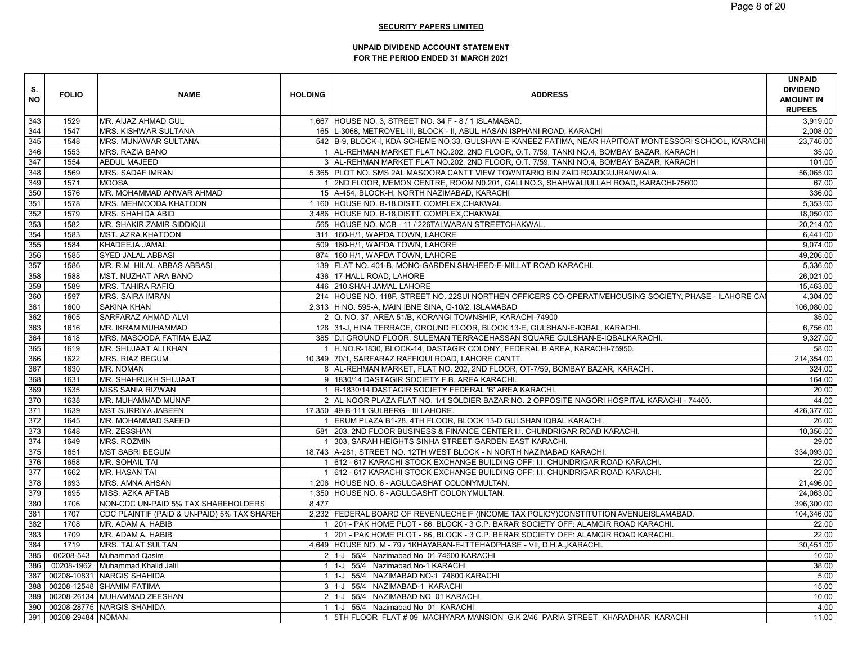| S.<br><b>NO</b> | <b>FOLIO</b>          | <b>NAME</b>                                 | <b>HOLDING</b> | <b>ADDRESS</b>                                                                                        | <b>UNPAID</b><br><b>DIVIDEND</b><br><b>AMOUNT IN</b><br><b>RUPEES</b> |
|-----------------|-----------------------|---------------------------------------------|----------------|-------------------------------------------------------------------------------------------------------|-----------------------------------------------------------------------|
| 343             | 1529                  | MR. AIJAZ AHMAD GUL                         |                | 1,667 HOUSE NO. 3, STREET NO. 34 F - 8 / 1 ISLAMABAD.                                                 | 3,919.00                                                              |
| 344             | 1547                  | MRS. KISHWAR SULTANA                        |                | 165 L-3068, METROVEL-III, BLOCK - II, ABUL HASAN ISPHANI ROAD, KARACHI                                | 2.008.00                                                              |
| 345             | 1548                  | MRS. MUNAWAR SULTANA                        |                | 542 B-9, BLOCK-I, KDA SCHEME NO.33, GULSHAN-E-KANEEZ FATIMA, NEAR HAPITOAT MONTESSORI SCHOOL, KARACHI | 23,746.00                                                             |
| 346             | 1553                  | <b>MRS. RAZIA BANO</b>                      |                | 1 AL-REHMAN MARKET FLAT NO.202, 2ND FLOOR, O.T. 7/59, TANKI NO.4, BOMBAY BAZAR, KARACHI               | 35.00                                                                 |
| 347             | 1554                  | <b>ABDUL MAJEED</b>                         |                | 3 AL-REHMAN MARKET FLAT NO.202, 2ND FLOOR, O.T. 7/59, TANKI NO.4, BOMBAY BAZAR, KARACHI               | 101.00                                                                |
| 348             | 1569                  | <b>MRS. SADAF IMRAN</b>                     |                | 5,365 PLOT NO. SMS 2AL MASOORA CANTT VIEW TOWNTARIQ BIN ZAID ROADGUJRANWALA.                          | 56,065.00                                                             |
| 349             | 1571                  | <b>MOOSA</b>                                |                | 1 2ND FLOOR, MEMON CENTRE, ROOM N0.201, GALI NO.3, SHAHWALIULLAH ROAD, KARACHI-75600                  | 67.00                                                                 |
| 350             | 1576                  | MR. MOHAMMAD ANWAR AHMAD                    |                | 15 A-454, BLOCK-H, NORTH NAZIMABAD, KARACHI                                                           | 336.00                                                                |
| 351             | 1578                  | MRS. MEHMOODA KHATOON                       |                | 1,160 HOUSE NO. B-18, DISTT. COMPLEX, CHAKWAL                                                         | 5,353.00                                                              |
| 352             | 1579                  | <b>MRS. SHAHIDA ABID</b>                    |                | 3,486 HOUSE NO. B-18, DISTT. COMPLEX, CHAKWAL                                                         | 18,050.00                                                             |
| 353             | 1582                  | MR. SHAKIR ZAMIR SIDDIQUI                   |                | 565 HOUSE NO. MCB - 11 / 226TALWARAN STREETCHAKWAL.                                                   | 20,214.00                                                             |
| 354             | 1583                  | <b>MST. AZRA KHATOON</b>                    |                | 311 160-H/1, WAPDA TOWN, LAHORE                                                                       | 6,441.00                                                              |
| 355             | 1584                  | KHADEEJA JAMAL                              |                | 509 160-H/1, WAPDA TOWN, LAHORE                                                                       | 9.074.00                                                              |
| 356             | 1585                  | <b>SYED JALAL ABBASI</b>                    |                | 874 160-H/1, WAPDA TOWN, LAHORE                                                                       | 49,206.00                                                             |
| 357             | 1586                  | MR. R.M. HILAL ABBAS ABBASI                 |                | 139 FLAT NO. 401-B, MONO-GARDEN SHAHEED-E-MILLAT ROAD KARACHI.                                        | 5,336.00                                                              |
| 358             | 1588                  | MST. NUZHAT ARA BANO                        |                | 436 17-HALL ROAD, LAHORE                                                                              | 26,021.00                                                             |
| 359             | 1589                  | <b>MRS. TAHIRA RAFIQ</b>                    |                | 446 210, SHAH JAMAL LAHORE                                                                            | 15,463.00                                                             |
| 360             | 1597                  | <b>MRS. SAIRA IMRAN</b>                     |                | 214 HOUSE NO. 118F, STREET NO. 22SUI NORTHEN OFFICERS CO-OPERATIVEHOUSING SOCIETY, PHASE - ILAHORE CA | 4.304.00                                                              |
| 361             | 1600                  | <b>SAKINA KHAN</b>                          |                | 2,313 H NO. 595-A, MAIN IBNE SINA, G-10/2, ISLAMABAD                                                  | 106,080.00                                                            |
| 362             | 1605                  | SARFARAZ AHMAD ALVI                         |                | 2 Q. NO. 37, AREA 51/B, KORANGI TOWNSHIP, KARACHI-74900                                               | 35.00                                                                 |
| 363             | 1616                  | MR. IKRAM MUHAMMAD                          |                | 128 31-J, HINA TERRACE, GROUND FLOOR, BLOCK 13-E, GULSHAN-E-IQBAL, KARACHI.                           | 6,756.00                                                              |
| 364             | 1618                  | MRS. MASOODA FATIMA EJAZ                    |                | 385 D.I GROUND FLOOR, SULEMAN TERRACEHASSAN SQUARE GULSHAN-E-IQBALKARACHI.                            | 9,327.00                                                              |
| 365             | 1619                  | MR. SHUJAAT ALI KHAN                        |                | 1 H.NO.R-1830, BLOCK-14, DASTAGIR COLONY, FEDERAL B AREA, KARACHI-75950.                              | 58.00                                                                 |
| 366             | 1622                  | MRS. RIAZ BEGUM                             |                | 10,349 70/1, SARFARAZ RAFFIQUI ROAD, LAHORE CANTT.                                                    | 214,354.00                                                            |
| 367             | 1630                  | <b>MR. NOMAN</b>                            |                | 8 AL-REHMAN MARKET, FLAT NO. 202, 2ND FLOOR, OT-7/59, BOMBAY BAZAR, KARACHI.                          | 324.00                                                                |
| 368             | 1631                  | MR. SHAHRUKH SHUJAAT                        |                | 9 1830/14 DASTAGIR SOCIETY F.B. AREA KARACHI.                                                         | 164.00                                                                |
| 369             | 1635                  | <b>MISS SANIA RIZWAN</b>                    |                | 1 R-1830/14 DASTAGIR SOCIETY FEDERAL 'B' AREA KARACHI.                                                | 20.00                                                                 |
| 370             | 1638                  | MR. MUHAMMAD MUNAF                          |                | 2 AL-NOOR PLAZA FLAT NO. 1/1 SOLDIER BAZAR NO. 2 OPPOSITE NAGORI HOSPITAL KARACHI - 74400.            | 44.00                                                                 |
| 371             | 1639                  | <b>MST SURRIYA JABEEN</b>                   |                | 17,350 49-B-111 GULBERG - III LAHORE.                                                                 | 426,377.00                                                            |
| 372             | 1645                  | MR. MOHAMMAD SAEED                          |                | 1 ERUM PLAZA B1-28, 4TH FLOOR, BLOCK 13-D GULSHAN IQBAL KARACHI                                       | 26.00                                                                 |
| 373             | 1648                  | MR. ZESSHAN                                 |                | 581 203, 2ND FLOOR BUSINESS & FINANCE CENTER I.I. CHUNDRIGAR ROAD KARACHI.                            | 10,356.00                                                             |
| 374             | 1649                  | MRS. ROZMIN                                 |                | 1 303, SARAH HEIGHTS SINHA STREET GARDEN EAST KARACHI.                                                | 29.00                                                                 |
| 375             | 1651                  | <b>MST SABRI BEGUM</b>                      |                | 18,743 A-281, STREET NO. 12TH WEST BLOCK - N NORTH NAZIMABAD KARACHI.                                 | 334,093.00                                                            |
| 376             | 1658                  | <b>MR. SOHAIL TAI</b>                       |                | 1 612 - 617 KARACHI STOCK EXCHANGE BUILDING OFF: I.I. CHUNDRIGAR ROAD KARACHI.                        | 22.00                                                                 |
| 377             | 1662                  | MR. HASAN TAI                               |                | 1 612 - 617 KARACHI STOCK EXCHANGE BUILDING OFF: I.I. CHUNDRIGAR ROAD KARACHI.                        | 22.00                                                                 |
| 378             | 1693                  | MRS. AMNA AHSAN                             |                | 1,206 HOUSE NO. 6 - AGULGASHAT COLONYMULTAN.                                                          | 21,496.00                                                             |
| 379             | 1695                  | MISS. AZKA AFTAB                            |                | 1,350 HOUSE NO. 6 - AGULGASHT COLONYMULTAN.                                                           | 24,063.00                                                             |
| 380             | 1706                  | NON-CDC UN-PAID 5% TAX SHAREHOLDERS         | 8,477          |                                                                                                       | 396,300.00                                                            |
| 381             | 1707                  | CDC PLAINTIF (PAID & UN-PAID) 5% TAX SHAREH |                | 2,232 FEDERAL BOARD OF REVENUECHEIF (INCOME TAX POLICY)CONSTITUTION AVENUEISLAMABAD.                  | 104,346.00                                                            |
| 382             | 1708                  | MR. ADAM A. HABIB                           |                | 1 201 - PAK HOME PLOT - 86, BLOCK - 3 C.P. BARAR SOCIETY OFF: ALAMGIR ROAD KARACHI.                   | 22.00                                                                 |
| 383             | 1709                  | MR. ADAM A. HABIB                           |                | 1 201 - PAK HOME PLOT - 86, BLOCK - 3 C.P. BERAR SOCIETY OFF: ALAMGIR ROAD KARACHI.                   | 22.00                                                                 |
| 384             | 1719                  | <b>MRS. TALAT SULTAN</b>                    |                | 4,649 HOUSE NO. M - 79 / 1KHAYABAN-E-ITTEHADPHASE - VII, D.H.A., KARACHI.                             | 30,451.00                                                             |
| 385             | 00208-543             | Muhammad Qasim                              |                | 2 1-J 55/4 Nazimabad No 01 74600 KARACHI                                                              | 10.00                                                                 |
| 386             | 00208-1962            | Muhammad Khalid Jalil                       |                | 1 1-J 55/4 Nazimabad No-1 KARACHI                                                                     | 38.00                                                                 |
| 387             |                       | 00208-10831 NARGIS SHAHIDA                  |                | 1 1-J 55/4 NAZIMABAD NO-1 74600 KARACHI                                                               | 5.00                                                                  |
| 388             |                       | 00208-12548 SHAMIM FATIMA                   |                | 3 1-J 55/4 NAZIMABAD-1 KARACHI                                                                        | 15.00                                                                 |
| 389             |                       | 00208-26134 MUHAMMAD ZEESHAN                |                | 2 1-J 55/4 NAZIMABAD NO 01 KARACHI                                                                    | 10.00                                                                 |
| 390             |                       | 00208-28775 NARGIS SHAHIDA                  |                | 1 1-J 55/4 Nazimabad No 01 KARACHI                                                                    | 4.00                                                                  |
|                 | 391 00208-29484 NOMAN |                                             |                | 1 STH FLOOR FLAT # 09 MACHYARA MANSION G.K 2/46 PARIA STREET KHARADHAR KARACHI                        | 11.00                                                                 |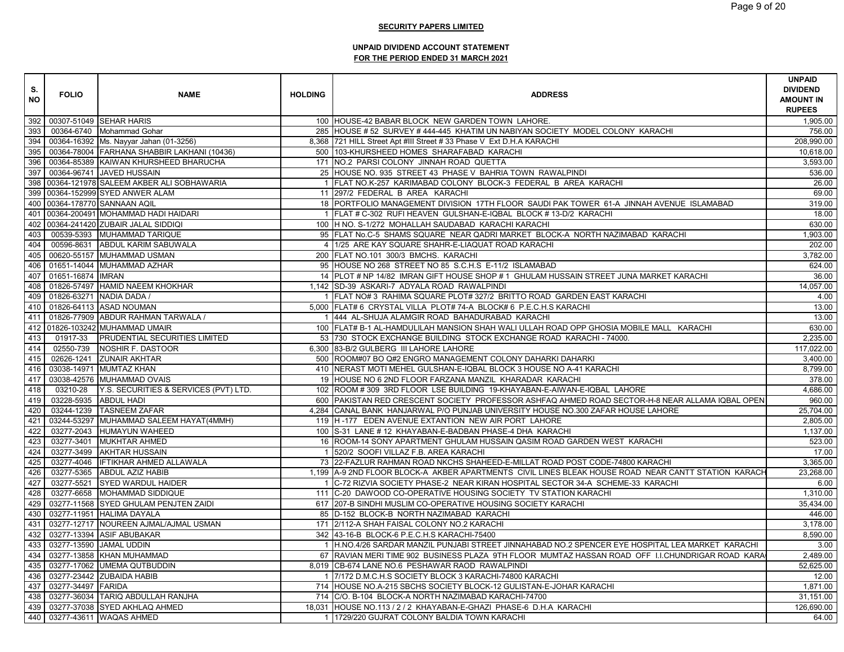| S.<br><b>NO</b>  | <b>FOLIO</b>          | <b>NAME</b>                                 | <b>HOLDING</b> | <b>ADDRESS</b>                                                                                      | <b>UNPAID</b><br><b>DIVIDEND</b><br><b>AMOUNT IN</b><br><b>RUPEES</b> |
|------------------|-----------------------|---------------------------------------------|----------------|-----------------------------------------------------------------------------------------------------|-----------------------------------------------------------------------|
|                  |                       | 392 00307-51049 SEHAR HARIS                 |                | 100 HOUSE-42 BABAR BLOCK NEW GARDEN TOWN LAHORE.                                                    | 1,905.00                                                              |
| 393              |                       | 00364-6740 Mohammad Gohar                   |                | 285 HOUSE # 52 SURVEY # 444-445 KHATIM UN NABIYAN SOCIETY MODEL COLONY KARACHI                      | 756.00                                                                |
| 394              |                       | 00364-16392 Ms. Nayyar Jahan (01-3256)      |                | 8,368 721 HILL Street Apt #III Street # 33 Phase V Ext D.H.A KARACHI                                | 208,990.00                                                            |
| 395              |                       | 00364-78004 FARHANA SHABBIR LAKHANI (10436) |                | 500 103-KHURSHEED HOMES SHARAFABAD KARACHI                                                          | 10,618.00                                                             |
| 396              |                       | 00364-85389 KAIWAN KHURSHEED BHARUCHA       |                | 171 NO.2 PARSI COLONY JINNAH ROAD QUETTA                                                            | 3,593.00                                                              |
| 397              |                       | 00364-96741 JAVED HUSSAIN                   |                | 25 HOUSE NO. 935 STREET 43 PHASE V BAHRIA TOWN RAWALPINDI                                           | 536.00                                                                |
| 398              |                       | 00364-121978 SALEEM AKBER ALI SOBHAWARIA    |                | 1 FLAT NO.K-257 KARIMABAD COLONY BLOCK-3 FEDERAL B AREA KARACHI                                     | 26.00                                                                 |
|                  |                       | 399 00364-152999 SYED ANWER ALAM            |                | 11 297/2 FEDERAL B AREA KARACHI                                                                     | 69.00                                                                 |
|                  |                       | 400 00364-178770 SANNAAN AQIL               |                | 18 PORTFOLIO MANAGEMENT DIVISION 17TH FLOOR SAUDI PAK TOWER 61-A JINNAH AVENUE ISLAMABAD            | 319.00                                                                |
|                  |                       | 401 00364-200491 MOHAMMAD HADI HAIDARI      |                | 1 FLAT # C-302 RUFI HEAVEN GULSHAN-E-IQBAL BLOCK #13-D/2 KARACHI                                    | 18.00                                                                 |
| 402              |                       | 00364-241420 ZUBAIR JALAL SIDDIQI           |                | 100 H NO. S-1/272 MOHALLAH SAUDABAD KARACHI KARACHI                                                 | 630.00                                                                |
| 403              |                       | 00539-5393 MUHAMMAD TARIQUE                 |                | 95 FLAT No.C-5 SHAMS SQUARE NEAR QADRI MARKET BLOCK-A NORTH NAZIMABAD KARACHI                       | 1,903.00                                                              |
| 404              |                       | 00596-8631 ABDUL KARIM SABUWALA             |                | 4 1/25 ARE KAY SQUARE SHAHR-E-LIAQUAT ROAD KARACHI                                                  | 202.00                                                                |
| 405              |                       | 00620-55157 MUHAMMAD USMAN                  |                | 200 FLAT NO.101 300/3 BMCHS. KARACHI                                                                | 3,782.00                                                              |
|                  |                       | 406 01651-14044 MUHAMMAD AZHAR              |                | 95 HOUSE NO 268 STREET NO 85 S.C.H.S E-11/2 ISLAMABAD                                               | 624.00                                                                |
| $\overline{4}07$ | 01651-16874 IMRAN     |                                             |                | 14 PLOT # NP 14/82 IMRAN GIFT HOUSE SHOP # 1 GHULAM HUSSAIN STREET JUNA MARKET KARACHI              | 36.00                                                                 |
| 408              |                       | 01826-57497 HAMID NAEEM KHOKHAR             |                | 1,142 SD-39 ASKARI-7 ADYALA ROAD RAWALPINDI                                                         | 14,057.00                                                             |
| 409              |                       | 01826-63271 NADIA DADA /                    |                | 1 FLAT NO# 3 RAHIMA SQUARE PLOT# 327/2 BRITTO ROAD GARDEN EAST KARACHI                              | 4.00                                                                  |
| 410              |                       | 01826-64113 ASAD NOUMAN                     |                | 5,000 FLAT# 6 CRYSTAL VILLA PLOT# 74-A BLOCK# 6 P.E.C.H.S KARACHI                                   | 13.00                                                                 |
| $\overline{4}11$ |                       | 01826-77909 ABDUR RAHMAN TARWALA /          |                | 1 444 AL-SHUJA ALAMGIR ROAD BAHADURABAD KARACHI                                                     | 13.00                                                                 |
|                  |                       | 412 01826-103242 MUHAMMAD UMAIR             |                | 100 FLAT# B-1 AL-HAMDULILAH MANSION SHAH WALI ULLAH ROAD OPP GHOSIA MOBILE MALL KARACHI             | 630.00                                                                |
| 413              | 01917-33              | <b>PRUDENTIAL SECURITIES LIMITED</b>        |                | 53 730 STOCK EXCHANGE BUILDING STOCK EXCHANGE ROAD KARACHI - 74000.                                 | 2.235.00                                                              |
| 414              | 02550-739             | NOSHIR F. DASTOOR                           |                | 6,300 83-B/2 GULBERG III LAHORE LAHORE                                                              | 117,022.00                                                            |
| 415              |                       | 02626-1241 ZUNAIR AKHTAR                    |                | 500 ROOM#07 BO Q#2 ENGRO MANAGEMENT COLONY DAHARKI DAHARKI                                          | 3,400.00                                                              |
| 416              |                       | 03038-14971 MUMTAZ KHAN                     |                | 410 NERAST MOTI MEHEL GULSHAN-E-IQBAL BLOCK 3 HOUSE NO A-41 KARACHI                                 | 8,799.00                                                              |
| 417              |                       | 03038-42576 MUHAMMAD OVAIS                  |                | 19 HOUSE NO 6 2ND FLOOR FARZANA MANZIL KHARADAR KARACHI                                             | 378.00                                                                |
| 418              | 03210-28              | Y.S. SECURITIES & SERVICES (PVT) LTD.       |                | 102 ROOM #309 3RD FLOOR LSE BUILDING 19-KHAYABAN-E-AIWAN-E-IQBAL LAHORE                             | 4,686.00                                                              |
| 419              | 03228-5935 ABDUL HADI |                                             |                | 600 PAKISTAN RED CRESCENT SOCIETY PROFESSOR ASHFAQ AHMED ROAD SECTOR-H-8 NEAR ALLAMA IQBAL OPEN     | 960.00                                                                |
| 420              |                       | 03244-1239 TASNEEM ZAFAR                    |                | 4,284 CANAL BANK HANJARWAL P/O PUNJAB UNIVERSITY HOUSE NO.300 ZAFAR HOUSE LAHORE                    | 25,704.00                                                             |
| 421              |                       | 03244-53297 MUHAMMAD SALEEM HAYAT(4MMH)     |                | 119 H-177 EDEN AVENUE EXTANTION NEW AIR PORT LAHORE                                                 | 2,805.00                                                              |
| 422              |                       | 03277-2043 HUMAYUN WAHEED                   |                | 100 S-31 LANE # 12 KHAYABAN-E-BADBAN PHASE-4 DHA KARACHI                                            | 1,137.00                                                              |
| 423              |                       | 03277-3401 MUKHTAR AHMED                    |                | 16 ROOM-14 SONY APARTMENT GHULAM HUSSAIN QASIM ROAD GARDEN WEST KARACHI                             | 523.00                                                                |
| 424              |                       | 03277-3499 AKHTAR HUSSAIN                   |                | 1 520/2 SOOFI VILLAZ F.B. AREA KARACHI                                                              | 17.00                                                                 |
| 425              |                       | 03277-4046 IFTIKHAR AHMED ALLAWALA          |                | 73 22-FAZLUR RAHMAN ROAD NKCHS SHAHEED-E-MILLAT ROAD POST CODE-74800 KARACHI                        | 3.365.00                                                              |
| 426              |                       | 03277-5365 ABDUL AZIZ HABIB                 |                | 1,199 A-9 2ND FLOOR BLOCK-A AKBER APARTMENTS CIVIL LINES BLEAK HOUSE ROAD NEAR CANTT STATION KARACH | 23,268.00                                                             |
| 427              |                       | 03277-5521 SYED WARDUL HAIDER               |                | 1 C-72 RIZVIA SOCIETY PHASE-2 NEAR KIRAN HOSPITAL SECTOR 34-A SCHEME-33 KARACHI                     | 6.00                                                                  |
| 428              |                       | 03277-6658 MOHAMMAD SIDDIQUE                |                | 111 C-20 DAWOOD CO-OPERATIVE HOUSING SOCIETY TV STATION KARACHI                                     | 1,310.00                                                              |
| 429              |                       | 03277-11568 SYED GHULAM PENJTEN ZAIDI       |                | 617 207-B SINDHI MUSLIM CO-OPERATIVE HOUSING SOCIETY KARACHI                                        | 35,434.00                                                             |
| 430              |                       | 03277-11951 HALIMA DAYALA                   |                | 85 D-152 BLOCK-B NORTH NAZIMABAD KARACHI                                                            | 446.00                                                                |
| 431              |                       | 03277-12717 NOUREEN AJMAL/AJMAL USMAN       |                | 171 2/112-A SHAH FAISAL COLONY NO.2 KARACHI                                                         | 3,178.00                                                              |
| 432              |                       | 03277-13394 ASIF ABUBAKAR                   |                | 342 43-16-B BLOCK-6 P.E.C.H.S KARACHI-75400                                                         | 8,590.00                                                              |
| 433              |                       | 03277-13590 JAMAL UDDIN                     |                | 1 H.NO.4/26 SARDAR MANZIL PUNJABI STREET JINNAHABAD NO.2 SPENCER EYE HOSPITAL LEA MARKET KARACHI    | 3.00                                                                  |
| 434              |                       | 03277-13858 KHAN MUHAMMAD                   |                | 67 RAVIAN MERI TIME 902 BUSINESS PLAZA 9TH FLOOR MUMTAZ HASSAN ROAD OFF I.I.CHUNDRIGAR ROAD KARA    | 2,489.00                                                              |
| 435              |                       | 03277-17062 UMEMA QUTBUDDIN                 |                | 8,019 CB-674 LANE NO.6 PESHAWAR RAOD RAWALPINDI                                                     | 52,625.00                                                             |
| $\overline{4}36$ |                       | 03277-23442 ZUBAIDA HABIB                   |                | 1 7/172 D.M.C.H.S SOCIETY BLOCK 3 KARACHI-74800 KARACHI                                             | 12.00                                                                 |
| 437              | 03277-34497 FARIDA    |                                             |                | 714 HOUSE NO.A-215 SBCHS SOCIETY BLOCK-12 GULISTAN-E-JOHAR KARACHI                                  | 1.871.00                                                              |
| 438              |                       | 03277-36034 TARIQ ABDULLAH RANJHA           |                | 714 C/O. B-104 BLOCK-A NORTH NAZIMABAD KARACHI-74700                                                | 31,151.00                                                             |
| 439              |                       | 03277-37038 SYED AKHLAQ AHMED               |                | 18,031 HOUSE NO.113 / 2 / 2 KHAYABAN-E-GHAZI PHASE-6 D.H.A KARACHI                                  | 126,690.00                                                            |
|                  |                       | 440 03277-43611 WAQAS AHMED                 |                | 1 1729/220 GUJRAT COLONY BALDIA TOWN KARACHI                                                        | 64.00                                                                 |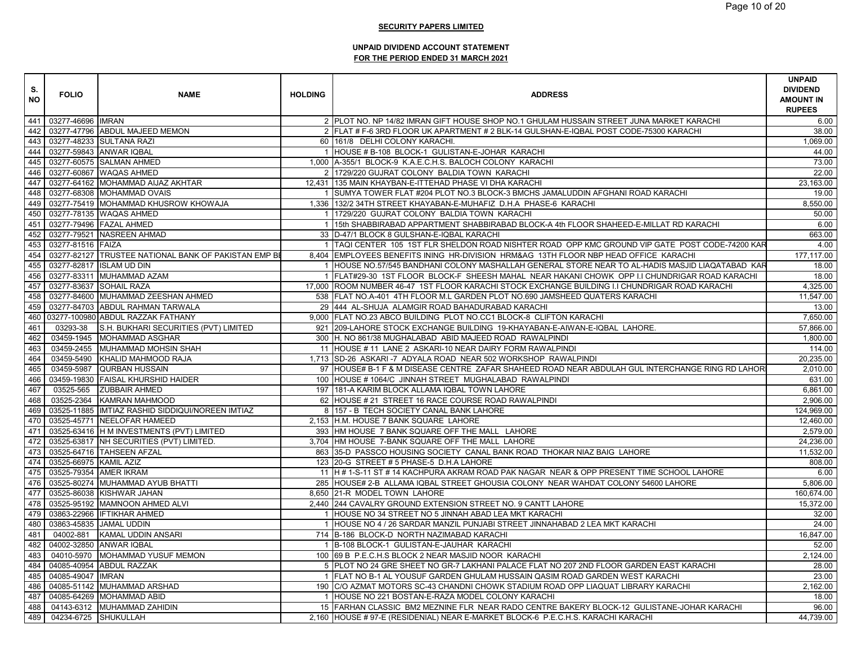| S.<br><b>NO</b> | <b>FOLIO</b>             | <b>NAME</b>                                          | <b>HOLDING</b> | <b>ADDRESS</b>                                                                                   | <b>UNPAID</b><br><b>DIVIDEND</b><br><b>AMOUNT IN</b><br><b>RUPEES</b> |
|-----------------|--------------------------|------------------------------------------------------|----------------|--------------------------------------------------------------------------------------------------|-----------------------------------------------------------------------|
|                 | 441 03277-46696 IMRAN    |                                                      |                | 2 PLOT NO. NP 14/82 IMRAN GIFT HOUSE SHOP NO.1 GHULAM HUSSAIN STREET JUNA MARKET KARACHI         | 6.00                                                                  |
| 442             |                          | 03277-47796 ABDUL MAJEED MEMON                       |                | 2 FLAT # F-6 3RD FLOOR UK APARTMENT # 2 BLK-14 GULSHAN-E-IQBAL POST CODE-75300 KARACHI           | 38.00                                                                 |
|                 |                          | 443 03277-48233 SULTANA RAZI                         |                | 60 161/8 DELHI COLONY KARACHI.                                                                   | 1,069.00                                                              |
| 444             |                          | 03277-59843 ANWAR IQBAL                              |                | 1 HOUSE # B-108 BLOCK-1 GULISTAN-E-JOHAR KARACHI                                                 | 44.00                                                                 |
| 445             |                          | 03277-60575 SALMAN AHMED                             |                | 1,000 A-355/1 BLOCK-9 K.A.E.C.H.S. BALOCH COLONY KARACHI                                         | 73.00                                                                 |
| 446             |                          | 03277-60867 WAQAS AHMED                              |                | 2 1729/220 GUJRAT COLONY BALDIA TOWN KARACHI                                                     | 22.00                                                                 |
| 447             |                          | 03277-64162 MOHAMMAD AIJAZ AKHTAR                    |                | 12,431 135 MAIN KHAYBAN-E-ITTEHAD PHASE VI DHA KARACHI                                           | 23,163.00                                                             |
|                 |                          | 448 03277-68308 MOHAMMAD OVAIS                       |                | 1 SUMYA TOWER FLAT #204 PLOT NO.3 BLOCK-3 BMCHS JAMALUDDIN AFGHANI ROAD KARACHI                  | 19.00                                                                 |
| 449             |                          | 03277-75419 MOHAMMAD KHUSROW KHOWAJA                 |                | 1,336 132/2 34TH STREET KHAYABAN-E-MUHAFIZ D.H.A PHASE-6 KARACHI                                 | 8,550.00                                                              |
|                 |                          | 450 03277-78135 WAQAS AHMED                          |                | 1 1729/220 GUJRAT COLONY BALDIA TOWN KARACHI                                                     | 50.00                                                                 |
| 451             |                          | 03277-79496 FAZAL AHMED                              |                | 1 15th SHABBIRABAD APPARTMENT SHABBIRABAD BLOCK-A 4th FLOOR SHAHEED-E-MILLAT RD KARACHI          | 6.00                                                                  |
| 452             |                          | 03277-79521 NASREEN AHMAD                            |                | 33 D-47/1 BLOCK 8 GULSHAN-E-IQBAL KARACHI                                                        | 663.00                                                                |
|                 | 453 03277-81516 FAIZA    |                                                      |                | 1 TAQI CENTER 105 1ST FLR SHELDON ROAD NISHTER ROAD OPP KMC GROUND VIP GATE POST CODE-74200 KAR  | 4.00                                                                  |
| 454             |                          | 03277-82127 TRUSTEE NATIONAL BANK OF PAKISTAN EMP BI |                | 8,404 EMPLOYEES BENEFITS INING HR-DIVISION HRM&AG 13TH FLOOR NBP HEAD OFFICE KARACHI             | 177,117.00                                                            |
|                 |                          | 455 03277-82817 ISLAM UD DIN                         |                | 1 HOUSE NO.57/545 BANDHANI COLONY MASHALLAH GENERAL STORE NEAR TO AL-HADIS MASJID LIAQATABAD KAR | 18.00                                                                 |
| 456             |                          | 03277-83311 MUHAMMAD AZAM                            |                | 1 FLAT#29-30 1ST FLOOR BLOCK-F SHEESH MAHAL NEAR HAKANI CHOWK OPP I.I CHUNDRIGAR ROAD KARACHI    | 18.00                                                                 |
| 457             |                          | 03277-83637 SOHAIL RAZA                              |                | 17,000 ROOM NUMBER 46-47 1ST FLOOR KARACHI STOCK EXCHANGE BUILDING I.I CHUNDRIGAR ROAD KARACHI   | 4,325.00                                                              |
| 458             |                          | 03277-84600 MUHAMMAD ZEESHAN AHMED                   |                | 538 FLAT NO.A-401 4TH FLOOR M.L GARDEN PLOT NO.690 JAMSHEED QUATERS KARACHI                      | 11,547.00                                                             |
|                 |                          | 459 03277-84703 ABDUL RAHMAN TARWALA                 |                | 29 444 AL-SHUJA ALAMGIR ROAD BAHADURABAD KARACHI                                                 | 13.00                                                                 |
|                 |                          | 460 03277-100980 ABDUL RAZZAK FATHANY                |                | 9,000 FLAT NO.23 ABCO BUILDING PLOT NO.CC1 BLOCK-8 CLIFTON KARACHI                               | 7,650.00                                                              |
| 461             | 03293-38                 | S.H. BUKHARI SECURITIES (PVT) LIMITED                |                | 921   209-LAHORE STOCK EXCHANGE BUILDING 19-KHAYABAN-E-AIWAN-E-IQBAL LAHORE.                     | 57,866.00                                                             |
| 462             |                          | 03459-1945 MOHAMMAD ASGHAR                           |                | 300 H. NO 861/38 MUGHALABAD ABID MAJEED ROAD RAWALPINDI                                          | 1,800.00                                                              |
| 463             |                          | 03459-2455 MUHAMMAD MOHSIN SHAH                      |                | 11 HOUSE # 11 LANE 2 ASKARI-10 NEAR DAIRY FORM RAWALPINDI                                        | 114.00                                                                |
| 464             | 03459-5490               | KHALID MAHMOOD RAJA                                  |                | 1,713 SD-26 ASKARI-7 ADYALA ROAD NEAR 502 WORKSHOP RAWALPINDI                                    | 20,235.00                                                             |
| 465             | 03459-5987               | <b>QURBAN HUSSAIN</b>                                |                | 97 HOUSE# B-1 F & M DISEASE CENTRE ZAFAR SHAHEED ROAD NEAR ABDULAH GUL INTERCHANGE RING RD LAHOR | 2,010.00                                                              |
| 466             |                          | 03459-19830 FAISAL KHURSHID HAIDER                   |                | 100 HOUSE # 1064/C JINNAH STREET MUGHALABAD RAWALPINDI                                           | 631.00                                                                |
| 467             |                          | 03525-565 ZUBBAIR AHMED                              |                | 197 181-A KARIM BLOCK ALLAMA IQBAL TOWN LAHORE                                                   | 6,861.00                                                              |
| 468             |                          | 03525-2364 KAMRAN MAHMOOD                            |                | 62 HOUSE # 21 STREET 16 RACE COURSE ROAD RAWALPINDI                                              | 2.906.00                                                              |
| 469             |                          | 03525-11885 IMTIAZ RASHID SIDDIQUI/NOREEN IMTIAZ     |                | 8 157 - B TECH SOCIETY CANAL BANK LAHORE                                                         | 124,969.00                                                            |
| 470             |                          | 03525-45771 NEELOFAR HAMEED                          |                | 2,153 H.M. HOUSE 7 BANK SQUARE LAHORE                                                            | 12,460.00                                                             |
| 471             |                          | 03525-63416 H M INVESTMENTS (PVT) LIMITED            |                | 393 HM HOUSE 7 BANK SQUARE OFF THE MALL LAHORE                                                   | 2,579.00                                                              |
| 472             |                          | 03525-63817 NH SECURITIES (PVT) LIMITED.             |                | 3,704 HM HOUSE 7-BANK SQUARE OFF THE MALL LAHORE                                                 | 24,236.00                                                             |
| 473             |                          | 03525-64716 TAHSEEN AFZAL                            |                | 863 35-D PASSCO HOUSING SOCIETY CANAL BANK ROAD THOKAR NIAZ BAIG LAHORE                          | 11,532.00                                                             |
| 474             | 03525-66975 KAMIL AZIZ   |                                                      |                | 123 20-G STREET # 5 PHASE-5 D.H.A LAHORE                                                         | 808.00                                                                |
| 475             | 03525-79354 AMER IKRAM   |                                                      |                | 11 H # 1-S-11 ST # 14 KACHPURA AKRAM ROAD PAK NAGAR NEAR & OPP PRESENT TIME SCHOOL LAHORE        | 6.00                                                                  |
|                 |                          | 476 03525-80274 MUHAMMAD AYUB BHATTI                 |                | 285 HOUSE# 2-B ALLAMA IQBAL STREET GHOUSIA COLONY NEAR WAHDAT COLONY 54600 LAHORE                | 5,806.00                                                              |
| 477             |                          | 03525-86038 KISHWAR JAHAN                            |                | 8,650 21-R MODEL TOWN LAHORE                                                                     | 160,674.00                                                            |
|                 |                          | 478 03525-95192 MAMNOON AHMED ALVI                   |                | 2,440 244 CAVALRY GROUND EXTENSION STREET NO. 9 CANTT LAHORE                                     | 15,372.00                                                             |
| 479             |                          | 03863-22966 IFTIKHAR AHMED                           |                | 1 HOUSE NO 34 STREET NO 5 JINNAH ABAD LEA MKT KARACHI                                            | 32.00                                                                 |
| 480             |                          | 03863-45835 JAMAL UDDIN                              |                | 1 HOUSE NO 4 / 26 SARDAR MANZIL PUNJABI STREET JINNAHABAD 2 LEA MKT KARACHI                      | 24.00                                                                 |
| 481             | 04002-881                | KAMAL UDDIN ANSARI                                   |                | 714 B-186 BLOCK-D NORTH NAZIMABAD KARACHI                                                        | 16,847.00                                                             |
| 482             |                          | 04002-32850 ANWAR IQBAL                              |                | 1 B-108 BLOCK-1 GULISTAN-E-JAUHAR KARACHI                                                        | 52.00                                                                 |
| 483             |                          | 04010-5970 MOHAMMAD YUSUF MEMON                      |                | 100 69 B P.E.C.H.S BLOCK 2 NEAR MASJID NOOR KARACHI                                              | 2,124.00                                                              |
| 484             |                          | 04085-40954 ABDUL RAZZAK                             |                | 5 PLOT NO 24 GRE SHEET NO GR-7 LAKHANI PALACE FLAT NO 207 2ND FLOOR GARDEN EAST KARACHI          | 28.00                                                                 |
| 485             | 04085-49047 IMRAN        |                                                      |                | 1 FLAT NO B-1 AL YOUSUF GARDEN GHULAM HUSSAIN QASIM ROAD GARDEN WEST KARACHI                     | 23.00                                                                 |
| 486             |                          | 04085-51142 MUHAMMAD ARSHAD                          |                | 190 C/O AZMAT MOTORS SC-43 CHANDNI CHOWK STADIUM ROAD OPP LIAQUAT LIBRARY KARACHI                | 2,162.00                                                              |
| 487             |                          | 04085-64269 MOHAMMAD ABID                            |                | 1 HOUSE NO 221 BOSTAN-E-RAZA MODEL COLONY KARACHI                                                | 18.00                                                                 |
| 488             |                          | 04143-6312 MUHAMMAD ZAHIDIN                          |                | 15 FARHAN CLASSIC BM2 MEZNINE FLR NEAR RADO CENTRE BAKERY BLOCK-12 GULISTANE-JOHAR KARACHI       | 96.00                                                                 |
|                 | 489 04234-6725 SHUKULLAH |                                                      |                | 2,160 HOUSE # 97-E (RESIDENIAL) NEAR E-MARKET BLOCK-6 P.E.C.H.S. KARACHI KARACHI                 | 44,739.00                                                             |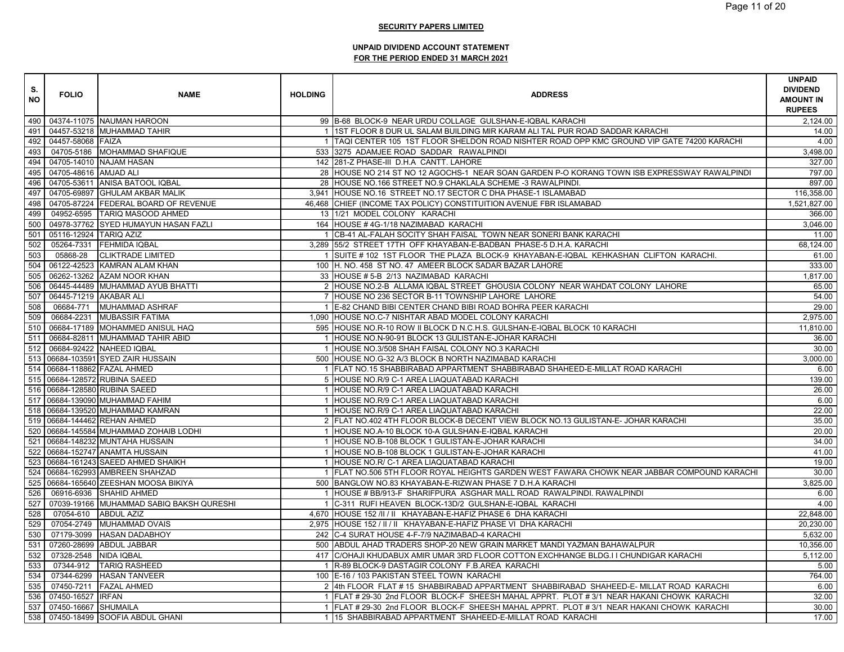| S.<br><b>NO</b> | <b>FOLIO</b>           | <b>NAME</b>                              | <b>HOLDING</b> | <b>ADDRESS</b>                                                                               | <b>UNPAID</b><br><b>DIVIDEND</b><br><b>AMOUNT IN</b><br><b>RUPEES</b> |
|-----------------|------------------------|------------------------------------------|----------------|----------------------------------------------------------------------------------------------|-----------------------------------------------------------------------|
|                 |                        | 490 04374-11075 NAUMAN HAROON            |                | 99 B-68 BLOCK-9 NEAR URDU COLLAGE GULSHAN-E-IQBAL KARACHI                                    | 2,124.00                                                              |
| 491             |                        | 04457-53218 MUHAMMAD TAHIR               |                | 1 1ST FLOOR 8 DUR UL SALAM BUILDING MIR KARAM ALI TAL PUR ROAD SADDAR KARACHI                | 14.00                                                                 |
| 492             | 04457-58068 FAIZA      |                                          |                | 1 TAQI CENTER 105 1ST FLOOR SHELDON ROAD NISHTER ROAD OPP KMC GROUND VIP GATE 74200 KARACHI  | 4.00                                                                  |
| 493             |                        | 04705-5186 MOHAMMAD SHAFIQUE             |                | 533 3275 ADAMJEE ROAD SADDAR RAWALPINDI                                                      | 3,498.00                                                              |
| 494             |                        | 04705-14010 NAJAM HASAN                  |                | 142 281-Z PHASE-III D.H.A CANTT. LAHORE                                                      | 327.00                                                                |
| 495             | 04705-48616 AMJAD ALI  |                                          |                | 28 HOUSE NO 214 ST NO 12 AGOCHS-1 NEAR SOAN GARDEN P-O KORANG TOWN ISB EXPRESSWAY RAWALPINDI | 797.00                                                                |
| 496             |                        | 04705-53611 ANISA BATOOL IQBAL           |                | 28 HOUSE NO.166 STREET NO.9 CHAKLALA SCHEME -3 RAWALPINDI.                                   | 897.00                                                                |
| 497             |                        | 04705-69897 GHULAM AKBAR MALIK           |                | 3,941 HOUSE NO.16 STREET NO.17 SECTOR C DHA PHASE-1 ISLAMABAD                                | 116,358.00                                                            |
| 498             |                        | 04705-87224 FEDERAL BOARD OF REVENUE     |                | 46,468 CHIEF (INCOME TAX POLICY) CONSTITUITION AVENUE FBR ISLAMABAD                          | 1,521,827.00                                                          |
| 499             |                        | 04952-6595 TARIQ MASOOD AHMED            |                | 13 1/21 MODEL COLONY KARACHI                                                                 | 366.00                                                                |
| 500             |                        | 04978-37762 SYED HUMAYUN HASAN FAZLI     |                | 164 HOUSE #4G-1/18 NAZIMABAD KARACHI                                                         | 3,046.00                                                              |
| 501             | 05116-12924 TARIQ AZIZ |                                          |                | 1 CB-41 AL-FALAH SOCITY SHAH FAISAL TOWN NEAR SONERI BANK KARACHI                            | 11.00                                                                 |
| 502             |                        | 05264-7331 FEHMIDA IQBAL                 |                | 3,289 55/2 STREET 17TH OFF KHAYABAN-E-BADBAN PHASE-5 D.H.A. KARACHI                          | 68,124.00                                                             |
| 503             | 05868-28               | <b>CLIKTRADE LIMITED</b>                 |                | SUITE # 102 1ST FLOOR THE PLAZA BLOCK-9 KHAYABAN-E-IQBAL KEHKASHAN CLIFTON KARACHI.          | 61.00                                                                 |
| 504             |                        | 06122-42523 KAMRAN ALAM KHAN             |                | 100 H. NO. 458 ST NO. 47 AMEER BLOCK SADAR BAZAR LAHORE                                      | 333.00                                                                |
| 505             |                        | 06262-13262 AZAM NOOR KHAN               |                | 33 HOUSE # 5-B 2/13 NAZIMABAD KARACHI                                                        | 1,817.00                                                              |
| 506             |                        | 06445-44489 MUHAMMAD AYUB BHATTI         |                | 2 HOUSE NO.2-B ALLAMA IQBAL STREET GHOUSIA COLONY NEAR WAHDAT COLONY LAHORE                  | 65.00                                                                 |
| 507             | 06445-71219 AKABAR ALI |                                          |                | 7 HOUSE NO 236 SECTOR B-11 TOWNSHIP LAHORE LAHORE                                            | 54.00                                                                 |
| 508             |                        | 06684-771 MUHAMMAD ASHRAF                |                | 1 E-82 CHAND BIBI CENTER CHAND BIBI ROAD BOHRA PEER KARACHI                                  | 29.00                                                                 |
| 509             | 06684-2231             | <b>MUBASSIR FATIMA</b>                   |                | 1,090 HOUSE NO.C-7 NISHTAR ABAD MODEL COLONY KARACHI                                         | 2,975.00                                                              |
| 510             |                        | 06684-17189 MOHAMMED ANISUL HAQ          |                | 595 HOUSE NO.R-10 ROW II BLOCK D N.C.H.S. GULSHAN-E-IQBAL BLOCK 10 KARACHI                   | 11,810.00                                                             |
| 511             |                        | 06684-82811 MUHAMMAD TAHIR ABID          |                | 1 HOUSE NO.N-90-91 BLOCK 13 GULISTAN-E-JOHAR KARACHI                                         | 36.00                                                                 |
| 512             |                        | 06684-92422 NAHEED IQBAL                 |                | 1 HOUSE NO.3/508 SHAH FAISAL COLONY NO.3 KARACHI                                             | 30.00                                                                 |
|                 |                        | 513 06684-103591 SYED ZAIR HUSSAIN       |                | 500 HOUSE NO.G-32 A/3 BLOCK B NORTH NAZIMABAD KARACHI                                        | 3,000.00                                                              |
|                 |                        | 514 06684-118862 FAZAL AHMED             |                | 1 FLAT NO.15 SHABBIRABAD APPARTMENT SHABBIRABAD SHAHEED-E-MILLAT ROAD KARACHI                | 6.00                                                                  |
|                 |                        | 515 06684-128572 RUBINA SAEED            |                | 5 HOUSE NO.R/9 C-1 AREA LIAQUATABAD KARACHI                                                  | 139.00                                                                |
|                 |                        | 516 06684-128580 RUBINA SAEED            |                | 1 HOUSE NO.R/9 C-1 AREA LIAQUATABAD KARACHI                                                  | 26.00                                                                 |
|                 |                        | 517 06684-139090 MUHAMMAD FAHIM          |                | 1 HOUSE NO.R/9 C-1 AREA LIAQUATABAD KARACHI                                                  | 6.00                                                                  |
|                 |                        | 518 06684-139520 MUHAMMAD KAMRAN         |                | 1 HOUSE NO.R/9 C-1 AREA LIAQUATABAD KARACHI                                                  | 22.00                                                                 |
|                 |                        | 519 06684-144462 REHAN AHMED             |                | 2 FLAT NO.402 4TH FLOOR BLOCK-B DECENT VIEW BLOCK NO.13 GULISTAN-E- JOHAR KARACHI            | 35.00                                                                 |
|                 |                        | 520 06684-145584 MUHAMMAD ZOHAIB LODHI   |                | 1 HOUSE NO.A-10 BLOCK 10-A GULSHAN-E-IQBAL KARACHI                                           | 20.00                                                                 |
|                 |                        | 521 06684-148232 MUNTAHA HUSSAIN         |                | 1 HOUSE NO.B-108 BLOCK 1 GULISTAN-E-JOHAR KARACHI                                            | 34.00                                                                 |
|                 |                        | 522 06684-152747 ANAMTA HUSSAIN          |                | 1 HOUSE NO.B-108 BLOCK 1 GULISTAN-E-JOHAR KARACHI                                            | 41.00                                                                 |
| 523             |                        | 06684-161243 SAEED AHMED SHAIKH          |                | 1 HOUSE NO.R/ C-1 AREA LIAQUATABAD KARACHI                                                   | 19.00                                                                 |
| 524             |                        | 06684-162993 AMBREEN SHAHZAD             |                | 1 FLAT NO.506 5TH FLOOR ROYAL HEIGHTS GARDEN WEST FAWARA CHOWK NEAR JABBAR COMPOUND KARACHI  | 30.00                                                                 |
|                 |                        | 525 06684-165640 ZEESHAN MOOSA BIKIYA    |                | 500 BANGLOW NO.83 KHAYABAN-E-RIZWAN PHASE 7 D.H.A KARACHI                                    | 3,825.00                                                              |
| 526             |                        | 06916-6936 SHAHID AHMED                  |                | 1 HOUSE # BB/913-F SHARIFPURA ASGHAR MALL ROAD RAWALPINDI. RAWALPINDI                        | 6.00                                                                  |
| 527             |                        | 07039-19166 MUHAMMAD SABIQ BAKSH QURESHI |                | 1 C-311 RUFI HEAVEN BLOCK-13D/2 GULSHAN-E-IQBAL KARACHI                                      | 4.00                                                                  |
| 528             |                        | 07054-610 ABDUL AZIZ                     |                | 4,670 HOUSE 152 /II / II KHAYABAN-E-HAFIZ PHASE 6 DHA KARACHI                                | 22,848.00                                                             |
| 529             |                        | 07054-2749 MUHAMMAD OVAIS                |                | 2,975 HOUSE 152 / II / II KHAYABAN-E-HAFIZ PHASE VI DHA KARACHI                              | 20,230.00                                                             |
| 530             | 07179-3099             | <b>HASAN DADABHOY</b>                    |                | 242 C-4 SURAT HOUSE 4-F-7/9 NAZIMABAD-4 KARACHI                                              | 5,632.00                                                              |
| 531             |                        | 07260-28699 ABDUL JABBAR                 |                | 500 ABDUL AHAD TRADERS SHOP-20 NEW GRAIN MARKET MANDI YAZMAN BAHAWALPUR                      | 10,356.00                                                             |
| 532             | 07328-2548 NIDA IQBAL  |                                          |                | 417 C/OHAJI KHUDABUX AMIR UMAR 3RD FLOOR COTTON EXCHHANGE BLDG.I I CHUNDIGAR KARACHI         | 5,112.00                                                              |
| 533             |                        | 07344-912 TARIQ RASHEED                  |                | 1 R-89 BLOCK-9 DASTAGIR COLONY F.B.AREA KARACHI                                              | 5.00                                                                  |
| 534             |                        | 07344-6299 HASAN TANVEER                 |                | 100 E-16 / 103 PAKISTAN STEEL TOWN KARACHI                                                   | 764.00                                                                |
| 535             |                        | 07450-7211 FAZAL AHMED                   |                | 2 4th FLOOR FLAT # 15 SHABBIRABAD APPARTMENT SHABBIRABAD SHAHEED-E- MILLAT ROAD KARACHI      | 6.00                                                                  |
| 536             | 07450-16527 IRFAN      |                                          |                | 1 FLAT # 29-30 2nd FLOOR BLOCK-F SHEESH MAHAL APPRT. PLOT # 3/1 NEAR HAKANI CHOWK KARACHI    | 32.00                                                                 |
| 537             | 07450-16667 SHUMAILA   |                                          |                | 1 FLAT # 29-30 2nd FLOOR BLOCK-F SHEESH MAHAL APPRT. PLOT # 3/1 NEAR HAKANI CHOWK KARACHI    | 30.00                                                                 |
|                 |                        | 538 07450-18499 SOOFIA ABDUL GHANI       |                | 1 15 SHABBIRABAD APPARTMENT SHAHEED-E-MILLAT ROAD KARACHI                                    | 17.00                                                                 |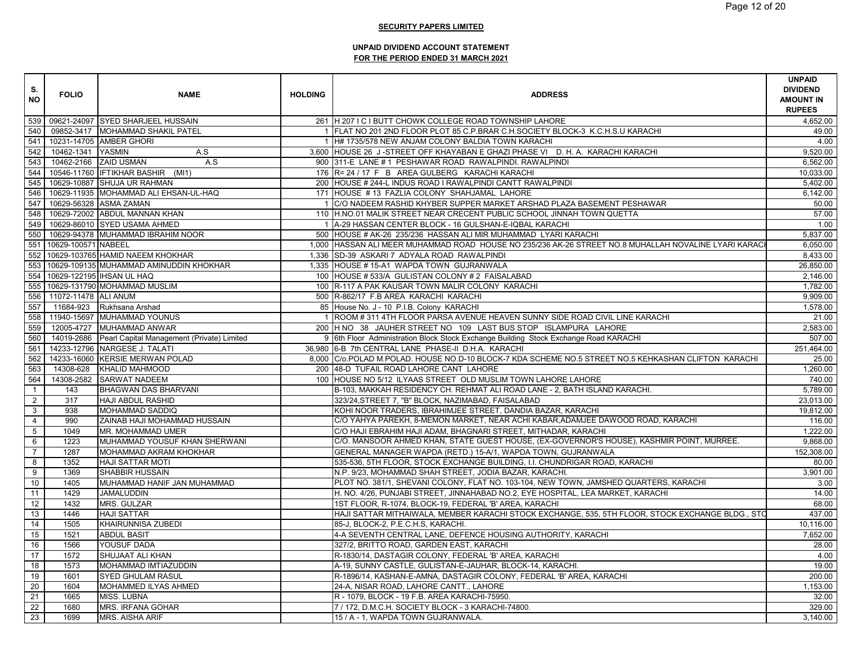| S.<br><b>NO</b> | <b>FOLIO</b>             | <b>NAME</b>                                           | <b>HOLDING</b> | <b>ADDRESS</b>                                                                                        | <b>UNPAID</b><br><b>DIVIDEND</b><br><b>AMOUNT IN</b><br><b>RUPEES</b> |
|-----------------|--------------------------|-------------------------------------------------------|----------------|-------------------------------------------------------------------------------------------------------|-----------------------------------------------------------------------|
|                 |                          |                                                       |                |                                                                                                       |                                                                       |
| 539             |                          | 09621-24097 SYED SHARJEEL HUSSAIN                     |                | 261 H 207 I C I BUTT CHOWK COLLEGE ROAD TOWNSHIP LAHORE                                               | 4,652.00                                                              |
| 540             |                          | 09852-3417 MOHAMMAD SHAKIL PATEL                      |                | 1 FLAT NO 201 2ND FLOOR PLOT 85 C.P.BRAR C.H.SOCIETY BLOCK-3 K.C.H.S.U KARACHI                        | 49.00                                                                 |
| 541             |                          | 10231-14705 AMBER GHORI                               |                | 1 H# 1735/578 NEW ANJAM COLONY BALDIA TOWN KARACHI                                                    | 4.00                                                                  |
| 542             | 10462-1341 YASMIN        | A.S                                                   |                | 3,600 HOUSE 26 J-STREET OFF KHAYABAN E GHAZI PHASE VI D. H. A. KARACHI KARACHI                        | 9,520.00                                                              |
| 543             |                          | 10462-2166 ZAID USMAN<br>A.S                          |                | 900 311-E LANE #1 PESHAWAR ROAD RAWALPINDI. RAWALPINDI                                                | 6,562.00                                                              |
| 544             |                          | 10546-11760 IFTIKHAR BASHIR (MI1)                     |                | 176 R= 24 / 17 F B AREA GULBERG KARACHI KARACHI                                                       | 10,033.00                                                             |
| 545             |                          | 10629-10887 SHUJA UR RAHMAN                           |                | 200 HOUSE # 244-L INDUS ROAD I RAWALPINDI CANTT RAWALPINDI                                            | 5,402.00                                                              |
| 546             |                          | 10629-11935 MOHAMMAD ALI EHSAN-UL-HAQ                 |                | 171 HOUSE #13 FAZLIA COLONY SHAHJAMAL LAHORE                                                          | 6,142.00                                                              |
| 547             |                          | 10629-56328 ASMA ZAMAN                                |                | 1 C/O NADEEM RASHID KHYBER SUPPER MARKET ARSHAD PLAZA BASEMENT PESHAWAR                               | 50.00                                                                 |
| 548             |                          | 10629-72002 ABDUL MANNAN KHAN                         |                | 110 H.NO.01 MALIK STREET NEAR CRECENT PUBLIC SCHOOL JINNAH TOWN QUETTA                                | 57.00                                                                 |
| 549             |                          | 10629-86010 SYED USAMA AHMED                          |                | 1 A-29 HASSAN CENTER BLOCK - 16 GULSHAN-E-IQBAL KARACHI                                               | 1.00                                                                  |
| 550             |                          | 10629-94378 MUHAMMAD IBRAHIM NOOR                     |                | 500 HOUSE # AK-26 235/236 HASSAN ALI MIR MUHAMMAD LYARI KARACHI                                       | 5,837.00                                                              |
| 551             | 10629-100571 NABEEL      |                                                       |                | 1,000 HASSAN ALI MEER MUHAMMAD ROAD HOUSE NO 235/236 AK-26 STREET NO.8 MUHALLAH NOVALINE LYARI KARACI | 6,050.00                                                              |
|                 |                          | 552 10629-103765 HAMID NAEEM KHOKHAR                  |                | 1,336 SD-39 ASKARI 7 ADYALA ROAD RAWALPINDI                                                           | 8,433.00                                                              |
| 553             |                          | 10629-109135 MUHAMMAD AMINUDDIN KHOKHAR               |                | 1,335 HOUSE #15-A1 WAPDA TOWN GUJRANWALA                                                              | 26,850.00                                                             |
|                 |                          | 554 10629-122195 IHSAN UL HAQ                         |                | 100 HOUSE # 533/A GULISTAN COLONY # 2 FAISALABAD                                                      | 2,146.00                                                              |
|                 |                          | 555 10629-131790 MOHAMMAD MUSLIM                      |                | 100 R-117 A PAK KAUSAR TOWN MALIR COLONY KARACHI                                                      | 1,782.00                                                              |
|                 | 556 11072-11478 ALI ANUM |                                                       |                | 500 R-862/17 F.B AREA KARACHI KARACHI                                                                 | 9,909.00                                                              |
| 557             |                          | 11684-923 Rukhsana Arshad                             |                | 85 House No. J - 10 P.I.B. Colony KARACHI                                                             | 1,578.00                                                              |
|                 |                          | 558 11940-15697 MUHAMMAD YOUNUS                       |                | 1 ROOM # 311 4TH FLOOR PARSA AVENUE HEAVEN SUNNY SIDE ROAD CIVIL LINE KARACHI                         | 21.00                                                                 |
| 559             |                          | 12005-4727 MUHAMMAD ANWAR                             |                | 200 H NO 38 JAUHER STREET NO 109 LAST BUS STOP ISLAMPURA LAHORE                                       | 2,583.00                                                              |
| 560             |                          | 14019-2686 Pearl Capital Management (Private) Limited |                | 9 6th Floor Administration Block Stock Exchange Building Stock Exchange Road KARACHI                  | 507.00                                                                |
| 561             |                          | 14233-12796 NARGESE J. TALATI                         |                | 36,980 6-B 7th CENTRAL LANE PHASE-II D.H.A. KARACHI                                                   | 251,464.00                                                            |
| 562             |                          | 14233-16060 KERSIE MERWAN POLAD                       |                | 8,000 C/o.POLAD M.POLAD. HOUSE NO.D-10 BLOCK-7 KDA SCHEME NO.5 STREET NO.5 KEHKASHAN CLIFTON KARACHI  | 25.00                                                                 |
| 563             | 14308-628                | <b>KHALID MAHMOOD</b>                                 |                | 200 48-D TUFAIL ROAD LAHORE CANT LAHORE                                                               | 1,260.00                                                              |
| 564             | 14308-2582               | <b>SARWAT NADEEM</b>                                  |                | 100 HOUSE NO 5/12 ILYAAS STREET OLD MUSLIM TOWN LAHORE LAHORE                                         | 740.00                                                                |
| $\mathbf{1}$    | 143                      | BHAGWAN DAS BHARVANI                                  |                | B-103, MAKKAH RESIDENCY CH. REHMAT ALI ROAD LANE - 2, BATH ISLAND KARACHI.                            | 5,789.00                                                              |
| $\overline{2}$  | 317                      | <b>HAJI ABDUL RASHID</b>                              |                | 323/24, STREET 7, "B" BLOCK, NAZIMABAD, FAISALABAD                                                    | 23,013.00                                                             |
| $\mathbf{3}$    | 938                      | <b>MOHAMMAD SADDIQ</b>                                |                | KOHI NOOR TRADERS, IBRAHIMJEE STREET, DANDIA BAZAR, KARACHI                                           | 19,812.00                                                             |
| $\overline{4}$  | 990                      | ZAINAB HAJI MOHAMMAD HUSSAIN                          |                | C/O YAHYA PAREKH, 8-MEMON MARKET, NEAR ACHI KABAR, ADAMJEE DAWOOD ROAD, KARACHI                       | 116.00                                                                |
| $\overline{5}$  | 1049                     | MR. MOHAMMAD UMER                                     |                | C/O HAJI EBRAHIM HAJI ADAM, BHAGNARI STREET, MITHADAR, KARACHI                                        | 1,222.00                                                              |
| 6               | 1223                     | MUHAMMAD YOUSUF KHAN SHERWANI                         |                | C/O. MANSOOR AHMED KHAN, STATE GUEST HOUSE, (EX-GOVERNOR'S HOUSE), KASHMIR POINT, MURREE.             | 9,868.00                                                              |
| $\overline{7}$  | 1287                     | MOHAMMAD AKRAM KHOKHAR                                |                | GENERAL MANAGER WAPDA (RETD.) 15-A/1, WAPDA TOWN, GUJRANWALA                                          | 152,308.00                                                            |
| 8               | 1352                     | <b>HAJI SATTAR MOTI</b>                               |                | 535-536, 5TH FLOOR, STOCK EXCHANGE BUILDING, I.I. CHUNDRIGAR ROAD, KARACHI                            | 80.00                                                                 |
| 9               | 1369                     | <b>SHABBIR HUSSAIN</b>                                |                | N.P. 9/23, MOHAMMAD SHAH STREET, JODIA BAZAR, KARACHI.                                                | 3,901.00                                                              |
| 10              | 1405                     | MUHAMMAD HANIF JAN MUHAMMAD                           |                | PLOT NO. 381/1, SHEVANI COLONY, FLAT NO. 103-104, NEW TOWN, JAMSHED QUARTERS, KARACHI                 | 3.00                                                                  |
| 11              | 1429                     | <b>JAMALUDDIN</b>                                     |                | H. NO. 4/26, PUNJABI STREET, JINNAHABAD NO.2, EYE HOSPITAL, LEA MARKET, KARACHI                       | 14.00                                                                 |
| 12              | 1432                     | <b>MRS. GULZAR</b>                                    |                | 1ST FLOOR, R-1074, BLOCK-19, FEDERAL 'B' AREA, KARACHI                                                | 68.00                                                                 |
| 13              | 1446                     | <b>HAJI SATTAR</b>                                    |                | HAJI SATTAR MITHAIWALA, MEMBER KARACHI STOCK EXCHANGE, 535, 5TH FLOOR, STOCK EXCHANGE BLDG., STO      | 437.00                                                                |
| 14              | 1505                     | <b>KHAIRUNNISA ZUBEDI</b>                             |                | 85-J, BLOCK-2, P.E.C.H.S, KARACHI.                                                                    | 10,116.00                                                             |
| 15              | 1521                     | <b>ABDUL BASIT</b>                                    |                | 4-A SEVENTH CENTRAL LANE, DEFENCE HOUSING AUTHORITY, KARACHI                                          | 7,652.00                                                              |
| 16              | 1566                     | YOUSUF DADA                                           |                | 327/2, BRITTO ROAD, GARDEN EAST, KARACHI                                                              | 28.00                                                                 |
| 17              | 1572                     | SHUJAAT ALI KHAN                                      |                | R-1830/14, DASTAGIR COLONY, FEDERAL 'B' AREA, KARACHI                                                 | 4.00                                                                  |
| 18              | 1573                     | MOHAMMAD IMTIAZUDDIN                                  |                | A-19, SUNNY CASTLE, GULISTAN-E-JAUHAR, BLOCK-14, KARACHI.                                             | 19.00                                                                 |
| 19              | 1601                     | <b>SYED GHULAM RASUL</b>                              |                | R-1896/14, KASHAN-E-AMNA, DASTAGIR COLONY, FEDERAL 'B' AREA, KARACHI                                  | 200.00                                                                |
| 20              | 1604                     | MOHAMMED ILYAS AHMED                                  |                | 24-A, NISAR ROAD, LAHORE CANTT., LAHORE                                                               | 1,153.00                                                              |
| 21              | 1665                     | MISS. LUBNA                                           |                | R - 1079, BLOCK - 19 F.B. AREA KARACHI-75950.                                                         | 32.00                                                                 |
| 22              | 1680                     | <b>MRS. IRFANA GOHAR</b>                              |                | 7 / 172, D.M.C.H. SOCIETY BLOCK - 3 KARACHI-74800.                                                    | 329.00                                                                |
| $\overline{23}$ | 1699                     | <b>MRS. AISHA ARIF</b>                                |                | 15 / A - 1, WAPDA TOWN GUJRANWALA.                                                                    | 3,140.00                                                              |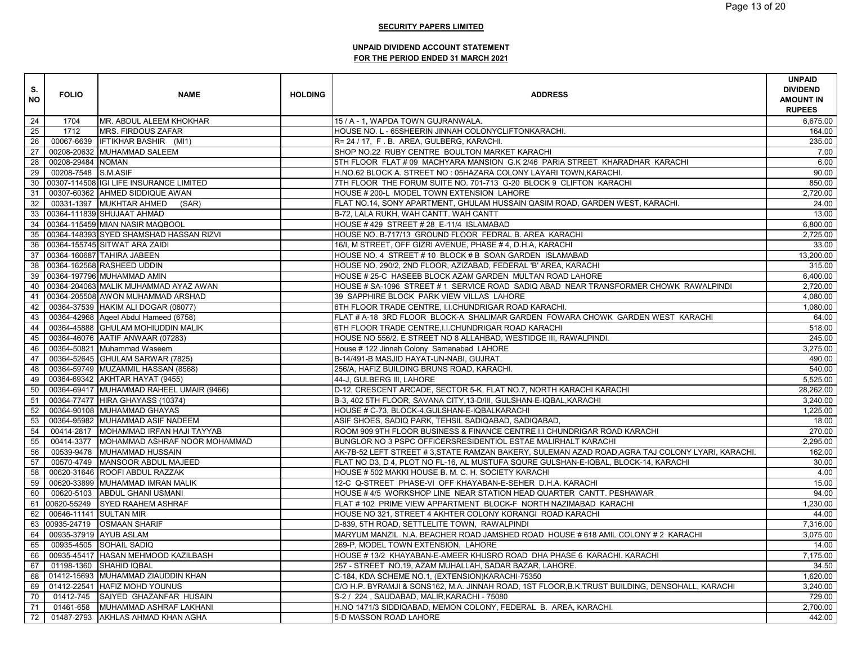| S.<br><b>NO</b> | <b>FOLIO</b>                          | <b>NAME</b>                              | <b>HOLDING</b> | <b>ADDRESS</b>                                                                                  | <b>UNPAID</b><br><b>DIVIDEND</b><br><b>AMOUNT IN</b><br><b>RUPEES</b> |
|-----------------|---------------------------------------|------------------------------------------|----------------|-------------------------------------------------------------------------------------------------|-----------------------------------------------------------------------|
| 24              | 1704                                  | MR. ABDUL ALEEM KHOKHAR                  |                | 15 / A - 1, WAPDA TOWN GUJRANWALA.                                                              | 6,675.00                                                              |
| 25              | 1712                                  | <b>MRS. FIRDOUS ZAFAR</b>                |                | HOUSE NO. L - 65SHEERIN JINNAH COLONYCLIFTONKARACHI.                                            | 164.00                                                                |
| 26              | 00067-6639                            | <b>IFTIKHAR BASHIR</b> (MI1)             |                | R= 24 / 17, F.B. AREA, GULBERG, KARACHI.                                                        | 235.00                                                                |
| 27              |                                       | 00208-20632 MUHAMMAD SALEEM              |                | SHOP NO.22 RUBY CENTRE BOULTON MARKET KARACHI                                                   | 7.00                                                                  |
| 28              | 00208-29484 NOMAN                     |                                          |                | 5TH FLOOR FLAT # 09 MACHYARA MANSION G.K 2/46 PARIA STREET KHARADHAR KARACHI                    | 6.00                                                                  |
| 29              | 00208-7548 S.M.ASIF                   |                                          |                | H.NO.62 BLOCK A. STREET NO : 05HAZARA COLONY LAYARI TOWN, KARACHI.                              | 90.00                                                                 |
| 30              |                                       | 00307-114508 IGI LIFE INSURANCE LIMITED  |                | 7TH FLOOR THE FORUM SUITE NO. 701-713 G-20 BLOCK 9 CLIFTON KARACHI                              | 850.00                                                                |
| 31              |                                       | 00307-60362 AHMED SIDDIQUE AWAN          |                | HOUSE # 200-L MODEL TOWN EXTENSION LAHORE                                                       | 2,720.00                                                              |
| 32              |                                       | 00331-1397 MUKHTAR AHMED<br>(SAR)        |                | FLAT NO.14, SONY APARTMENT, GHULAM HUSSAIN QASIM ROAD, GARDEN WEST, KARACHI.                    | 24.00                                                                 |
|                 |                                       | 33 00364-111839 SHUJAAT AHMAD            |                | B-72, LALA RUKH, WAH CANTT. WAH CANTT                                                           | 13.00                                                                 |
|                 |                                       | 34 00364-115459 MIAN NASIR MAQBOOL       |                | HOUSE #429 STREET #28 E-11/4 ISLAMABAD                                                          | 6,800.00                                                              |
| 35              |                                       | 00364-148393 SYED SHAMSHAD HASSAN RIZVI  |                | HOUSE NO. B-717/13 GROUND FLOOR FEDRAL B. AREA KARACHI                                          | 2,725.00                                                              |
| 36              |                                       | 00364-155745 SITWAT ARA ZAIDI            |                | 16/I, M STREET, OFF GIZRI AVENUE, PHASE # 4, D.H.A, KARACHI                                     | 33.00                                                                 |
|                 |                                       | 37 00364-160687 TAHIRA JABEEN            |                | HOUSE NO. 4 STREET # 10 BLOCK # B SOAN GARDEN ISLAMABAD                                         | 13,200.00                                                             |
|                 |                                       | 38   00364-162568   RASHEED UDDIN        |                | HOUSE NO. 290/2, 2ND FLOOR, AZIZABAD, FEDERAL 'B' AREA, KARACHI                                 | 315.00                                                                |
|                 |                                       | 39 00364-197796 MUHAMMAD AMIN            |                | HOUSE # 25-C HASEEB BLOCK AZAM GARDEN MULTAN ROAD LAHORE                                        | 6,400.00                                                              |
| 40              |                                       | 00364-204063 MALIK MUHAMMAD AYAZ AWAN    |                | HOUSE # SA-1096 STREET # 1 SERVICE ROAD SADIQ ABAD NEAR TRANSFORMER CHOWK RAWALPINDI            | 2.720.00                                                              |
| 41              |                                       | 00364-205508 AWON MUHAMMAD ARSHAD        |                | 39 SAPPHIRE BLOCK PARK VIEW VILLAS LAHORE                                                       | 4,080.00                                                              |
| 42              |                                       | 00364-37539 HAKIM ALI DOGAR (06077)      |                | 6TH FLOOR TRADE CENTRE, I.I.CHUNDRIGAR ROAD KARACHI.                                            | 1,080.00                                                              |
| 43              |                                       | 00364-42968 Aqeel Abdul Hameed (6758)    |                | FLAT # A-18 3RD FLOOR BLOCK-A SHALIMAR GARDEN FOWARA CHOWK GARDEN WEST KARACHI                  | 64.00                                                                 |
| 44              |                                       | 00364-45888 GHULAM MOHIUDDIN MALIK       |                | 6TH FLOOR TRADE CENTRE, I.I.CHUNDRIGAR ROAD KARACHI                                             | 518.00                                                                |
| 45              |                                       | 00364-46076 AATIF ANWAAR (07283)         |                | HOUSE NO 556/2. E STREET NO 8 ALLAHBAD, WESTIDGE III, RAWALPINDI.                               | 245.00                                                                |
| 46              |                                       | 00364-50821 Muhammad Waseem              |                | House # 122 Jinnah Colony Samanabad LAHORE                                                      | 3,275.00                                                              |
| 47              |                                       | 00364-52645 GHULAM SARWAR (7825)         |                | B-14/491-B MASJID HAYAT-UN-NABI, GUJRAT                                                         | 490.00                                                                |
| 48              |                                       | 00364-59749 MUZAMMIL HASSAN (8568)       |                | 256/A, HAFIZ BUILDING BRUNS ROAD, KARACHI.                                                      | 540.00                                                                |
| 49              |                                       | 00364-69342 AKHTAR HAYAT (9455)          |                | 44-J, GULBERG III, LAHORE                                                                       | 5.525.00                                                              |
| 50              |                                       | 00364-69417 MUHAMMAD RAHEEL UMAIR (9466) |                | D-12, CRESCENT ARCADE, SECTOR 5-K, FLAT NO.7, NORTH KARACHI KARACHI                             | 28,262.00                                                             |
| 51              |                                       | 00364-77477 HIRA GHAYASS (10374)         |                | B-3, 402 5TH FLOOR, SAVANA CITY, 13-D/III, GULSHAN-E-IQBAL, KARACHI                             | 3,240.00                                                              |
| 52              |                                       | 00364-90108 MUHAMMAD GHAYAS              |                | HOUSE # C-73, BLOCK-4, GULSHAN-E-IQBALKARACHI                                                   | 1,225.00                                                              |
| 53              |                                       | 00364-95982 MUHAMMAD ASIF NADEEM         |                | ASIF SHOES, SADIQ PARK, TEHSIL SADIQABAD, SADIQABAD,                                            | 18.00                                                                 |
| 54              |                                       | 00414-2817 MOHAMMAD IRFAN HAJI TAYYAB    |                | ROOM 909 9TH FLOOR BUSINESS & FINANCE CENTRE I.I CHUNDRIGAR ROAD KARACHI                        | 270.00                                                                |
| 55              | 00414-3377                            | MOHAMMAD ASHRAF NOOR MOHAMMAD            |                | BUNGLOR NO 3 PSPC OFFICERSRESIDENTIOL ESTAE MALIRHALT KARACHI                                   | 2,295.00                                                              |
| 56              | 00539-9478                            | <b>MUHAMMAD HUSSAIN</b>                  |                | AK-7B-52 LEFT STREET #3,STATE RAMZAN BAKERY, SULEMAN AZAD ROAD,AGRA TAJ COLONY LYARI, KARACHI.  | 162.00                                                                |
| 57              | 00570-4749                            | MANSOOR ABDUL MAJEED                     |                | FLAT NO D3, D 4, PLOT NO FL-16, AL MUSTUFA SQURE GULSHAN-E-IQBAL, BLOCK-14, KARACHI             | 30.00                                                                 |
| 58              |                                       | 00620-31646 ROOFI ABDUL RAZZAK           |                | HOUSE # 502 MAKKI HOUSE B. M. C. H. SOCIETY KARACHI                                             | 4.00                                                                  |
| 59              |                                       | 00620-33899 MUHAMMAD IMRAN MALIK         |                | 12-C Q-STREET PHASE-VI OFF KHAYABAN-E-SEHER D.H.A. KARACHI                                      | 15.00                                                                 |
| 60              |                                       | 00620-5103 ABDUL GHANI USMANI            |                | HOUSE #4/5 WORKSHOP LINE NEAR STATION HEAD QUARTER CANTT. PESHAWAR                              | 94.00                                                                 |
| 61              |                                       |                                          |                |                                                                                                 | 1,230.00                                                              |
|                 | 00620-55249<br>00646-11141 SULTAN MIR | <b>SYED RAAHEM ASHRAF</b>                |                | FLAT # 102 PRIME VIEW APPARTMENT BLOCK-F NORTH NAZIMABAD KARACHI                                | 44.00                                                                 |
| 62<br>63        |                                       |                                          |                | HOUSE NO 321, STREET 4 AKHTER COLONY KORANGI ROAD KARACHI                                       |                                                                       |
|                 |                                       | 00935-24719   OSMAAN SHARIF              |                | D-839, 5TH ROAD, SETTLELITE TOWN, RAWALPINDI                                                    | 7,316.00                                                              |
| 64              |                                       | 00935-37919 AYUB ASLAM                   |                | MARYUM MANZIL N.A. BEACHER ROAD JAMSHED ROAD HOUSE # 618 AMIL COLONY # 2 KARACHI                | 3,075.00                                                              |
| 65              |                                       | 00935-4505 SOHAIL SADIQ                  |                | 269-P, MODEL TOWN EXTENSION, LAHORE                                                             | 14.00                                                                 |
| 66              |                                       | 00935-45417 HASAN MEHMOOD KAZILBASH      |                | HOUSE # 13/2 KHAYABAN-E-AMEER KHUSRO ROAD DHA PHASE 6 KARACHI. KARACHI                          | 7,175.00                                                              |
| 67              | 01198-1360                            | <b>SHAHID IQBAL</b>                      |                | 257 - STREET NO.19, AZAM MUHALLAH, SADAR BAZAR, LAHORE.                                         | 34.50                                                                 |
| 68              |                                       | 01412-15693 MUHAMMAD ZIAUDDIN KHAN       |                | C-184, KDA SCHEME NO.1, (EXTENSION)KARACHI-75350                                                | 1.620.00                                                              |
| 69              |                                       | 01412-22541 HAFIZ MOHD YOUNUS            |                | C/O H.P. BYRAMJI & SONS162, M.A. JINNAH ROAD, 1ST FLOOR, B.K.TRUST BUILDING, DENSOHALL, KARACHI | 3.240.00                                                              |
| 70              | 01412-745                             | SAIYED GHAZANFAR HUSAIN                  |                | S-2 / 224, SAUDABAD, MALIR, KARACHI - 75080                                                     | 729.00                                                                |
| 71              | 01461-658                             | MUHAMMAD ASHRAF LAKHANI                  |                | H.NO 1471/3 SIDDIQABAD, MEMON COLONY, FEDERAL B. AREA, KARACHI.                                 | 2,700.00                                                              |
| 72              |                                       | 01487-2793 AKHLAS AHMAD KHAN AGHA        |                | 5-D MASSON ROAD LAHORE                                                                          | 442.00                                                                |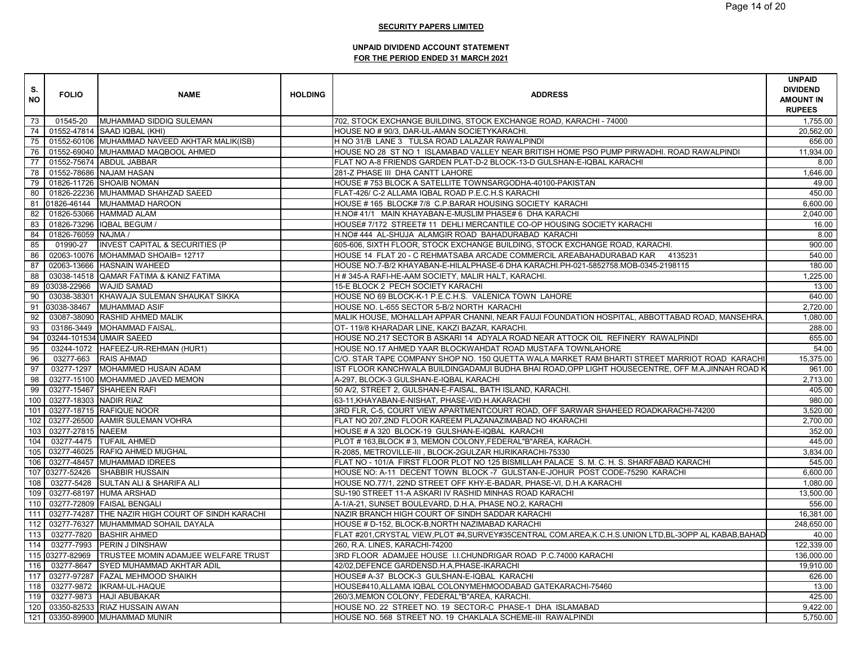| S.<br><b>NO</b> | <b>FOLIO</b>           | <b>NAME</b>                                         | <b>HOLDING</b> | <b>ADDRESS</b>                                                                                    | <b>UNPAID</b><br><b>DIVIDEND</b><br><b>AMOUNT IN</b><br><b>RUPEES</b> |
|-----------------|------------------------|-----------------------------------------------------|----------------|---------------------------------------------------------------------------------------------------|-----------------------------------------------------------------------|
| 73              | 01545-20               | MUHAMMAD SIDDIQ SULEMAN                             |                | 702, STOCK EXCHANGE BUILDING, STOCK EXCHANGE ROAD, KARACHI - 74000                                | 1.755.00                                                              |
| 74              |                        | 01552-47814 SAAD IQBAL (KHI)                        |                | HOUSE NO # 90/3, DAR-UL-AMAN SOCIETYKARACHI.                                                      | 20,562.00                                                             |
| 75              |                        | 01552-60106 MUHAMMAD NAVEED AKHTAR MALIK(ISB)       |                | H NO 31/B LANE 3 TULSA ROAD LALAZAR RAWALPINDI                                                    | 656.00                                                                |
| 76              |                        | 01552-69040 MUHAMMAD MAQBOOL AHMED                  |                | HOUSE NO 28 ST NO 1 ISLAMABAD VALLEY NEAR BRITISH HOME PSO PUMP PIRWADHI. ROAD RAWALPINDI         | 11.934.00                                                             |
| 77              |                        | 01552-75674 ABDUL JABBAR                            |                | FLAT NO A-8 FRIENDS GARDEN PLAT-D-2 BLOCK-13-D GULSHAN-E-IQBAL KARACHI                            | 8.00                                                                  |
| 78              |                        | 01552-78686 NAJAM HASAN                             |                | 281-Z PHASE III DHA CANTT LAHORE                                                                  | 1,646.00                                                              |
| 79              |                        | 01826-11726 SHOAIB NOMAN                            |                | HOUSE #753 BLOCK A SATELLITE TOWNSARGODHA-40100-PAKISTAN                                          | 49.00                                                                 |
| 80              |                        | 01826-22236 MUHAMMAD SHAHZAD SAEED                  |                | FLAT-426/ C-2 ALLAMA IQBAL ROAD P.E.C.H.S KARACHI                                                 | 450.00                                                                |
| 81              |                        | 01826-46144 MUHAMMAD HAROON                         |                | HOUSE #165 BLOCK#7/8 C.P.BARAR HOUSING SOCIETY KARACHI                                            | 6,600.00                                                              |
| 82              |                        | 01826-53066 HAMMAD ALAM                             |                | H.NO# 41/1 MAIN KHAYABAN-E-MUSLIM PHASE# 6 DHA KARACHI                                            | 2,040.00                                                              |
| 83              |                        | 01826-73296 IQBAL BEGUM /                           |                | HOUSE# 7/172 STREET# 11 DEHLI MERCANTILE CO-OP HOUSING SOCIETY KARACHI                            | 16.00                                                                 |
| 84              | 01826-76059 NAJMA /    |                                                     |                | H.NO# 444 AL-SHUJA ALAMGIR ROAD BAHADURABAD KARACHI                                               | 8.00                                                                  |
| 85              | 01990-27               | <b>INVEST CAPITAL &amp; SECURITIES (P</b>           |                | 605-606, SIXTH FLOOR, STOCK EXCHANGE BUILDING, STOCK EXCHANGE ROAD, KARACHI.                      | 900.00                                                                |
| 86              |                        | 02063-10076 MOHAMMAD SHOAIB= 12717                  |                | HOUSE 14 FLAT 20 - C REHMATSABA ARCADE COMMERCIL AREABAHADURABAD KAR 4135231                      | 540.00                                                                |
| 87              |                        | 02063-13666 HASNAIN WAHEED                          |                | HOUSE NO.7-B/2 KHAYABAN-E-HILALPHASE-6 DHA KARACHI.PH-021-5852758.MOB-0345-2198115                | 180.00                                                                |
| 88              |                        | 03038-14518 QAMAR FATIMA & KANIZ FATIMA             |                | H # 345-A RAFI-HE-AAM SOCIETY, MALIR HALT, KARACHI.                                               | 1,225.00                                                              |
|                 |                        | 89 03038-22966 WAJID SAMAD                          |                | 15-E BLOCK 2 PECH SOCIETY KARACHI                                                                 | 13.00                                                                 |
| 90              |                        | 03038-38301 KHAWAJA SULEMAN SHAUKAT SIKKA           |                | HOUSE NO 69 BLOCK-K-1 P.E.C.H.S. VALENICA TOWN LAHORE                                             | 640.00                                                                |
| 91              |                        | 03038-38467 MUHAMMAD ASIF                           |                | HOUSE NO. L-655 SECTOR 5-B/2 NORTH KARACHI                                                        | 2,720.00                                                              |
| 92              |                        | 03087-38090 RASHID AHMED MALIK                      |                | MALIK HOUSE, MOHALLAH APPAR CHANNI, NEAR FAUJI FOUNDATION HOSPITAL, ABBOTTABAD ROAD, MANSEHRA     | 1,080.00                                                              |
| 93              |                        | 03186-3449 MOHAMMAD FAISAL.                         |                | OT- 119/8 KHARADAR LINE, KAKZI BAZAR, KARACHI.                                                    | 288.00                                                                |
|                 |                        | 94 03244-101534 UMAIR SAEED                         |                | HOUSE NO.217 SECTOR B ASKARI 14 ADYALA ROAD NEAR ATTOCK OIL REFINERY RAWALPINDI                   | 655.00                                                                |
| 95              |                        | 03244-1072 HAFEEZ-UR-REHMAN (HUR1)                  |                | HOUSE NO.17 AHMED YAAR BLOCKWAHDAT ROAD MUSTAFA TOWNLAHORE                                        | 54.00                                                                 |
| 96              |                        | 03277-663 RAIS AHMAD                                |                | C/O. STAR TAPE COMPANY SHOP NO. 150 QUETTA WALA MARKET RAM BHARTI STREET MARRIOT ROAD KARACHI     | 15.375.00                                                             |
| 97              |                        | 03277-1297 MOHAMMED HUSAIN ADAM                     |                | IST FLOOR KANCHWALA BUILDINGADAMJI BUDHA BHAI ROAD,OPP LIGHT HOUSECENTRE, OFF M.A.JINNAH ROAD K   | 961.00                                                                |
| 98              |                        | 03277-15100 MOHAMMED JAVED MEMON                    |                | A-297, BLOCK-3 GULSHAN-E-IQBAL KARACHI                                                            | 2,713.00                                                              |
| 99              |                        | 03277-15467 SHAHEEN RAFI                            |                | 50 A/2, STREET 2, GULSHAN-E-FAISAL, BATH ISLAND, KARACHI.                                         | 405.00                                                                |
| 100             | 03277-18303 NADIR RIAZ |                                                     |                | 63-11, KHAYABAN-E-NISHAT, PHASE-VID.H. AKARACHI                                                   | 980.00                                                                |
| 101             |                        | 03277-18715 RAFIQUE NOOR                            |                | 3RD FLR, C-5, COURT VIEW APARTMENTCOURT ROAD, OFF SARWAR SHAHEED ROADKARACHI-74200                | 3,520.00                                                              |
| 102             |                        | 03277-26500 AAMIR SULEMAN VOHRA                     |                | FLAT NO 207,2ND FLOOR KAREEM PLAZANAZIMABAD NO 4KARACHI                                           | 2,700.00                                                              |
| 103             | 03277-27815 NAEEM      |                                                     |                | HOUSE # A 320 BLOCK-19 GULSHAN-E-IQBAL KARACHI                                                    | 352.00                                                                |
| 104             |                        | 03277-4475 TUFAIL AHMED                             |                | PLOT #163, BLOCK #3, MEMON COLONY, FEDERAL "B" AREA, KARACH.                                      | 445.00                                                                |
| 105             |                        | 03277-46025 RAFIQ AHMED MUGHAL                      |                | R-2085, METROVILLE-III, BLOCK-2GULZAR HIJRIKARACHI-75330                                          | 3,834.00                                                              |
| 106             |                        | 03277-48457 MUHAMMAD IDREES                         |                | FLAT NO - 101/A FIRST FLOOR PLOT NO 125 BISMILLAH PALACE S. M. C. H. S. SHARFABAD KARACHI         | 545.00                                                                |
|                 |                        | 107 03277-52426 SHABBIR HUSSAIN                     |                | HOUSE NO: A-11 DECENT TOWN BLOCK -7 GULSTAN-E-JOHUR POST CODE-75290 KARACHI                       | 6,600.00                                                              |
| 108             |                        | 03277-5428 SULTAN ALI & SHARIFA ALI                 |                | HOUSE NO.77/1, 22ND STREET OFF KHY-E-BADAR, PHASE-VI, D.H.A KARACHI                               | 1,080.00                                                              |
| 109             |                        | 03277-68197 HUMA ARSHAD                             |                | SU-190 STREET 11-A ASKARI IV RASHID MINHAS ROAD KARACHI                                           | 13,500.00                                                             |
| 110             |                        | 03277-72809 FAISAL BENGALI                          |                | A-1/A-21, SUNSET BOULEVARD, D.H.A, PHASE NO.2, KARACHI                                            | 556.00                                                                |
| 111             |                        | 03277-74287 THE NAZIR HIGH COURT OF SINDH KARACHI   |                | NAZIR BRANCH HIGH COURT OF SINDH SADDAR KARACHI                                                   | 16,381.00                                                             |
| 112             |                        | 03277-76327 MUHAMMMAD SOHAIL DAYALA                 |                | HOUSE # D-152, BLOCK-B, NORTH NAZIMABAD KARACHI                                                   | 248,650.00                                                            |
| 113             | 03277-7820             | <b>BASHIR AHMED</b>                                 |                | FLAT #201,CRYSTAL VIEW,PLOT #4,SURVEY#35CENTRAL COM.AREA,K.C.H.S.UNION LTD,BL-3OPP AL KABAB,BAHAD | 40.00                                                                 |
| 114             | 03277-7993             | <b>PERIN J DINSHAW</b>                              |                | 260, R.A. LINES, KARACHI-74200                                                                    | 122,339.00                                                            |
|                 |                        | 115 03277-82969 TRUSTEE MOMIN ADAMJEE WELFARE TRUST |                | 3RD FLOOR ADAMJEE HOUSE I.I.CHUNDRIGAR ROAD P.C.74000 KARACHI                                     | 136,000.00                                                            |
| 116             |                        | 03277-8647 SYED MUHAMMAD AKHTAR ADIL                |                | 42/02, DEFENCE GARDENSD.H.A, PHASE-IKARACHI                                                       | 19,910.00                                                             |
| 117             |                        | 03277-97287 FAZAL MEHMOOD SHAIKH                    |                | HOUSE# A-37 BLOCK-3 GULSHAN-E-IQBAL KARACHI                                                       | 626.00                                                                |
| 118             |                        | 03277-9872   IKRAM-UL-HAQUE                         |                | HOUSE#410,ALLAMA IQBAL COLONYMEHMOODABAD GATEKARACHI-75460                                        | 13.00                                                                 |
| 119             |                        | 03277-9873 HAJI ABUBAKAR                            |                | 260/3, MEMON COLONY, FEDERAL"B"AREA, KARACHI.                                                     | 425.00                                                                |
| 120             |                        | 03350-82533 RIAZ HUSSAIN AWAN                       |                | HOUSE NO. 22 STREET NO. 19 SECTOR-C PHASE-1 DHA ISLAMABAD                                         | 9,422.00                                                              |
| 121             |                        | 03350-89900 MUHAMMAD MUNIR                          |                | HOUSE NO. 568 STREET NO. 19 CHAKLALA SCHEME-III RAWALPINDI                                        | 5,750.00                                                              |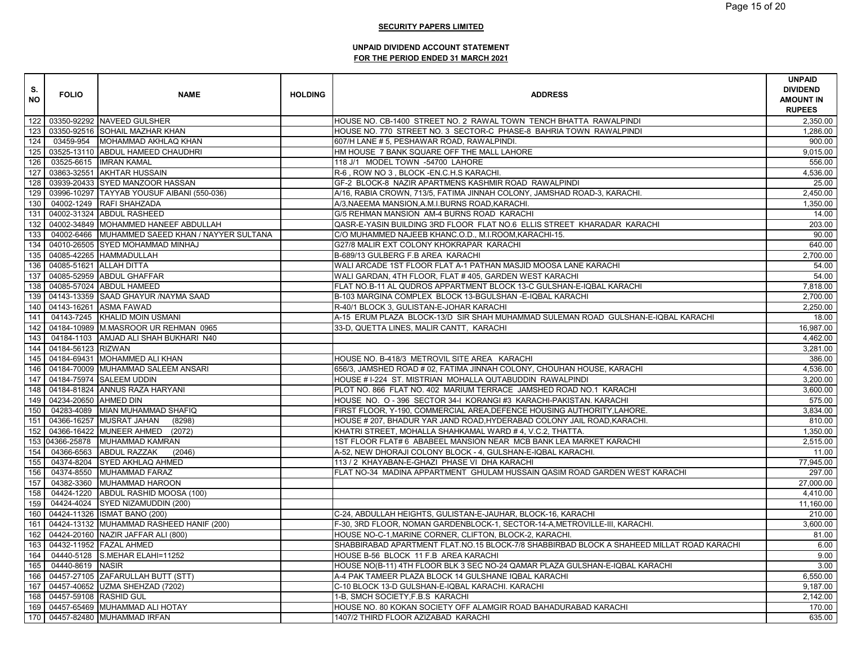| S.<br><b>NO</b> | <b>FOLIO</b>           | <b>NAME</b>                                     | <b>HOLDING</b> | <b>ADDRESS</b>                                                                            | <b>UNPAID</b><br><b>DIVIDEND</b><br><b>AMOUNT IN</b><br><b>RUPEES</b> |
|-----------------|------------------------|-------------------------------------------------|----------------|-------------------------------------------------------------------------------------------|-----------------------------------------------------------------------|
|                 |                        | 122 03350-92292 NAVEED GULSHER                  |                | HOUSE NO. CB-1400 STREET NO. 2 RAWAL TOWN TENCH BHATTA RAWALPINDI                         | 2.350.00                                                              |
| 123             |                        | 03350-92516 SOHAIL MAZHAR KHAN                  |                | HOUSE NO. 770 STREET NO. 3 SECTOR-C PHASE-8 BAHRIA TOWN RAWALPINDI                        | 1,286.00                                                              |
| 124             |                        | 03459-954 MOHAMMAD AKHLAQ KHAN                  |                | 607/H LANE # 5, PESHAWAR ROAD, RAWALPINDI.                                                | 900.00                                                                |
| 125             |                        | 03525-13110 ABDUL HAMEED CHAUDHRI               |                | HM HOUSE 7 BANK SQUARE OFF THE MALL LAHORE                                                | 9,015.00                                                              |
| 126             |                        | 03525-6615   IMRAN KAMAL                        |                | 118 J/1 MODEL TOWN -54700 LAHORE                                                          | 556.00                                                                |
| 127             |                        | 03863-32551 AKHTAR HUSSAIN                      |                | R-6, ROW NO 3, BLOCK -EN.C.H.S KARACHI.                                                   | 4,536.00                                                              |
| 128             |                        | 03939-20433 SYED MANZOOR HASSAN                 |                | GF-2 BLOCK-8 NAZIR APARTMENS KASHMIR ROAD RAWALPINDI                                      | 25.00                                                                 |
| 129             |                        | 03996-10297 TAYYAB YOUSUF AIBANI (550-036)      |                | A/16, RABIA CROWN, 713/5, FATIMA JINNAH COLONY, JAMSHAD ROAD-3, KARACHI.                  | 2,450.00                                                              |
| 130             |                        | 04002-1249 RAFI SHAHZADA                        |                | A/3, NAEEMA MANSION, A.M.I.BURNS ROAD, KARACHI.                                           | 1,350.00                                                              |
| 131             |                        | 04002-31324 ABDUL RASHEED                       |                | G/5 REHMAN MANSION AM-4 BURNS ROAD KARACHI                                                | 14.00                                                                 |
| 132             |                        | 04002-34849 MOHAMMED HANEEF ABDULLAH            |                | QASR-E-YASIN BUILDING 3RD FLOOR FLAT NO.6 ELLIS STREET KHARADAR KARACHI                   | 203.00                                                                |
| 133             |                        | 04002-6466 MUHAMMED SAEED KHAN / NAYYER SULTANA |                | C/O MUHAMMED NAJEEB KHANC.O.D., M.I.ROOM, KARACHI-15.                                     | 90.00                                                                 |
| 134             |                        | 04010-26505 SYED MOHAMMAD MINHAJ                |                | G27/8 MALIR EXT COLONY KHOKRAPAR KARACHI                                                  | 640.00                                                                |
| 135             |                        | 04085-42265 HAMMADULLAH                         |                | B-689/13 GULBERG F.B AREA KARACHI                                                         | 2,700.00                                                              |
| 136             |                        | 04085-51621 ALLAH DITTA                         |                | WALI ARCADE 1ST FLOOR FLAT A-1 PATHAN MASJID MOOSA LANE KARACHI                           | 54.00                                                                 |
| 137             |                        | 04085-52959 ABDUL GHAFFAR                       |                | WALI GARDAN, 4TH FLOOR, FLAT #405, GARDEN WEST KARACHI                                    | 54.00                                                                 |
| 138             |                        | 04085-57024 ABDUL HAMEED                        |                | FLAT NO.B-11 AL QUDROS APPARTMENT BLOCK 13-C GULSHAN-E-IQBAL KARACHI                      | 7.818.00                                                              |
| 139             |                        | 04143-13359 SAAD GHAYUR /NAYMA SAAD             |                | B-103 MARGINA COMPLEX BLOCK 13-BGULSHAN - E-IQBAL KARACHI                                 | 2.700.00                                                              |
| 140             |                        | 04143-16261 ASMA FAWAD                          |                | R-40/1 BLOCK 3, GULISTAN-E-JOHAR KARACHI                                                  | 2,250.00                                                              |
| 141             |                        | 04143-7245 KHALID MOIN USMANI                   |                | A-15 ERUM PLAZA BLOCK-13/D SIR SHAH MUHAMMAD SULEMAN ROAD GULSHAN-E-IQBAL KARACHI         | 18.00                                                                 |
| 142             |                        | 04184-10989 M.MASROOR UR REHMAN 0965            |                | 33-D, QUETTA LINES, MALIR CANTT, KARACHI                                                  | 16,987.00                                                             |
| 143             |                        | 04184-1103 AMJAD ALI SHAH BUKHARI N40           |                |                                                                                           | 4,462.00                                                              |
| 144             | 04184-56123 RIZWAN     |                                                 |                |                                                                                           | 3,281.00                                                              |
| 145             |                        | 04184-69431 MOHAMMED ALI KHAN                   |                | HOUSE NO. B-418/3 METROVIL SITE AREA KARACHI                                              | 386.00                                                                |
| 146             |                        | 04184-70009 MUHAMMAD SALEEM ANSARI              |                | 656/3, JAMSHED ROAD # 02, FATIMA JINNAH COLONY, CHOUHAN HOUSE, KARACHI                    | 4,536.00                                                              |
| 147             |                        | 04184-75974 SALEEM UDDIN                        |                | HOUSE # I-224 ST. MISTRIAN MOHALLA QUTABUDDIN RAWALPINDI                                  | 3,200.00                                                              |
| 148             |                        | 04184-81824 ANNUS RAZA HARYANI                  |                | PLOT NO. 866 FLAT NO. 402 MARIUM TERRACE JAMSHED ROAD NO.1 KARACHI                        | 3,600.00                                                              |
| 149             | 04234-20650 AHMED DIN  |                                                 |                | HOUSE NO. O - 396 SECTOR 34-I KORANGI #3 KARACHI-PAKISTAN. KARACHI                        | 575.00                                                                |
| 150             |                        | 04283-4089 MIAN MUHAMMAD SHAFIQ                 |                | FIRST FLOOR, Y-190, COMMERCIAL AREA, DEFENCE HOUSING AUTHORITY, LAHORE.                   | 3,834.00                                                              |
| 151             |                        | 04366-16257 MUSRAT JAHAN<br>(8298)              |                | HOUSE # 207, BHADUR YAR JAND ROAD, HYDERABAD COLONY JAIL ROAD, KARACHI.                   | 810.00                                                                |
| 152             |                        | 04366-16422 MUNEER AHMED (2072)                 |                | KHATRI STREET, MOHALLA SHAHKAMAL WARD #4, V.C.2, THATTA.                                  | 1,350.00                                                              |
|                 |                        | 153 04366-25878 MUHAMMAD KAMRAN                 |                | 1ST FLOOR FLAT# 6 ABABEEL MANSION NEAR MCB BANK LEA MARKET KARACHI                        | 2,515.00                                                              |
| 154             |                        | 04366-6563 ABDUL RAZZAK<br>(2046)               |                | A-52, NEW DHORAJI COLONY BLOCK - 4, GULSHAN-E-IQBAL KARACHI.                              | 11.00                                                                 |
| 155             |                        | 04374-8204 SYED AKHLAQ AHMED                    |                | 113 / 2 KHAYABAN-E-GHAZI PHASE VI DHA KARACHI                                             | 77,945.00                                                             |
| 156             | 04374-8550             | MUHAMMAD FARAZ                                  |                | FLAT NO-34 MADINA APPARTMENT GHULAM HUSSAIN QASIM ROAD GARDEN WEST KARACHI                | 297.00                                                                |
| 157             |                        | 04382-3360 MUHAMMAD HAROON                      |                |                                                                                           | 27,000.00                                                             |
| 158             |                        | 04424-1220 ABDUL RASHID MOOSA (100)             |                |                                                                                           | 4,410.00                                                              |
| 159             |                        | 04424-4024 SYED NIZAMUDDIN (200)                |                |                                                                                           | 11,160.00                                                             |
| 160             |                        | 04424-11326 ISMAT BANO (200)                    |                | C-24, ABDULLAH HEIGHTS, GULISTAN-E-JAUHAR, BLOCK-16, KARACHI                              | 210.00                                                                |
| 161             |                        | 04424-13132 MUHAMMAD RASHEED HANIF (200)        |                | F-30, 3RD FLOOR, NOMAN GARDENBLOCK-1, SECTOR-14-A, METROVILLE-III, KARACHI.               | 3,600.00                                                              |
| 162             |                        | 04424-20160 NAZIR JAFFAR ALI (800)              |                | HOUSE NO-C-1, MARINE CORNER, CLIFTON, BLOCK-2, KARACHI                                    | 81.00                                                                 |
| 163             |                        | 04432-11952 FAZAL AHMED                         |                | SHABBIRABAD APARTMENT FLAT.NO.15 BLOCK-7/8 SHABBIRBAD BLOCK A SHAHEED MILLAT ROAD KARACHI | 6.00                                                                  |
| 164             |                        | 04440-5128 S.MEHAR ELAHI=11252                  |                | HOUSE B-56 BLOCK 11 F.B AREA KARACHI                                                      | 9.00                                                                  |
| 165             | 04440-8619 NASIR       |                                                 |                | HOUSE NO(B-11) 4TH FLOOR BLK 3 SEC NO-24 QAMAR PLAZA GULSHAN-E-IQBAL KARACHI              | 3.00                                                                  |
| 166             |                        | 04457-27105 ZAFARULLAH BUTT (STT)               |                | A-4 PAK TAMEER PLAZA BLOCK 14 GULSHANE IQBAL KARACHI                                      | 6,550.00                                                              |
| 167             |                        | 04457-40652 UZMA SHEHZAD (7202)                 |                | C-10 BLOCK 13-D GULSHAN-E-IQBAL KARACHI. KARACHI                                          | 9,187.00                                                              |
| 168             | 04457-59108 RASHID GUL |                                                 |                | 1-B, SMCH SOCIETY, F.B.S KARACHI                                                          | 2,142.00                                                              |
| 169             |                        | 04457-65469 MUHAMMAD ALI HOTAY                  |                | HOUSE NO. 80 KOKAN SOCIETY OFF ALAMGIR ROAD BAHADURABAD KARACHI                           | 170.00                                                                |
|                 |                        | 170 04457-82480 MUHAMMAD IRFAN                  |                | 1407/2 THIRD FLOOR AZIZABAD KARACHI                                                       | 635.00                                                                |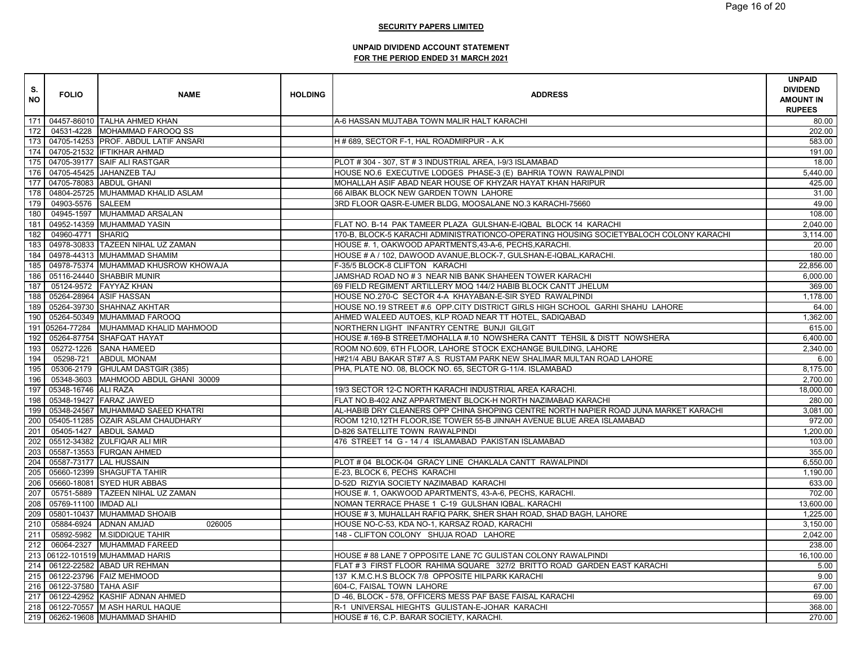| S.<br><b>NO</b> | <b>FOLIO</b>                | <b>NAME</b>                              | <b>HOLDING</b> | <b>ADDRESS</b>                                                                         | <b>UNPAID</b><br><b>DIVIDEND</b><br><b>AMOUNT IN</b><br><b>RUPEES</b> |
|-----------------|-----------------------------|------------------------------------------|----------------|----------------------------------------------------------------------------------------|-----------------------------------------------------------------------|
|                 |                             | 171 04457-86010 TALHA AHMED KHAN         |                | A-6 HASSAN MUJTABA TOWN MALIR HALT KARACHI                                             | 80.00                                                                 |
|                 |                             | 172 04531-4228 MOHAMMAD FAROOQ SS        |                |                                                                                        | 202.00                                                                |
|                 |                             | 173 04705-14253 PROF. ABDUL LATIF ANSARI |                | H#689, SECTOR F-1, HAL ROADMIRPUR - A.K                                                | 583.00                                                                |
|                 |                             | 174 04705-21532 IFTIKHAR AHMAD           |                |                                                                                        | 191.00                                                                |
|                 |                             | 175   04705-39177 SAIF ALI RASTGAR       |                | PLOT #304 - 307, ST #3 INDUSTRIAL AREA, I-9/3 ISLAMABAD                                | 18.00                                                                 |
|                 |                             | 176 04705-45425 JAHANZEB TAJ             |                | HOUSE NO.6 EXECUTIVE LODGES PHASE-3 (E) BAHRIA TOWN RAWALPINDI                         | 5,440.00                                                              |
|                 |                             | 177 04705-78083 ABDUL GHANI              |                | MOHALLAH ASIF ABAD NEAR HOUSE OF KHYZAR HAYAT KHAN HARIPUR                             | 425.00                                                                |
|                 |                             | 178 04804-25725 MUHAMMAD KHALID ASLAM    |                | 66 AIBAK BLOCK NEW GARDEN TOWN LAHORE                                                  | 31.00                                                                 |
| 179             | 04903-5576 SALEEM           |                                          |                | 3RD FLOOR QASR-E-UMER BLDG, MOOSALANE NO.3 KARACHI-75660                               | 49.00                                                                 |
|                 |                             | 180 04945-1597 MUHAMMAD ARSALAN          |                |                                                                                        | 108.00                                                                |
|                 |                             | 181 04952-14359 MUHAMMAD YASIN           |                | FLAT NO. B-14 PAK TAMEER PLAZA GULSHAN-E-IQBAL BLOCK 14 KARACHI                        | 2,040.00                                                              |
| 182             | 04960-4771 SHARIQ           |                                          |                | 170-B, BLOCK-5 KARACHI ADMINISTRATIONCO-OPERATING HOUSING SOCIETYBALOCH COLONY KARACHI | 3,114.00                                                              |
| 183             |                             | 04978-30833 TAZEEN NIHAL UZ ZAMAN        |                | HOUSE #. 1, OAKWOOD APARTMENTS, 43-A-6, PECHS, KARACHI.                                | 20.00                                                                 |
|                 |                             | 184 04978-44313 MUHAMMAD SHAMIM          |                | HOUSE # A / 102, DAWOOD AVANUE, BLOCK-7, GULSHAN-E-IQBAL, KARACHI.                     | 180.00                                                                |
| 185             |                             | 04978-75374 MUHAMMAD KHUSROW KHOWAJA     |                | F-35/5 BLOCK-8 CLIFTON KARACHI                                                         | 22,856.00                                                             |
|                 |                             | 186 05116-24440 SHABBIR MUNIR            |                | JAMSHAD ROAD NO #3 NEAR NIB BANK SHAHEEN TOWER KARACHI                                 | 6,000.00                                                              |
| 187             |                             | 05124-9572 FAYYAZ KHAN                   |                | 69 FIELD REGIMENT ARTILLERY MOQ 144/2 HABIB BLOCK CANTT JHELUM                         | 369.00                                                                |
| 188             |                             | 05264-28964 ASIF HASSAN                  |                | HOUSE NO.270-C SECTOR 4-A KHAYABAN-E-SIR SYED RAWALPINDI                               | 1.178.00                                                              |
|                 |                             | 189 05264-39730 SHAHNAZ AKHTAR           |                | HOUSE NO.19 STREET #.6 OPP.CITY DISTRICT GIRLS HIGH SCHOOL GARHI SHAHU LAHORE          | 64.00                                                                 |
| 190             |                             | 05264-50349 MUHAMMAD FAROOQ              |                | AHMED WALEED AUTOES, KLP ROAD NEAR TT HOTEL, SADIQABAD                                 | 1,362.00                                                              |
|                 |                             | 191 05264-77284 MUHAMMAD KHALID MAHMOOD  |                | NORTHERN LIGHT INFANTRY CENTRE BUNJI GILGIT                                            | 615.00                                                                |
|                 |                             | 192 05264-87754 SHAFQAT HAYAT            |                | HOUSE #.169-B STREET/MOHALLA #.10 NOWSHERA CANTT TEHSIL & DISTT NOWSHERA               | 6,400.00                                                              |
| 193             |                             | 05272-1226 SANA HAMEED                   |                | ROOM NO.609, 6TH FLOOR, LAHORE STOCK EXCHANGE BUILDING, LAHORE                         | 2,340.00                                                              |
| 194             |                             | 05298-721 ABDUL MONAM                    |                | H#21/4 ABU BAKAR ST#7 A.S RUSTAM PARK NEW SHALIMAR MULTAN ROAD LAHORE                  | 6.00                                                                  |
| 195             |                             | 05306-2179 GHULAM DASTGIR (385)          |                | PHA, PLATE NO. 08, BLOCK NO. 65, SECTOR G-11/4. ISLAMABAD                              | 8,175.00                                                              |
| 196             |                             | 05348-3603 MAHMOOD ABDUL GHANI 30009     |                |                                                                                        | 2,700.00                                                              |
|                 | 197 05348-16746 ALI RAZA    |                                          |                | 19/3 SECTOR 12-C NORTH KARACHI INDUSTRIAL AREA KARACHI.                                | 18,000.00                                                             |
|                 |                             | 198 05348-19427 FARAZ JAWED              |                | FLAT NO.B-402 ANZ APPARTMENT BLOCK-H NORTH NAZIMABAD KARACHI                           | 280.00                                                                |
| 199             |                             | 05348-24567 MUHAMMAD SAEED KHATRI        |                | AL-HABIB DRY CLEANERS OPP CHINA SHOPING CENTRE NORTH NAPIER ROAD JUNA MARKET KARACHI   | 3,081.00                                                              |
|                 |                             | 200 05405-11285 OZAIR ASLAM CHAUDHARY    |                | ROOM 1210,12TH FLOOR, ISE TOWER 55-B JINNAH AVENUE BLUE AREA ISLAMABAD                 | 972.00                                                                |
|                 |                             | 201 05405-1427 ABDUL SAMAD               |                | D-826 SATELLITE TOWN RAWALPINDI                                                        | 1,200.00                                                              |
| 202             |                             | 05512-34382 ZULFIQAR ALI MIR             |                | 476 STREET 14 G - 14 / 4 ISLAMABAD PAKISTAN ISLAMABAD                                  | 103.00                                                                |
| 203             |                             | 05587-13553 FURQAN AHMED                 |                |                                                                                        | 355.00                                                                |
|                 | 204 05587-73177 LAL HUSSAIN |                                          |                | PLOT # 04 BLOCK-04 GRACY LINE CHAKLALA CANTT RAWALPINDI                                | 6,550.00                                                              |
| 205             |                             | 05660-12399 SHAGUFTA TAHIR               |                | E-23, BLOCK 6, PECHS KARACHI                                                           | 1,190.00                                                              |
| 206             |                             | 05660-18081 SYED HUR ABBAS               |                | D-52D RIZYIA SOCIETY NAZIMABAD KARACHI                                                 | 633.00                                                                |
| 207             |                             | 05751-5889 TAZEEN NIHAL UZ ZAMAN         |                | HOUSE #. 1, OAKWOOD APARTMENTS, 43-A-6, PECHS, KARACHI.                                | 702.00                                                                |
|                 | 208 05769-11100 IMDAD ALI   |                                          |                | NOMAN TERRACE PHASE 1 C-19 GULSHAN IQBAL. KARACHI                                      | 13,600.00                                                             |
|                 |                             | 209 05801-10437 MUHAMMAD SHOAIB          |                | HOUSE #3, MUHALLAH RAFIQ PARK, SHER SHAH ROAD, SHAD BAGH, LAHORE                       | 1,225.00                                                              |
|                 |                             | 210 05884-6924 ADNAN AMJAD<br>026005     |                | HOUSE NO-C-53, KDA NO-1, KARSAZ ROAD, KARACHI                                          | 3,150.00                                                              |
|                 |                             | 211 05892-5982 M.SIDDIQUE TAHIR          |                | 148 - CLIFTON COLONY SHUJA ROAD LAHORE                                                 | 2,042.00                                                              |
| 212             |                             | 06064-2327 MUHAMMAD FAREED               |                |                                                                                        | 238.00                                                                |
|                 |                             | 213 06122-101519 MUHAMMAD HARIS          |                | HOUSE # 88 LANE 7 OPPOSITE LANE 7C GULISTAN COLONY RAWALPINDI                          | 16,100.00                                                             |
|                 |                             | 214 06122-22582 ABAD UR REHMAN           |                | FLAT #3 FIRST FLOOR RAHIMA SQUARE 327/2 BRITTO ROAD GARDEN EAST KARACHI                | 5.00                                                                  |
|                 |                             | 215 06122-23796 FAIZ MEHMOOD             |                | 137 K.M.C.H.S BLOCK 7/8 OPPOSITE HILPARK KARACHI                                       | 9.00                                                                  |
|                 | 216 06122-37580 TAHA ASIF   |                                          |                | 604-C, FAISAL TOWN LAHORE                                                              | 67.00                                                                 |
|                 |                             | 217 06122-42952 KASHIF ADNAN AHMED       |                | D-46, BLOCK - 578, OFFICERS MESS PAF BASE FAISAL KARACHI                               | 69.00                                                                 |
|                 |                             | 218   06122-70557 M ASH HARUL HAQUE      |                | R-1 UNIVERSAL HIEGHTS GULISTAN-E-JOHAR KARACHI                                         | 368.00                                                                |
|                 |                             | 219 06262-19608 MUHAMMAD SHAHID          |                | HOUSE #16, C.P. BARAR SOCIETY, KARACHI.                                                | 270.00                                                                |
|                 |                             |                                          |                |                                                                                        |                                                                       |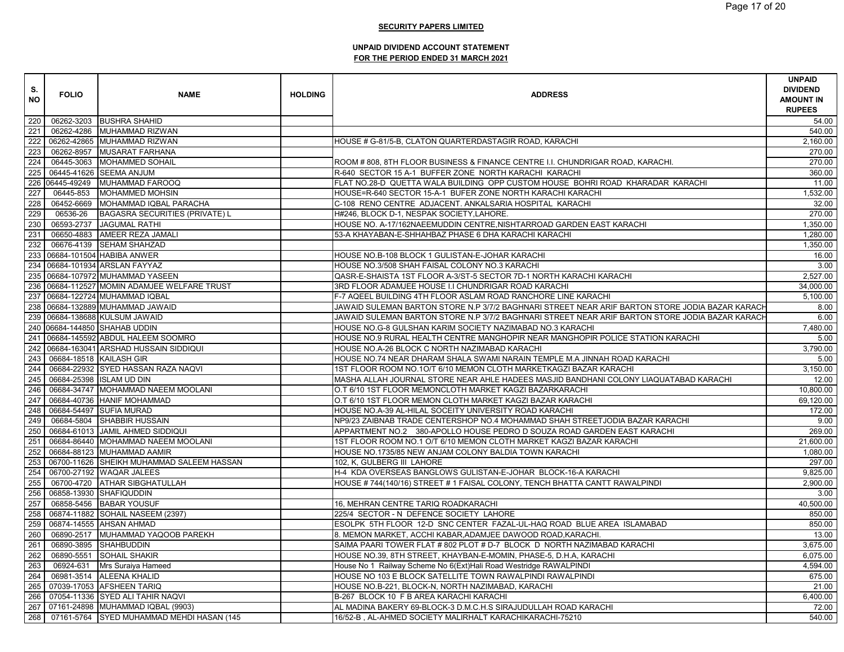| S.<br><b>NO</b>  | <b>FOLIO</b>    | <b>NAME</b>                                   | <b>HOLDING</b> | <b>ADDRESS</b>                                                                                  | <b>UNPAID</b><br><b>DIVIDEND</b><br><b>AMOUNT IN</b><br><b>RUPEES</b> |
|------------------|-----------------|-----------------------------------------------|----------------|-------------------------------------------------------------------------------------------------|-----------------------------------------------------------------------|
| 220              |                 | 06262-3203 BUSHRA SHAHID                      |                |                                                                                                 | 54.00                                                                 |
| 221              |                 | 06262-4286 MUHAMMAD RIZWAN                    |                |                                                                                                 | 540.00                                                                |
| 222              |                 | 06262-42865 MUHAMMAD RIZWAN                   |                | HOUSE # G-81/5-B, CLATON QUARTERDASTAGIR ROAD, KARACHI                                          | 2,160.00                                                              |
| 223              |                 | 06262-8957 MUSARAT FARHANA                    |                |                                                                                                 | 270.00                                                                |
| 224              |                 | 06445-3063 MOHAMMED SOHAIL                    |                | ROOM # 808, 8TH FLOOR BUSINESS & FINANCE CENTRE I.I. CHUNDRIGAR ROAD, KARACHI.                  | 270.00                                                                |
| 225              |                 | 06445-41626 SEEMA ANJUM                       |                | R-640 SECTOR 15 A-1 BUFFER ZONE NORTH KARACHI KARACHI                                           | 360.00                                                                |
|                  | 226 06445-49249 | <b>MUHAMMAD FAROOQ</b>                        |                | FLAT NO.28-D QUETTA WALA BUILDING OPP CUSTOM HOUSE BOHRI ROAD KHARADAR KARACHI                  | 11.00                                                                 |
| 227              | 06445-853       | <b>MOHAMMED MOHSIN</b>                        |                | HOUSE=R-640 SECTOR 15-A-1 BUFER ZONE NORTH KARACHI KARACHI                                      | 1,532.00                                                              |
| 228              |                 | 06452-6669 MOHAMMAD IQBAL PARACHA             |                | C-108 RENO CENTRE ADJACENT. ANKALSARIA HOSPITAL KARACHI                                         | 32.00                                                                 |
| 229              | 06536-26        | <b>BAGASRA SECURITIES (PRIVATE) L</b>         |                | H#246, BLOCK D-1, NESPAK SOCIETY, LAHORE.                                                       | 270.00                                                                |
| 230              |                 | 06593-2737 JAGUMAL RATHI                      |                | HOUSE NO. A-17/162NAEEMUDDIN CENTRE, NISHTARROAD GARDEN EAST KARACHI                            | 1,350.00                                                              |
| 231              |                 | 06650-4883 AMEER REZA JAMALI                  |                | 53-A KHAYABAN-E-SHHAHBAZ PHASE 6 DHA KARACHI KARACHI                                            | 1,280.00                                                              |
| 232              |                 | 06676-4139 SEHAM SHAHZAD                      |                |                                                                                                 | 1,350.00                                                              |
|                  |                 | 233 06684-101504 HABIBA ANWER                 |                | HOUSE NO.B-108 BLOCK 1 GULISTAN-E-JOHAR KARACHI                                                 | 16.00                                                                 |
|                  |                 | 234 06684-101934 ARSLAN FAYYAZ                |                | HOUSE NO.3/508 SHAH FAISAL COLONY NO.3 KARACHI                                                  | 3.00                                                                  |
|                  |                 | 235 06684-107972 MUHAMMAD YASEEN              |                | QASR-E-SHAISTA 1ST FLOOR A-3/ST-5 SECTOR 7D-1 NORTH KARACHI KARACHI                             | 2,527.00                                                              |
|                  |                 | 236 06684-112527 MOMIN ADAMJEE WELFARE TRUST  |                | 3RD FLOOR ADAMJEE HOUSE I.I CHUNDRIGAR ROAD KARACHI                                             | 34,000.00                                                             |
|                  |                 | 237 06684-122724 MUHAMMAD IQBAL               |                | F-7 AQEEL BUILDING 4TH FLOOR ASLAM ROAD RANCHORE LINE KARACHI                                   | 5,100.00                                                              |
|                  |                 | 238 06684-132889 MUHAMMAD JAWAID              |                | JAWAID SULEMAN BARTON STORE N.P 3/7/2 BAGHNARI STREET NEAR ARIF BARTON STORE JODIA BAZAR KARACH | 8.00                                                                  |
|                  |                 | 239 06684-138688 KULSUM JAWAID                |                | JAWAID SULEMAN BARTON STORE N.P 3/7/2 BAGHNARI STREET NEAR ARIF BARTON STORE JODIA BAZAR KARACH | 6.00                                                                  |
|                  |                 | 240 06684-144850 SHAHAB UDDIN                 |                | HOUSE NO.G-8 GULSHAN KARIM SOCIETY NAZIMABAD NO.3 KARACHI                                       | 7,480.00                                                              |
|                  |                 | 241 06684-145592 ABDUL HALEEM SOOMRO          |                | HOUSE NO.9 RURAL HEALTH CENTRE MANGHOPIR NEAR MANGHOPIR POLICE STATION KARACHI                  | 5.00                                                                  |
|                  |                 | 242 06684-163041 ARSHAD HUSSAIN SIDDIQUI      |                | HOUSE NO.A-26 BLOCK C NORTH NAZIMABAD KARACHI                                                   | 3,790.00                                                              |
| 243              |                 | 06684-18518 KAILASH GIR                       |                | HOUSE NO.74 NEAR DHARAM SHALA SWAMI NARAIN TEMPLE M.A JINNAH ROAD KARACHI                       | 5.00                                                                  |
| 244              |                 | 06684-22932 SYED HASSAN RAZA NAQVI            |                | 1ST FLOOR ROOM NO.1O/T 6/10 MEMON CLOTH MARKETKAGZI BAZAR KARACHI                               | 3,150.00                                                              |
| 245              |                 | 06684-25398 ISLAM UD DIN                      |                | MASHA ALLAH JOURNAL STORE NEAR AHLE HADEES MASJID BANDHANI COLONY LIAQUATABAD KARACHI           | 12.00                                                                 |
| 246              |                 | 06684-34747 MOHAMMAD NAEEM MOOLANI            |                | O.T 6/10 1ST FLOOR MEMONCLOTH MARKET KAGZI BAZARKARACHI                                         | 10,800.00                                                             |
| $\overline{2}47$ |                 | 06684-40736 HANIF MOHAMMAD                    |                | O.T 6/10 1ST FLOOR MEMON CLOTH MARKET KAGZI BAZAR KARACHI                                       | 69,120.00                                                             |
| 248              |                 | 06684-54497 SUFIA MURAD                       |                | HOUSE NO.A-39 AL-HILAL SOCEITY UNIVERSITY ROAD KARACHI                                          | 172.00                                                                |
| 249              |                 | 06684-5804 SHABBIR HUSSAIN                    |                | NP9/23 ZAIBNAB TRADE CENTERSHOP NO.4 MOHAMMAD SHAH STREETJODIA BAZAR KARACHI                    | 9.00                                                                  |
| 250              |                 | 06684-61013 JAMIL AHMED SIDDIQUI              |                | APPARTMENT NO.2 380-APOLLO HOUSE PEDRO D SOUZA ROAD GARDEN EAST KARACHI                         | 269.00                                                                |
| 251              |                 | 06684-86440 MOHAMMAD NAEEM MOOLANI            |                | 1ST FLOOR ROOM NO.1 O/T 6/10 MEMON CLOTH MARKET KAGZI BAZAR KARACHI                             | 21,600.00                                                             |
| 252              |                 | 06684-88123 MUHAMMAD AAMIR                    |                | HOUSE NO.1735/85 NEW ANJAM COLONY BALDIA TOWN KARACHI                                           | 1,080.00                                                              |
|                  |                 | 253 06700-11626 SHEIKH MUHAMMAD SALEEM HASSAN |                | 102, K, GULBERG III LAHORE                                                                      | 297.00                                                                |
| 254              |                 | 06700-27192 WAQAR JALEES                      |                | H-4 KDA OVERSEAS BANGLOWS GULISTAN-E-JOHAR BLOCK-16-A KARACHI                                   | 9.825.00                                                              |
| 255              |                 | 06700-4720 ATHAR SIBGHATULLAH                 |                | HOUSE #744(140/16) STREET #1 FAISAL COLONY, TENCH BHATTA CANTT RAWALPINDI                       | 2,900.00                                                              |
| 256              |                 | 06858-13930 SHAFIQUDDIN                       |                |                                                                                                 | 3.00                                                                  |
| 257              |                 | 06858-5456 BABAR YOUSUF                       |                | 16, MEHRAN CENTRE TARIQ ROADKARACHI                                                             | 40,500.00                                                             |
| 258              |                 | 06874-11882 SOHAIL NASEEM (2397)              |                | 225/4 SECTOR - N DEFENCE SOCIETY LAHORE                                                         | 850.00                                                                |
| 259              |                 | 06874-14555 AHSAN AHMAD                       |                | ESOLPK 5TH FLOOR 12-D SNC CENTER FAZAL-UL-HAQ ROAD BLUE AREA ISLAMABAD                          | 850.00                                                                |
| 260              |                 | 06890-2517 MUHAMMAD YAQOOB PAREKH             |                | 8. MEMON MARKET, ACCHI KABAR, ADAMJEE DAWOOD ROAD, KARACHI.                                     | 13.00                                                                 |
| 261              | 06890-3895      | <b>SHAHBUDDIN</b>                             |                | SAIMA PAARI TOWER FLAT # 802 PLOT # D-7 BLOCK D NORTH NAZIMABAD KARACHI                         | 3,675.00                                                              |
| 262              |                 | 06890-5551 SOHAIL SHAKIR                      |                | HOUSE NO.39, 8TH STREET, KHAYBAN-E-MOMIN, PHASE-5, D.H.A, KARACHI                               | 6,075.00                                                              |
| 263              |                 | 06924-631 Mrs Suraiya Hameed                  |                | House No 1 Railway Scheme No 6(Ext)Hali Road Westridge RAWALPINDI                               | 4,594.00                                                              |
| 264              |                 | 06981-3514 ALEENA KHALID                      |                | HOUSE NO 103 E BLOCK SATELLITE TOWN RAWALPINDI RAWALPINDI                                       | 675.00                                                                |
| 265              |                 | 07039-17053 AFSHEEN TARIQ                     |                | HOUSE NO.B-221, BLOCK-N, NORTH NAZIMABAD, KARACHI                                               | 21.00                                                                 |
| 266              |                 | 07054-11336 SYED ALI TAHIR NAQVI              |                | B-267 BLOCK 10 F B AREA KARACHI KARACHI                                                         | 6.400.00                                                              |
|                  |                 | 267 07161-24898 MUHAMMAD IQBAL (9903)         |                | AL MADINA BAKERY 69-BLOCK-3 D.M.C.H.S SIRAJUDULLAH ROAD KARACHI                                 | 72.00                                                                 |
|                  |                 | 268 07161-5764 SYED MUHAMMAD MEHDI HASAN (145 |                | 16/52-B, AL-AHMED SOCIETY MALIRHALT KARACHIKARACHI-75210                                        | 540.00                                                                |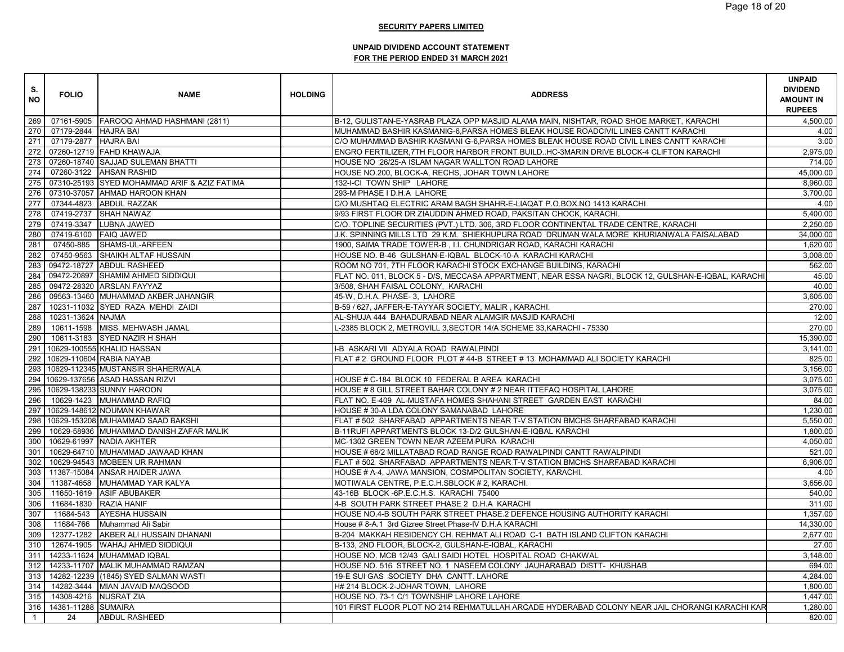| S.<br><b>NO</b>  | <b>FOLIO</b>         | <b>NAME</b>                                  | <b>HOLDING</b> | <b>ADDRESS</b>                                                                                       | <b>UNPAID</b><br><b>DIVIDEND</b><br><b>AMOUNT IN</b><br><b>RUPEES</b> |
|------------------|----------------------|----------------------------------------------|----------------|------------------------------------------------------------------------------------------------------|-----------------------------------------------------------------------|
| 269              |                      | 07161-5905 FAROOQ AHMAD HASHMANI (2811)      |                | B-12, GULISTAN-E-YASRAB PLAZA OPP MASJID ALAMA MAIN, NISHTAR, ROAD SHOE MARKET, KARACHI              | 4,500.00                                                              |
| 270              | 07179-2844 HAJRA BAI |                                              |                | MUHAMMAD BASHIR KASMANIG-6, PARSA HOMES BLEAK HOUSE ROADCIVIL LINES CANTT KARACHI                    | 4.00                                                                  |
| 271              | 07179-2877 HAJRA BAI |                                              |                | C/O MUHAMMAD BASHIR KASMANI G-6,PARSA HOMES BLEAK HOUSE ROAD CIVIL LINES CANTT KARACHI               | 3.00                                                                  |
| 272              |                      | 07260-12719 FAHD KHAWAJA                     |                | ENGRO FERTILIZER, 7TH FLOOR HARBOR FRONT BUILDHC-3MARIN DRIVE BLOCK-4 CLIFTON KARACHI                | 2,975.00                                                              |
| 273              |                      | 07260-18740 SAJJAD SULEMAN BHATTI            |                | HOUSE NO 26/25-A ISLAM NAGAR WALLTON ROAD LAHORE                                                     | 714.00                                                                |
| 274              |                      | 07260-3122 AHSAN RASHID                      |                | HOUSE NO.200, BLOCK-A, RECHS, JOHAR TOWN LAHORE                                                      | 45,000.00                                                             |
| 275              |                      | 07310-25193 SYED MOHAMMAD ARIF & AZIZ FATIMA |                | 132-I-CI TOWN SHIP LAHORE                                                                            | 8,960.00                                                              |
| 276              |                      | 07310-37057 AHMAD HAROON KHAN                |                | 293-M PHASE I D.H.A LAHORE                                                                           | 3,700.00                                                              |
| $\overline{277}$ |                      | 07344-4823 ABDUL RAZZAK                      |                | C/O MUSHTAQ ELECTRIC ARAM BAGH SHAHR-E-LIAQAT P.O.BOX.NO 1413 KARACHI                                | 4.00                                                                  |
| 278              |                      | 07419-2737 SHAH NAWAZ                        |                | 9/93 FIRST FLOOR DR ZIAUDDIN AHMED ROAD, PAKSITAN CHOCK, KARACHI.                                    | 5,400.00                                                              |
| 279              | 07419-3347           | <b>LUBNA JAWED</b>                           |                | C/O. TOPLINE SECURITIES (PVT.) LTD. 306, 3RD FLOOR CONTINENTAL TRADE CENTRE, KARACHI                 | 2,250.00                                                              |
| 280              |                      | 07419-6100 FAIQ JAWED                        |                | J.K. SPINNING MILLS LTD 29 K.M. SHIEKHUPURA ROAD DRUMAN WALA MORE KHURIANWALA FAISALABAD             | 34,000.00                                                             |
| 281              | 07450-885            | SHAMS-UL-ARFEEN                              |                | 1900, SAIMA TRADE TOWER-B, I.I. CHUNDRIGAR ROAD, KARACHI KARACHI                                     | 1,620.00                                                              |
| 282              | 07450-9563           | SHAIKH ALTAF HUSSAIN                         |                | HOUSE NO. B-46 GULSHAN-E-IQBAL BLOCK-10-A KARACHI KARACHI                                            | 3,008.00                                                              |
| 283              |                      | 09472-18727 ABDUL RASHEED                    |                | ROOM NO 701, 7TH FLOOR KARACHI STOCK EXCHANGE BUILDING, KARACHI                                      | 562.00                                                                |
|                  |                      | 284 09472-20897 SHAMIM AHMED SIDDIQUI        |                | FLAT NO. 011, BLOCK 5 - D/S, MECCASA APPARTMENT, NEAR ESSA NAGRI, BLOCK 12, GULSHAN-E-IQBAL, KARACHI | 45.00                                                                 |
| 285              |                      | 09472-28320 ARSLAN FAYYAZ                    |                | 3/508, SHAH FAISAL COLONY, KARACHI                                                                   | 40.00                                                                 |
| 286              |                      | 09563-13460 MUHAMMAD AKBER JAHANGIR          |                | 45-W, D.H.A. PHASE- 3, LAHORE                                                                        | 3,605.00                                                              |
| 287              |                      | 10231-11032 SYED RAZA MEHDI ZAIDI            |                | B-59 / 627, JAFFER-E-TAYYAR SOCIETY, MALIR, KARACHI.                                                 | 270.00                                                                |
| 288              | 10231-13624 NAJMA    |                                              |                | AL-SHUJA 444 BAHADURABAD NEAR ALAMGIR MASJID KARACHI                                                 | 12.00                                                                 |
| 289              |                      | 10611-1598 MISS. MEHWASH JAMAL               |                | -2385 BLOCK 2, METROVILL 3,SECTOR 14/A SCHEME 33,KARACHI - 75330                                     | 270.00                                                                |
| 290              |                      | 10611-3183 SYED NAZIR H SHAH                 |                |                                                                                                      | 15,390.00                                                             |
|                  |                      | 291 10629-100555 KHALID HASSAN               |                | I-B ASKARI VII ADYALA ROAD RAWALPINDI                                                                | 3,141.00                                                              |
|                  |                      | 292 10629-110604 RABIA NAYAB                 |                | FLAT # 2 GROUND FLOOR PLOT # 44-B STREET # 13 MOHAMMAD ALI SOCIETY KARACHI                           | 825.00                                                                |
| 293              |                      | 10629-112345 MUSTANSIR SHAHERWALA            |                |                                                                                                      | 3,156.00                                                              |
|                  |                      | 294 10629-137656 ASAD HASSAN RIZVI           |                | HOUSE # C-184 BLOCK 10 FEDERAL B AREA KARACHI                                                        | 3,075.00                                                              |
|                  |                      | 295 10629-138233 SUNNY HAROON                |                | HOUSE # 8 GILL STREET BAHAR COLONY # 2 NEAR ITTEFAQ HOSPITAL LAHORE                                  | 3,075.00                                                              |
| 296              |                      | 10629-1423 MUHAMMAD RAFIQ                    |                | FLAT NO. E-409 AL-MUSTAFA HOMES SHAHANI STREET GARDEN EAST KARACHI                                   | 84.00                                                                 |
|                  |                      | 297 10629-148612 NOUMAN KHAWAR               |                | HOUSE #30-A LDA COLONY SAMANABAD LAHORE                                                              | 1,230.00                                                              |
|                  |                      | 298 10629-153208 MUHAMMAD SAAD BAKSHI        |                | FLAT # 502 SHARFABAD APPARTMENTS NEAR T-V STATION BMCHS SHARFABAD KARACHI                            | 5,550.00                                                              |
| 299              |                      | 10629-58936 MUHAMMAD DANISH ZAFAR MALIK      |                | B-11RUFI APPARTMENTS BLOCK 13-D/2 GULSHAN-E-IQBAL KARACHI                                            | 1,800.00                                                              |
| 300              |                      | 10629-61997 NADIA AKHTER                     |                | MC-1302 GREEN TOWN NEAR AZEEM PURA KARACHI                                                           | 4,050.00                                                              |
| 301              |                      | 10629-64710 MUHAMMAD JAWAAD KHAN             |                | HOUSE # 68/2 MILLATABAD ROAD RANGE ROAD RAWALPINDI CANTT RAWALPINDI                                  | 521.00                                                                |
| 302              |                      | 10629-94543 MOBEEN UR RAHMAN                 |                | FLAT # 502 SHARFABAD APPARTMENTS NEAR T-V STATION BMCHS SHARFABAD KARACHI                            | 6,906.00                                                              |
| 303              |                      | 11387-15084 ANSAR HAIDER JAWA                |                | HOUSE # A-4, JAWA MANSION, COSMPOLITAN SOCIETY, KARACHI.                                             | 4.00                                                                  |
| 304              |                      | 11387-4658 MUHAMMAD YAR KALYA                |                | MOTIWALA CENTRE, P.E.C.H.SBLOCK # 2, KARACHI.                                                        | 3,656.00                                                              |
| 305              |                      | 11650-1619 ASIF ABUBAKER                     |                | 43-16B BLOCK -6P.E.C.H.S. KARACHI 75400                                                              | 540.00                                                                |
| 306              |                      | 11684-1830 RAZIA HANIF                       |                | 4-B SOUTH PARK STREET PHASE 2 D.H.A KARACHI                                                          | 311.00                                                                |
| 307              | 11684-543            | <b>AYESHA HUSSAIN</b>                        |                | HOUSE NO.4-B SOUTH PARK STREET PHASE.2 DEFENCE HOUSING AUTHORITY KARACHI                             | 1,357.00                                                              |
| 308              | 11684-766            | Muhammad Ali Sabir                           |                | House # 8-A.1 3rd Gizree Street Phase-IV D.H.A KARACHI                                               | 14.330.00                                                             |
| 309              | 12377-1282           | AKBER ALI HUSSAIN DHANANI                    |                | B-204 MAKKAH RESIDENCY CH. REHMAT ALI ROAD C-1 BATH ISLAND CLIFTON KARACHI                           | 2,677.00                                                              |
| 310              | 12674-1905           | <b>WAHAJ AHMED SIDDIQUI</b>                  |                | B-133, 2ND FLOOR, BLOCK-2, GULSHAN-E-IQBAL, KARACHI                                                  | 27.00                                                                 |
| 311              |                      | 14233-11624 MUHAMMAD IQBAL                   |                | HOUSE NO. MCB 12/43 GALI SAIDI HOTEL HOSPITAL ROAD CHAKWAL                                           | 3,148.00                                                              |
| 312              |                      | 14233-11707 MALIK MUHAMMAD RAMZAN            |                | HOUSE NO. 516 STREET NO. 1 NASEEM COLONY JAUHARABAD DISTT- KHUSHAB                                   | 694.00                                                                |
| 313              |                      | 14282-12239 (1845) SYED SALMAN WASTI         |                | 19-E SUI GAS SOCIETY DHA CANTT. LAHORE                                                               | 4.284.00                                                              |
| 314              |                      | 14282-3444 MIAN JAVAID MAQSOOD               |                | H# 214 BLOCK-2-JOHAR TOWN, LAHORE                                                                    | 1,800.00                                                              |
| 315              | 14308-4216           | <b>NUSRAT ZIA</b>                            |                | HOUSE NO. 73-1 C/1 TOWNSHIP LAHORE LAHORE                                                            | 1,447.00                                                              |
| 316              | 14381-11288 SUMAIRA  |                                              |                | 101 FIRST FLOOR PLOT NO 214 REHMATULLAH ARCADE HYDERABAD COLONY NEAR JAIL CHORANGI KARACHI KAR       | 1.280.00                                                              |
| $\overline{1}$   | 24                   | <b>ABDUL RASHEED</b>                         |                |                                                                                                      | 820.00                                                                |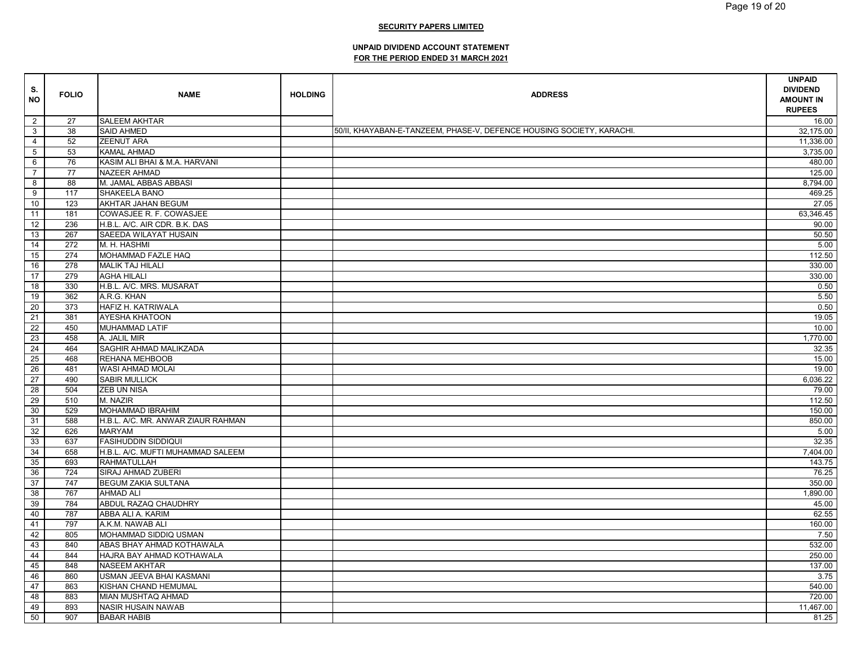| S.<br><b>NO</b> | <b>FOLIO</b> | <b>NAME</b>                        | <b>HOLDING</b> | <b>ADDRESS</b>                                                        | <b>UNPAID</b><br><b>DIVIDEND</b><br><b>AMOUNT IN</b><br><b>RUPEES</b> |
|-----------------|--------------|------------------------------------|----------------|-----------------------------------------------------------------------|-----------------------------------------------------------------------|
| $\overline{2}$  | 27           | <b>SALEEM AKHTAR</b>               |                |                                                                       | 16.00                                                                 |
| $\mathbf{3}$    | 38           | <b>SAID AHMED</b>                  |                | 50/II, KHAYABAN-E-TANZEEM, PHASE-V, DEFENCE HOUSING SOCIETY, KARACHI. | 32,175.00                                                             |
| $\overline{4}$  | 52           | <b>ZEENUT ARA</b>                  |                |                                                                       | 11,336.00                                                             |
| $5\phantom{.0}$ | 53           | <b>KAMAL AHMAD</b>                 |                |                                                                       | 3,735.00                                                              |
| 6               | 76           | KASIM ALI BHAI & M.A. HARVANI      |                |                                                                       | 480.00                                                                |
| $\overline{7}$  | 77           | <b>NAZEER AHMAD</b>                |                |                                                                       | 125.00                                                                |
| 8               | 88           | M. JAMAL ABBAS ABBASI              |                |                                                                       | 8,794.00                                                              |
| 9               | 117          | SHAKEELA BANO                      |                |                                                                       | 469.25                                                                |
| 10              | 123          | AKHTAR JAHAN BEGUM                 |                |                                                                       | 27.05                                                                 |
| 11              | 181          | COWASJEE R. F. COWASJEE            |                |                                                                       | 63,346.45                                                             |
| 12              | 236          | H.B.L. A/C. AIR CDR. B.K. DAS      |                |                                                                       | 90.00                                                                 |
| 13              | 267          | SAEEDA WILAYAT HUSAIN              |                |                                                                       | 50.50                                                                 |
| 14              | 272          | M. H. HASHMI                       |                |                                                                       | 5.00                                                                  |
| 15              | 274          | MOHAMMAD FAZLE HAQ                 |                |                                                                       | 112.50                                                                |
| 16              | 278          | <b>MALIK TAJ HILALI</b>            |                |                                                                       | 330.00                                                                |
| 17              | 279          | <b>AGHA HILALI</b>                 |                |                                                                       | 330.00                                                                |
| 18              | 330          | H.B.L. A/C. MRS. MUSARAT           |                |                                                                       | 0.50                                                                  |
| 19              | 362          | A.R.G. KHAN                        |                |                                                                       | 5.50                                                                  |
| 20              | 373          | HAFIZ H. KATRIWALA                 |                |                                                                       | 0.50                                                                  |
| 21              | 381          | <b>AYESHA KHATOON</b>              |                |                                                                       | 19.05                                                                 |
| 22              | 450          | MUHAMMAD LATIF                     |                |                                                                       | 10.00                                                                 |
|                 |              |                                    |                |                                                                       |                                                                       |
| 23<br>24        | 458          | A. JALIL MIR                       |                |                                                                       | 1,770.00                                                              |
|                 | 464          | SAGHIR AHMAD MALIKZADA             |                |                                                                       | 32.35                                                                 |
| 25<br>26        | 468          | REHANA MEHBOOB                     |                |                                                                       | 15.00                                                                 |
| 27              | 481          | WASI AHMAD MOLAI                   |                |                                                                       | 19.00                                                                 |
|                 | 490          | <b>SABIR MULLICK</b>               |                |                                                                       | 6,036.22                                                              |
| 28              | 504          | <b>ZEB UN NISA</b>                 |                |                                                                       | 79.00                                                                 |
| 29              | 510          | M. NAZIR                           |                |                                                                       | 112.50                                                                |
| 30              | 529          | MOHAMMAD IBRAHIM                   |                |                                                                       | 150.00                                                                |
| 31              | 588          | H.B.L. A/C. MR. ANWAR ZIAUR RAHMAN |                |                                                                       | 850.00                                                                |
| 32              | 626          | <b>MARYAM</b>                      |                |                                                                       | 5.00                                                                  |
| 33              | 637          | <b>FASIHUDDIN SIDDIQUI</b>         |                |                                                                       | 32.35                                                                 |
| 34              | 658          | H.B.L. A/C. MUFTI MUHAMMAD SALEEM  |                |                                                                       | 7,404.00                                                              |
| 35              | 693          | <b>RAHMATULLAH</b>                 |                |                                                                       | 143.75                                                                |
| 36              | 724          | SIRAJ AHMAD ZUBERI                 |                |                                                                       | 76.25                                                                 |
| 37              | 747          | <b>BEGUM ZAKIA SULTANA</b>         |                |                                                                       | 350.00                                                                |
| 38              | 767          | <b>AHMAD ALI</b>                   |                |                                                                       | 1,890.00                                                              |
| 39              | 784          | ABDUL RAZAQ CHAUDHRY               |                |                                                                       | 45.00                                                                 |
| 40              | 787          | ABBA ALI A. KARIM                  |                |                                                                       | 62.55                                                                 |
| 41              | 797          | A.K.M. NAWAB ALI                   |                |                                                                       | 160.00                                                                |
| 42              | 805          | MOHAMMAD SIDDIQ USMAN              |                |                                                                       | 7.50                                                                  |
| 43              | 840          | ABAS BHAY AHMAD KOTHAWALA          |                |                                                                       | 532.00                                                                |
| 44              | 844          | HAJRA BAY AHMAD KOTHAWALA          |                |                                                                       | 250.00                                                                |
| 45              | 848          | <b>NASEEM AKHTAR</b>               |                |                                                                       | 137.00                                                                |
| 46              | 860          | USMAN JEEVA BHAI KASMANI           |                |                                                                       | 3.75                                                                  |
| 47              | 863          | KISHAN CHAND HEMUMAL               |                |                                                                       | 540.00                                                                |
| 48              | 883          | <b>MIAN MUSHTAQ AHMAD</b>          |                |                                                                       | 720.00                                                                |
| 49              | 893          | NASIR HUSAIN NAWAB                 |                |                                                                       | 11,467.00                                                             |
| 50              | 907          | <b>BABAR HABIB</b>                 |                |                                                                       | 81.25                                                                 |